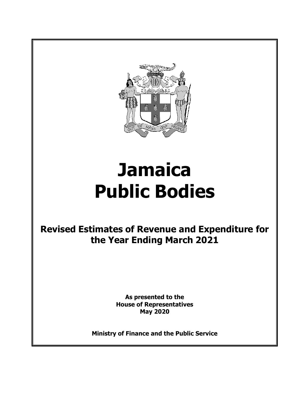

# **Jamaica Public Bodies**

**Revised Estimates of Revenue and Expenditure for the Year Ending March 2021** 

> **As presented to the House of Representatives May 2020**

**Ministry of Finance and the Public Service**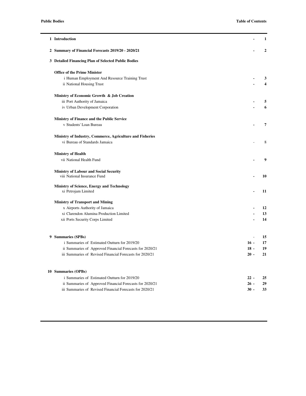| 1 Introduction                                            |        | 1            |
|-----------------------------------------------------------|--------|--------------|
| 2 Summary of Financial Forecasts 2019/20 - 2020/21        |        | $\mathbf{2}$ |
| 3 Detailed Financing Plan of Selected Public Bodies       |        |              |
| <b>Office of the Prime Minister</b>                       |        |              |
| i Human Employment And Resource Training Trust            |        | 3            |
| ii National Housing Trust                                 |        | 4            |
| Ministry of Economic Growth & Job Creation                |        |              |
| iii Port Authority of Jamaica                             |        | 5            |
| iv Urban Development Corporation                          |        | 6            |
| Ministry of Finance and the Public Service                |        |              |
| v Students' Loan Bureau                                   |        | 7            |
| Ministry of Industry, Commerce, Agriculture and Fisheries |        |              |
| vi Bureau of Standards Jamaica                            |        | 8            |
| <b>Ministry of Health</b>                                 |        |              |
| vii National Health Fund                                  |        | 9            |
| <b>Ministry of Labour and Social Security</b>             |        |              |
| viii National Insurance Fund                              |        | 10           |
| Ministry of Science, Energy and Technology                |        |              |
| xi Petrojam Limited                                       |        | 11           |
| <b>Ministry of Transport and Mining</b>                   |        |              |
| x Airports Authority of Jamaica                           |        | 12           |
| xi Clarendon Alumina Production Limited                   |        | 13           |
| xii Ports Security Corps Limited                          |        | 14           |
| 9 Summaries (SPBs)                                        | L.     | 15           |
| i Summaries of Estimated Outturn for 2019/20              | $16 -$ | 17           |
| ii Summaries of Approved Financial Forecasts for 2020/21  | $18 -$ | 19           |
| iii Summaries of Revised Financial Forecasts for 2020/21  | $20 -$ | 21           |
|                                                           |        |              |
| 10 Summaries (OPBs)                                       |        |              |
| i Summaries of Estimated Outturn for 2019/20              | $22 -$ | 25           |
| ii Summaries of Approved Financial Forecasts for 2020/21  | $26 -$ | 29           |
| iii Summaries of Revised Financial Forecasts for 2020/21  | $30 -$ | 33           |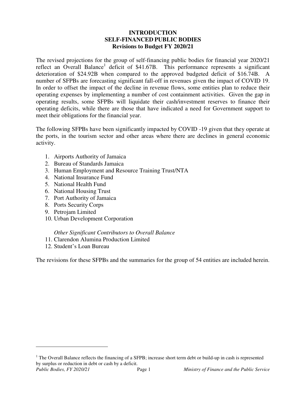### **INTRODUCTION SELF-FINANCED PUBLIC BODIES Revisions to Budget FY 2020/21**

The revised projections for the group of self-financing public bodies for financial year 2020/21 reflect an Overall Balance<sup>1</sup> deficit of \$41.67B. This performance represents a significant deterioration of \$24.92B when compared to the approved budgeted deficit of \$16.74B. A number of SFPBs are forecasting significant fall-off in revenues given the impact of COVID 19. In order to offset the impact of the decline in revenue flows, some entities plan to reduce their operating expenses by implementing a number of cost containment activities. Given the gap in operating results, some SFPBs will liquidate their cash/investment reserves to finance their operating deficits, while there are those that have indicated a need for Government support to meet their obligations for the financial year.

The following SFPBs have been significantly impacted by COVID -19 given that they operate at the ports, in the tourism sector and other areas where there are declines in general economic activity.

- 1. Airports Authority of Jamaica
- 2. Bureau of Standards Jamaica
- 3. Human Employment and Resource Training Trust/NTA
- 4. National Insurance Fund
- 5. National Health Fund
- 6. National Housing Trust
- 7. Port Authority of Jamaica
- 8. Ports Security Corps
- 9. Petrojam Limited
- 10. Urban Development Corporation

### *Other Significant Contributors to Overall Balance*

- 11. Clarendon Alumina Production Limited
- 12. Student's Loan Bureau

The revisions for these SFPBs and the summaries for the group of 54 entities are included herein.

-

<sup>&</sup>lt;sup>1</sup> The Overall Balance reflects the financing of a SFPB; increase short term debt or build-up in cash is represented by surplus or reduction in debt or cash by a deficit.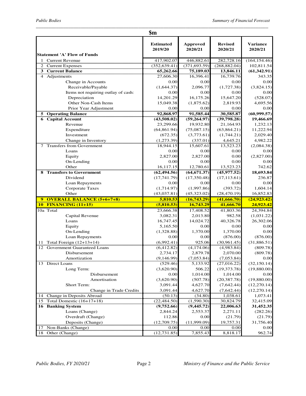|                                            | $\mathbf{\$m}$              |                            |                           |                                                                               |
|--------------------------------------------|-----------------------------|----------------------------|---------------------------|-------------------------------------------------------------------------------|
| <b>Statement 'A' Flow of Funds</b>         | <b>Estimated</b><br>2019/20 | <b>Approved</b><br>2020/21 | <b>Revised</b><br>2020/21 | <b>Variance</b><br>2020/21                                                    |
| 1 Current Revenue                          | 417,902.07                  | 446,882.61                 | 282,728.16                | (164, 154.46)                                                                 |
| 2 Current Expenses                         | (352, 639.41)               | (371, 693.59)              | (268, 882.04)             | 102,811.54                                                                    |
| 3 Current Balance                          | 65,262.66                   | 75,189.03                  | 13,846.11                 | (61, 342.91)                                                                  |
| 4 Adjustments                              | 27,606.30                   | 16,396.41                  | 16,739.76                 | 343.35                                                                        |
| Change in Accounts                         | 0.00                        | 0.00                       | 0.00                      | 0.00                                                                          |
| Receivable/Payable                         | (1,644.37)                  | 2,096.77                   | (1,727.38)                | (3,824.15)                                                                    |
| Items not requiring outlay of cash:        | 0.00                        | 0.00                       | 0.00                      | 0.00                                                                          |
| Depreciation                               | 14,201.29                   | 16,175.26                  | 15,647.20                 | (528.07)                                                                      |
| Other Non-Cash Items                       | 15,049.38                   | (1,875.62)                 | 2.819.93                  | 4,695.56                                                                      |
| Prior Year Adjustment                      | 0.00                        | 0.00                       | 0.00                      | 0.00                                                                          |
| <b>5 Operating Balance</b>                 | 92,868.97                   | 91,585.44                  | 30,585.87                 | (60, 999.57)                                                                  |
| 6 Capital Account                          | (43,508.02)                 | (59, 264.97)               | (39,798.28)               | 19,466.69                                                                     |
| Revenue                                    | 23,299.66                   | 19,932.80                  | 21,164.93                 | 1,232.13                                                                      |
| Expenditure                                | (64, 861.94)                | (75,087.15)                | (63, 864.21)              | 11,222.94                                                                     |
| Investment                                 | (672.35)                    | (3,773.61)                 | (1,744.21)                | 2,029.40                                                                      |
| Change in Inventory                        | (1,273.39)                  | (337.01)                   | 4,645.21                  | 4,982.22                                                                      |
| 7 Transfers from Government                | 18,944.15                   | 15,607.61                  | 13,523.23                 | (2,084.38)                                                                    |
| Loans                                      | 0.00                        | 0.00                       | 0.00                      | 0.00                                                                          |
| Equity                                     | 2,827.00                    | 2,827.00                   | 0.00                      | (2,827.00)                                                                    |
| On-Lending                                 | 0.00                        | 0.00                       | 0.00                      | 0.00                                                                          |
| Other                                      | 16,117.15                   | 12,780.61                  | 13.523.23                 | 742.62                                                                        |
| <b>8</b> Transfers to Government           | (62, 494.56)                | (64, 671.37)               | (45, 977.52)              | 18,693.84                                                                     |
| Dividend                                   | (17, 741.79)                |                            | (17, 113.61)              | 236.87                                                                        |
|                                            |                             | (17,350.48)                |                           |                                                                               |
| Loan Repayments                            | 0.00                        | 0.00                       | 0.00                      | 0.00                                                                          |
| <b>Corporate Taxes</b>                     | (1,714.97)                  | (1,997.86)                 | (393.72)                  | 1,604.14                                                                      |
| Other                                      | (43,037.81)                 | (45,323.02)                | (28, 470.19)              | 16,852.83                                                                     |
| 9 OVERALL BALANCE (5+6+7+8)                | 5,810.53                    | (16,743.29)                | (41, 666, 70)             | (24, 923, 42)                                                                 |
| <b>10 FINANCING (11+15)</b>                | (5,810.53)                  | 16,743.29                  | 41,666.70                 |                                                                               |
| 10a Total                                  | 23,666.38                   | 17,408.52                  | 41,803.36                 |                                                                               |
| Capital Revenue                            | 3,082.31                    | 2,013.80                   | 982.58                    |                                                                               |
| Loans                                      | 16,747.45                   | 14,024.72                  | 40,326.78                 |                                                                               |
| Equity                                     | 5,165.50                    | 0.00                       | 0.00                      |                                                                               |
| On-Lending                                 | (1,328.88)                  | 1,370.00                   | 1,370.00                  |                                                                               |
| Loan Repayments                            | 0.00                        | 0.00                       | (876.00)                  | 24,923.42<br>24,394.84<br>(1,031.22)<br>26,302.06<br>0.00<br>0.00<br>(876.00) |
| Total Foreign $(12+13+14)$<br>11           | (6,992.41)                  | 925.06                     | (30,961.45)               | (31,886.51)                                                                   |
| 12 Government Guaranteed Loans             | (6,412,82)                  | (4,174.06)                 | (4,983.84)                | (809.78)                                                                      |
| Disbursement                               | 2,734.17                    | 2,879.78                   | 2,070.00                  | (809.78)                                                                      |
| Amortization                               | (9,146.99)                  | (7,053.84)                 | (7,053.84)                | 0.00                                                                          |
| 13 Direct Loans                            | (529.46)                    | 5,133.92                   | (27,016.22)               | (32, 150.14)                                                                  |
| Long Term:                                 | (3,620.90)                  | 506.22                     | (19, 373.78)              | (19,880.00)                                                                   |
| Disbursement                               | 0.00                        | 1,014.00                   | 1,014.00                  | 0.00                                                                          |
| Amortisation                               | (3,620.90)                  | (507.78)                   | (20, 387.78)              | (19,880.00)                                                                   |
| Short Term:                                | 3,091.44                    | 4,627.70                   | (7,642.44)                |                                                                               |
| Change in Trade Credits                    | 3,091.44                    | 4,627.70                   | (7,642.44)                | (12,270.14)<br>(12, 270.14)                                                   |
| 14 Change in Deposits Abroad               | (50.13)                     | (34.80)                    | 1,038.61                  | 1,073.41                                                                      |
| 15 Total Domestic $(16+17+18)$             | (22, 484.50)                | (1,590.30)                 | 30,824.79                 | 32,415.09                                                                     |
| 16 Banking System                          | (9,752.66)                  | (9, 445.72)                | 22,006.63                 | 31,452.35                                                                     |
| Loans (Change)                             | 2,844.24                    | 2,553.37                   | 2,271.11                  | (282.26)                                                                      |
| Overdraft (Change)                         | 112.86                      | 0.00                       | (21.79)                   |                                                                               |
| Deposits (Change)<br>17 Non-Banks (Change) | (12,709.75)<br>0.00         | (11,999.09)<br>0.00        | 19,757.31<br>0.00         | (21.79)<br>31,756.40<br>$0.00\,$                                              |

*\_\_\_\_\_\_\_\_\_\_\_\_\_\_\_\_\_\_\_\_\_\_\_\_\_\_\_\_\_\_\_\_\_\_\_\_\_\_\_\_\_\_\_\_\_\_\_\_\_\_\_\_\_\_\_\_\_\_\_\_\_\_\_\_\_\_\_\_\_\_\_\_\_\_\_\_\_\_\_\_\_\_\_\_\_\_\_\_\_\_\_\_\_*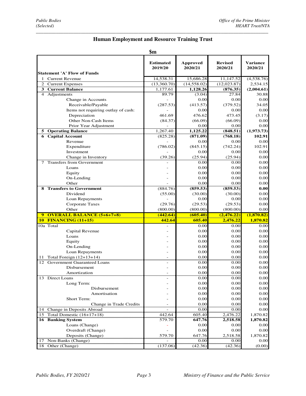### *\_\_\_\_\_\_\_\_\_\_\_\_\_\_\_\_\_\_\_\_\_\_\_\_\_\_\_\_\_\_\_\_\_\_\_\_\_\_\_\_\_\_\_\_\_\_\_\_\_\_\_\_\_\_\_\_\_\_\_\_\_\_\_\_\_\_\_\_\_\_\_\_\_\_\_\_\_\_\_\_\_\_\_\_\_\_\_\_\_\_\_\_\_*  **Human Employment and Resource Training Trust**

### **\$m**

| <b>Statement 'A' Flow of Funds</b>  | <b>Estimated</b><br>2019/20 | <b>Approved</b><br>2020/21 | <b>Revised</b><br>2020/21         | Variance<br>2020/21 |
|-------------------------------------|-----------------------------|----------------------------|-----------------------------------|---------------------|
| <b>Current Revenue</b>              | 14,538.31                   | 15,686.28                  | 11,147.52                         | (4,538.76)          |
| 2<br><b>Current Expenses</b>        | (13,360.70)                 | (14, 558.02)               | (12, 023.87)                      | 2,534.15            |
| 3 Current Balance                   | 1,177.61                    | 1,128.26                   | (876.35)                          | (2,004.61)          |
| 4 Adjustments                       | 89.79                       | (3.04)                     | 27.84                             | 30.88               |
| Change in Accounts                  |                             | 0.00                       | 0.00                              | 0.00                |
| Receivable/Payable                  | (287.53)                    | (413.57)                   | (379.52)                          | 34.05               |
| Items not requiring outlay of cash: |                             | 0.00                       | 0.00                              | 0.00                |
| Depreciation                        | 461.69                      | 476.62                     | 473.45                            | (3.17)              |
| Other Non-Cash Items                | (84.37)                     | (66.09)                    | (66.09)                           | 0.00                |
| Prior Year Adjustment               |                             | 0.00                       | 0.00                              | 0.00                |
| <b>5</b> Operating Balance          | 1,267.40                    | 1,125.22                   | (848.51)                          | (1,973.73)          |
| <b>6</b> Capital Account            | (825.28)                    | (871.09)                   | (768.18)                          | 102.91              |
| Revenue                             |                             | 0.00                       | 0.00                              | 0.00                |
| Expenditure                         | (786.02)                    | (845.15)                   | (742.24)                          | 102.91              |
| Investment                          |                             | 0.00                       | 0.00                              | 0.00                |
| Change in Inventory                 | (39.26)                     | (25.94)                    | (25.94)                           | 0.00                |
| <b>Transfers from Government</b>    |                             | 0.00                       | 0.00                              | 0.00                |
| Loans                               |                             | 0.00                       | 0.00                              | 0.00                |
| Equity                              |                             | 0.00                       | 0.00                              | 0.00                |
| On-Lending                          |                             | 0.00                       | 0.00                              | 0.00                |
| Other                               |                             | 0.00                       | 0.00                              | 0.00                |
| <b>8 Transfers to Government</b>    | (884.76)                    | (859.53)                   | (859.53)                          | 0.00                |
| Dividend                            | (55.00)                     | (30.00)                    | (30.00)                           | 0.00                |
| Loan Repayments                     |                             | 0.00                       | 0.00                              | 0.00                |
| <b>Corporate Taxes</b>              | (29.76)                     | (29.53)                    | (29.53)                           | 0.00                |
| Other                               | (800.00)                    | (800.00)                   | (800.00)                          | 0.00                |
| 9 OVERALL BALANCE (5+6+7+8)         | (442.64)                    | (605.40)                   | (2,476.22)                        | (1,870.82)          |
| <b>10 FINANCING (11+15)</b>         | 442.64                      | 605.40                     | 2,476.22                          | 1,870.82            |
| 10a Total                           |                             | 0.00                       | 0.00                              | 0.00                |
| Capital Revenue                     |                             | 0.00                       | 0.00                              | 0.00                |
| Loans                               |                             | 0.00                       | 0.00                              | 0.00                |
| Equity                              |                             | 0.00                       | 0.00                              | 0.00                |
| On-Lending                          |                             | 0.00                       | 0.00                              | 0.00                |
| Loan Repayments                     |                             | 0.00                       | 0.00                              | 0.00                |
| 11 Total Foreign $(12+13+14)$       |                             | 0.00                       | 0.00                              | 0.00                |
| 12 Government Guaranteed Loans      |                             | 0.00                       | 0.00                              | 0.00                |
| <b>Disbursement</b>                 |                             | 0.00                       | 0.00                              | 0.00                |
| Amortization                        |                             | 0.00                       | 0.00                              | 0.00                |
| 13 Direct Loans                     |                             | 0.00                       | 0.00                              | $0.00\,$            |
| Long Term:                          |                             | 0.00                       | 0.00                              | 0.00                |
| Disbursement                        |                             | 0.00                       | 0.00                              | 0.00                |
| Amortisation                        |                             | 0.00                       | 0.00                              | 0.00                |
| <b>Short Term:</b>                  |                             | 0.00                       | 0.00                              | 0.00                |
| Change in Trade Credits             |                             | 0.00                       | 0.00                              | 0.00                |
| Change in Deposits Abroad<br>14     |                             | 0.00                       | 0.00                              | 0.00                |
| Total Domestic (16+17+18)<br>15     | 442.64                      | 605.40                     |                                   | 1,870.82            |
| 16 Banking System                   | $\frac{1}{579.70}$          | 647.76                     | 2,476.22<br>*********<br>2,518.58 | 1,870.82            |
| Loans (Change)                      |                             | 0.00                       | 0.00                              | 0.00                |
| Overdraft (Change)                  |                             | 0.00                       | 0.00                              | 0.00                |
| Deposits (Change)                   | 579.70                      | 647.76                     | 2,518.58                          | 1,870.82            |
| 17 Non-Banks (Change)               |                             | 0.00                       | 0.00                              | 0.00                |
| 18 Other (Change)                   | (137.06)                    | (42.36)                    | (42.36)                           | (0.00)              |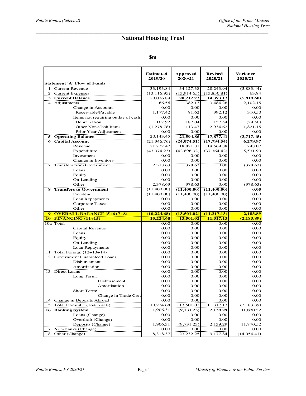### *\_\_\_\_\_\_\_\_\_\_\_\_\_\_\_\_\_\_\_\_\_\_\_\_\_\_\_\_\_\_\_\_\_\_\_\_\_\_\_\_\_\_\_\_\_\_\_\_\_\_\_\_\_\_\_\_\_\_\_\_\_\_\_\_\_\_\_\_\_\_\_\_\_\_\_\_\_\_\_\_\_\_\_\_\_\_\_\_\_\_\_\_\_*  **National Housing Trust**

### **\$m**

| <b>Statement 'A' Flow of Funds</b>      | <b>Estimated</b><br>2019/20     | <b>Approved</b><br>2020/21 | <b>Revised</b><br>2020/21 | <b>Variance</b><br>2020/21 |
|-----------------------------------------|---------------------------------|----------------------------|---------------------------|----------------------------|
| 1 Current Revenue                       | 33,193.84                       | 34,127.38                  | 28,243.94                 | (5,883.44)                 |
| 2 Current Expenses                      | (13, 116.95)                    | (13, 914.65)               | (13,850.81)               | 63.84                      |
| 3 Current Balance                       | 20,076.89                       | 20,212.73                  | 14,393.13                 | (5,819.60)                 |
| 4 Adjustments                           | 66.56                           | 1.382.13                   | 3,484.28                  | 2.102.15                   |
| Change in Accounts                      | 0.00                            | 0.00                       | 0.00                      | 0.00                       |
| Receivable/Payable                      | 1,177.42                        | 81.62                      | 392.12                    | 310.50                     |
| Items not requiring outlay of cash:     | 0.00                            | 0.00                       | 0.00                      | 0.00                       |
| Depreciation                            | 167.92                          | 187.04                     | 157.54                    | (29.50)                    |
| Other Non-Cash Items                    | (1,278.78)                      | 1.113.47                   | 2.934.62                  | 1,821.15                   |
| Prior Year Adjustment                   | 0.00                            | 0.00                       | 0.00                      | 0.00                       |
| <b>5</b> Operating Balance              | 20,143.45                       | 21,594.86                  | 17,877.41                 | (3,717.45)                 |
| <b>6</b> Capital Account                | (21, 346.76)                    | (24, 074.51)               | (17,794.54)               | 6,279.97                   |
| Revenue                                 | 21,727.47                       | 18,821.81                  | 19,569.88                 | 748.07                     |
| Expenditure                             | (43,074.23)                     | (42, 896.32)               | (37, 364.42)              | 5,531.90                   |
| Investment                              | 0.00                            | 0.00                       | 0.00                      | 0.00                       |
| Change in Inventory                     | 0.00                            | 0.00                       | 0.00                      | 0.00                       |
| <b>Transfers from Government</b><br>7   | 2,378.63                        | 378.63                     | 0.00                      | (378.63)                   |
| Loans                                   | 0.00                            | 0.00                       | 0.00                      | 0.00                       |
| Equity                                  | 0.00                            | 0.00                       | 0.00                      | 0.00                       |
| On-Lending                              | 0.00                            | 0.00                       | 0.00                      | 0.00                       |
| Other                                   | 2,378.63                        | 378.63                     | 0.00                      | (378.63)                   |
| 8 Transfers to Government               | (11,400.00)                     | (11,400.00)                | (11,400.00)               | 0.00                       |
| Dividend                                | (11,400.00)                     | (11,400.00)                | (11,400.00)               | 0.00                       |
| Loan Repayments                         | 0.00                            | 0.00                       | 0.00                      | 0.00                       |
| Corporate Taxes                         | 0.00                            | 0.00                       | 0.00                      | 0.00                       |
| Other                                   | 0.00                            | 0.00                       | 0.00                      | 0.00                       |
| <b>OVERALL BALANCE (5+6+7+8)</b>        | $\frac{(10,224.68)}{10,224.68}$ | (13,501.02)                | (11, 317, 13)             | 2,183.89                   |
| <b>10 FINANCING (11+15)</b>             |                                 | 13,501.02                  | 11,317.13                 | (2, 183.89)                |
| 10a Total                               | 0.00                            | 0.00                       | 0.00                      | 0.00                       |
| Capital Revenue                         | 0.00                            | 0.00                       | 0.00                      | 0.00                       |
| Loans                                   | 0.00                            | 0.00                       | 0.00                      | 0.00                       |
| Equity                                  | 0.00                            | 0.00                       | 0.00                      | 0.00                       |
| On-Lending                              | 0.00                            | 0.00                       | 0.00                      | 0.00                       |
| Loan Repayments                         | 0.00                            | 0.00                       | 0.00                      | 0.00                       |
| Total Foreign $(12+13+14)$<br>11        | 0.00                            | 0.00                       | 0.00                      | 0.00                       |
| Government Guaranteed Loans<br>12       | 0.00                            | 0.00                       | 0.00                      | 0.00                       |
| Disbursement                            | 0.00                            | 0.00                       | 0.00                      | 0.00                       |
| Amortization                            | 0.00                            | 0.00                       | 0.00                      | 0.00                       |
| 13 Direct Loans                         | 0.00                            | 0.00                       | 0.00                      | 0.00                       |
| Long Term:                              | 0.00                            | 0.00                       | 0.00                      | 0.00                       |
| Disbursement                            | 0.00                            | 0.00                       | 0.00                      | 0.00                       |
| Amortisation                            | 0.00                            | 0.00                       | 0.00                      | 0.00                       |
| Short Term:                             | 0.00                            | 0.00                       | 0.00                      | 0.00                       |
| Change in Trade Cred                    | 0.00                            | 0.00                       | 0.00                      | 0.00                       |
| 14<br>Change in Deposits Abroad         | 0.00                            | 0.00                       | 0.00                      | 0.00                       |
| Total Domestic $(16+17+18)$<br>15       | 10,224.68                       | 13,501.02                  | 11,317.13                 | (2,183.89)                 |
| 16 Banking System                       | 1,906.31                        | (9,731.23)                 | 2,139.29                  | 11,870.52                  |
| Loans (Change)                          | 0.00                            | 0.00                       | 0.00                      | 0.00                       |
| Overdraft (Change)                      | 0.00                            | 0.00                       | 0.00                      | 0.00                       |
| Deposits (Change)<br>Non-Banks (Change) | 1,906.31<br>0.00                | (9,731.23)                 | 2,139.29                  | 11,870.52                  |
| 17<br>18 Other (Change)                 | 8,318.37                        | 0.00<br>23,232.25          | 0.00<br>9,177.84          | 0.00<br>(14, 054.41)       |
|                                         |                                 |                            |                           |                            |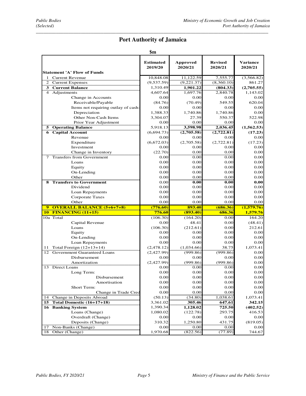### *\_\_\_\_\_\_\_\_\_\_\_\_\_\_\_\_\_\_\_\_\_\_\_\_\_\_\_\_\_\_\_\_\_\_\_\_\_\_\_\_\_\_\_\_\_\_\_\_\_\_\_\_\_\_\_\_\_\_\_\_\_\_\_\_\_\_\_\_\_\_\_\_\_\_\_\_\_\_\_\_\_\_\_\_\_\_\_\_\_\_\_\_\_*  **Port Authority of Jamaica**

| <b>Statement 'A' Flow of Funds</b>               | <b>Estimated</b><br>2019/20 | <b>Approved</b><br>2020/21 | <b>Revised</b><br>2020/21 | <b>Variance</b><br>2020/21 |
|--------------------------------------------------|-----------------------------|----------------------------|---------------------------|----------------------------|
| 1 Current Revenue                                | 10,848.08                   | 11,122.59                  | 7,555.77                  | (3,566.82)                 |
| 2 Current Expenses                               | (9,537.59)                  | (9,221.37)                 | (8,360.10)                | 861.27                     |
| 3 Current Balance                                | 1,310.49                    | 1,901.22                   | (804.33)                  | (2,705.55)                 |
| 4 Adjustments                                    | 4,607.64                    | 1,697.76                   | 2,840.78                  | 1,143.02                   |
| Change in Accounts                               | 0.00                        | 0.00                       | 0.00                      | 0.00                       |
| Receivable/Payable                               | (84.76)                     | (70.49)                    | 549.55                    | 620.04                     |
| Items not requiring outlay of cash:              | 0.00                        | 0.00                       | 0.00                      | 0.00                       |
| Depreciation                                     | 1,388.33                    | 1,740.86                   | 1,740.86                  | 0.00                       |
| Other Non-Cash Items                             | 3,304.07                    | 27.39                      | 550.37                    | 522.98                     |
| Prior Year Adjustment                            | 0.00                        | 0.00                       | 0.00                      | 0.00                       |
| 5 Operating Balance                              | 5,918.13                    | 3,598.98                   | 2,036.45                  | (1,562.53)                 |
| <b>Capital Account</b><br>6                      | (6,694.73)                  | (2,705.58)                 | (2,722.81)                | (17.23)                    |
| Revenue                                          | 0.00                        | 0.00                       | 0.00                      | 0.00                       |
| Expenditure                                      | (6,672.03)                  | (2,705.58)                 | (2,722.81)                | (17.23)                    |
| Investment                                       | 0.00                        | 0.00                       | 0.00                      | 0.00                       |
| Change in Inventory                              | (22.70)                     | 0.00                       | 0.00                      | 0.00                       |
| 7 Transfers from Government                      | 0.00                        | 0.00                       | 0.00                      | 0.00                       |
| Loans                                            | 0.00                        | 0.00                       | 0.00                      | 0.00                       |
| Equity                                           | 0.00                        | 0.00                       | 0.00                      | 0.00                       |
| On-Lending                                       | 0.00                        | 0.00                       | 0.00                      | 0.00                       |
| Other                                            | 0.00                        | 0.00                       | 0.00                      | 0.00                       |
| <b>Transfers to Government</b><br>8.             | 0.00                        | 0.00                       | 0.00                      | 0.00                       |
| Dividend                                         | 0.00                        | 0.00                       | 0.00                      | 0.00                       |
| Loan Repayments                                  | 0.00                        | 0.00                       | 0.00                      | 0.00                       |
| Corporate Taxes                                  | 0.00                        | 0.00                       | 0.00                      | 0.00                       |
| Other                                            | 0.00                        | 0.00                       | 0.00                      | 0.00                       |
| 9 OVERALL BALANCE (5+6+7+8)                      | (776.60)                    | 893.40                     | (686.36)                  | (1,579.76)                 |
| <b>FINANCING (11+15)</b><br><b>10</b>            | 776.60                      | (893.40)                   | 686.36                    | 1,579.76                   |
| 10a Total                                        | (106.30)                    | (164.20)                   | 0.00                      | 164.20                     |
| Capital Revenue                                  | 0.00                        | 48.41                      | 0.00                      | (48.41)                    |
| Loans                                            | (106.30)                    | (212.61)                   | 0.00                      | 212.61                     |
| Equity                                           | 0.00                        | 0.00                       | 0.00                      | 0.00                       |
| On-Lending                                       | 0.00                        | 0.00                       | 0.00                      | 0.00                       |
| Loan Repayments                                  | 0.00                        | 0.00                       | 0.00                      | 0.00                       |
| Total Foreign $(12+13+14)$<br>11                 | (2, 478.12)                 | (1,034.66)                 | 38.75                     | 1,073.41                   |
| 12 Government Guaranteed Loans                   | (2,427.99)                  | (999.86)                   | (999.86)                  | 0.00                       |
| Disbursement                                     | 0.00                        | 0.00                       | 0.00                      | 0.00                       |
| Amortization                                     | (2,427.99)                  | (999.86)                   | (999.86)                  | 0.00                       |
| 13 Direct Loans                                  | 0.00                        | 0.00                       | 0.00                      | 0.00                       |
| Long Term:                                       | 0.00                        | 0.00                       | 0.00                      | 0.00                       |
| Disbursement                                     | 0.00                        | 0.00                       | 0.00                      | 0.00                       |
| Amortisation                                     | $0.00\,$                    | 0.00                       | 0.00                      | 0.00                       |
| Short Term:                                      | $0.00\,$                    | 0.00                       | 0.00                      | 0.00                       |
| Change in Trade Cred                             | 0.00                        | 0.00                       | 0.00                      | 0.00                       |
| Change in Deposits Abroad<br>14                  | (50.13)                     | (34.80)                    | 1,038.61                  | 1,073.41                   |
| Total Domestic (16+17+18)<br>15                  | 3,361.02                    | 305.46                     | 647.61                    | 342.15                     |
| 16 Banking System                                | 1,390.34                    | 1,128.02                   | 725.50                    | (402.52)                   |
| Loans (Change)                                   | 1,080.02                    | (122.78)                   | 293.75                    | 416.53                     |
| Overdraft (Change)                               | 0.00                        | 0.00                       | 0.00                      | 0.00                       |
| Deposits (Change)                                | 310.32                      | 1,250.80                   | 431.75                    | (819.05)                   |
| Non-Banks (Change)<br>17<br>Other (Change)<br>18 | 0.00<br>1,970.68            | 0.00<br>(822.56)           | 0.00<br>(77.89)           | 0.00<br>744.67             |
|                                                  |                             |                            |                           |                            |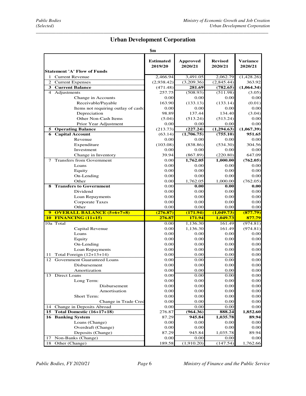### *\_\_\_\_\_\_\_\_\_\_\_\_\_\_\_\_\_\_\_\_\_\_\_\_\_\_\_\_\_\_\_\_\_\_\_\_\_\_\_\_\_\_\_\_\_\_\_\_\_\_\_\_\_\_\_\_\_\_\_\_\_\_\_\_\_\_\_\_\_\_\_\_\_\_\_\_\_\_\_\_\_\_\_\_\_\_\_\_\_\_\_\_\_*  **Urban Development Corporation**

**\$m** 

| <b>Statement 'A' Flow of Funds</b>    | <b>Estimated</b><br>2019/20 | <b>Approved</b><br>2020/21 | <b>Revised</b><br>2020/21 | <b>Variance</b><br>2020/21 |
|---------------------------------------|-----------------------------|----------------------------|---------------------------|----------------------------|
| 1 Current Revenue                     | 2,466.94                    | 3,491.05                   | 2,062.79                  | (1,428.26)                 |
| 2 Current Expenses                    | (2,938.42)                  | (3,209.36)                 | (2,845.44)                | 363.92                     |
| 3 Current Balance                     | (471.48)                    | 281.69                     | (782.65)                  | (1,064.34)                 |
| 4 Adjustments                         | 257.75                      | (508.93)                   | (511.98)                  | (3.05)                     |
| Change in Accounts                    | 0.00                        | 0.00                       | 0.00                      | 0.00                       |
| Receivable/Payable                    | 163.90                      | (133.13)                   | (133.14)                  | (0.01)                     |
| Items not requiring outlay of cash:   | 0.00                        | 0.00                       | 0.00                      | 0.00                       |
| Depreciation                          | 98.89                       | 137.44                     | 134.40                    | (3.04)                     |
| Other Non-Cash Items                  | (5.04)                      | (513.24)                   | (513.24)                  | 0.00                       |
| Prior Year Adjustment                 | 0.00                        | 0.00                       | 0.00                      | 0.00                       |
| <b>5 Operating Balance</b>            | (213.73)                    | (227.24)                   | (1,294.63)                | (1,067.39)                 |
| <b>6</b> Capital Account              | (63.14)                     | (1,706.75)                 | (755.10)                  | 951.65                     |
| Revenue                               | 0.00                        | 0.00                       | 0.00                      | 0.00                       |
| Expenditure                           | (103.08)                    | (838.86)                   | (534.30)                  | 304.56                     |
| Investment                            | 0.00                        | 0.00                       | 0.00                      | 0.00                       |
| Change in Inventory                   | 39.94                       | (867.89)                   | (220.80)                  | 647.09                     |
| <b>Transfers from Government</b><br>7 | 0.00                        | 1,762.05                   | 1,000.00                  | (762.05)                   |
| Loans                                 | 0.00                        | 0.00                       | 0.00                      | 0.00                       |
| Equity                                | 0.00                        | 0.00                       | 0.00                      | 0.00                       |
| On-Lending                            | 0.00                        | 0.00                       | 0.00                      | 0.00                       |
| Other                                 | 0.00                        | 1,762.05                   | 1,000.00                  | (762.05)                   |
| <b>8 Transfers to Government</b>      | 0.00                        | 0.00                       | 0.00                      | 0.00                       |
| Dividend                              | 0.00                        | 0.00                       | 0.00                      | 0.00                       |
| Loan Repayments                       | 0.00                        | 0.00                       | 0.00                      | 0.00                       |
| <b>Corporate Taxes</b>                | 0.00                        | 0.00                       | 0.00                      | 0.00                       |
| Other                                 | 0.00                        | 0.00                       | 0.00                      | 0.00                       |
| 9 OVERALL BALANCE (5+6+7+8)           | (276.87)                    | (171.94)                   | (1,049.73)                | (877.79)                   |
| <b>10 FINANCING (11+15)</b>           | <u>276.87</u>               | <b>171.94</b>              | 1,049.73                  | 877.79                     |
| 10a Total                             | 0.00                        | 1,136.30                   | 161.49                    | (974.81)                   |
| Capital Revenue                       | 0.00                        | 1,136.30                   | 161.49                    | (974.81)                   |
| Loans                                 | 0.00                        | 0.00                       | 0.00                      | 0.00                       |
| Equity                                | 0.00                        | 0.00                       | 0.00                      | 0.00                       |
| On-Lending                            | 0.00                        | 0.00                       | 0.00                      | 0.00                       |
| Loan Repayments                       | 0.00                        | 0.00                       | 0.00                      | 0.00                       |
| Total Foreign $(12+13+14)$<br>11      | 0.00                        | 0.00                       | 0.00                      | 0.00                       |
| 12 Government Guaranteed Loans        | 0.00                        | 0.00                       | 0.00                      | 0.00                       |
| Disbursement                          | 0.00                        | 0.00                       | 0.00                      | 0.00                       |
| Amortization                          | 0.00                        | 0.00                       | 0.00                      | 0.00                       |
| 13 Direct Loans                       | 0.00                        | 0.00                       | 0.00                      | 0.00                       |
| Long Term:                            | $0.00\,$                    | 0.00                       | $0.00\,$                  | 0.00                       |
| Disbursement                          | 0.00                        | $0.00\,$                   | 0.00                      | 0.00                       |
| Amortisation                          | 0.00                        | 0.00                       | 0.00                      | 0.00                       |
| Short Term:                           | 0.00                        | 0.00                       | 0.00                      | 0.00                       |
| Change in Trade Cred                  | 0.00                        | 0.00                       | 0.00                      | 0.00                       |
| 14<br>Change in Deposits Abroad       | 0.00                        | 0.00                       | 0.00                      | 0.00                       |
| 15 Total Domestic $(16+17+18)$        | 276.87                      | (964.36)                   | 888.24                    | 1,852.60                   |
| <b>16 Banking System</b>              | 87.29                       | 945.84                     | 1,035.78                  | 89.94                      |
| Loans (Change)                        | 0.00                        | 0.00                       | 0.00                      | 0.00                       |
| Overdraft (Change)                    | 0.00                        | 0.00                       | 0.00                      | 0.00                       |
| Deposits (Change)                     | 87.29                       | 945.84                     | 1,035.78                  | 89.94                      |
| 17 Non-Banks (Change)                 | 0.00                        | 0.00                       | 0.00                      | 0.00                       |
| 18<br>Other (Change)                  | 189.58                      | (1,910.20)                 | (147.54)                  | 1,762.66                   |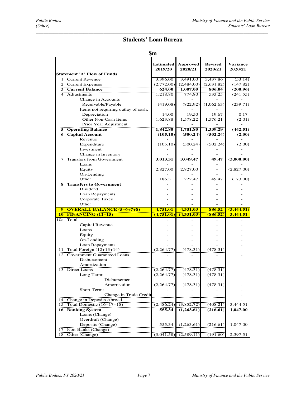### *\_\_\_\_\_\_\_\_\_\_\_\_\_\_\_\_\_\_\_\_\_\_\_\_\_\_\_\_\_\_\_\_\_\_\_\_\_\_\_\_\_\_\_\_\_\_\_\_\_\_\_\_\_\_\_\_\_\_\_\_\_\_\_\_\_\_\_\_\_\_\_\_\_\_\_\_\_\_\_\_\_\_\_\_\_\_\_\_\_\_\_\_\_*  **Students' Loan Bureau**

### **\$m**

| <b>Statement 'A' Flow of Funds</b>                                   | <b>Estimated</b><br>2019/20 | <b>Approved</b><br>2020/21 | <b>Revised</b><br>2020/21 | <b>Variance</b><br>2020/21 |
|----------------------------------------------------------------------|-----------------------------|----------------------------|---------------------------|----------------------------|
| $\mathbf{1}$                                                         |                             | 3,491.00                   |                           |                            |
| <b>Current Revenue</b>                                               | 3,396.00                    |                            | 3,437.86                  | (53.14)                    |
| 2 Current Expenses<br><b>3</b> Current Balance                       | (2,772.00)<br>624.00        | (2,484.00)<br>1,007.00     | (2,631.82)<br>806.04      | (147.82)<br>(200.96)       |
| $\overline{4}$<br>Adjustments                                        | 1,218.80                    | 774.80                     | 533.25                    | (241.55)                   |
| Change in Accounts                                                   |                             |                            |                           |                            |
| Receivable/Payable                                                   | (419.08)                    | (822.92)                   | (1,062.63)                | (239.71)                   |
| Items not requiring outlay of cash:                                  |                             |                            |                           |                            |
| Depreciation                                                         | 14.00                       | 19.50                      | 19.67                     | 0.17                       |
| Other Non-Cash Items                                                 | 1,623.88                    | 1,578.22                   | 1.576.21                  | (2.01)                     |
| Prior Year Adjustment                                                |                             |                            |                           |                            |
| <b>5 Operating Balance</b>                                           | 1,842.80                    | 1,781.80                   | 1,339.29                  | (442.51)                   |
| <b>6</b> Capital Account                                             | (105.10)                    | (500.24)                   | (502.24)                  | (2.00)                     |
| Revenue                                                              |                             |                            |                           |                            |
| Expenditure                                                          | (105.10)                    | (500.24)                   | (502.24)                  | (2.00)                     |
| Investment                                                           |                             |                            |                           |                            |
| Change in Inventory                                                  |                             |                            |                           |                            |
| 7 Transfers from Government                                          | 3,013.31                    | 3,049.47                   | 49.47                     | (3,000.00)                 |
| Loans                                                                |                             |                            |                           |                            |
| Equity                                                               | 2,827.00                    | 2,827.00                   |                           | (2,827.00)                 |
| On-Lending                                                           |                             |                            |                           |                            |
| Other                                                                | 186.31                      | 222.47                     | 49.47                     | (173.00)                   |
| <b>Transfers to Government</b><br>8                                  |                             |                            |                           |                            |
| Dividend                                                             |                             |                            |                           |                            |
| Loan Repayments                                                      |                             |                            |                           |                            |
| Corporate Taxes                                                      |                             |                            |                           |                            |
| Other                                                                |                             |                            |                           |                            |
| 9 OVERALL BALANCE (5+6+7+8)<br><b>FINANCING (11+15)</b><br>10        | 4,751.01<br>(4,751.01)      | 4,331.03<br>(4, 331, 03)   | 886.52<br>(886.52)        | (3,444.51)<br>3,444.51     |
| Total<br>10a                                                         |                             |                            |                           |                            |
| Capital Revenue                                                      |                             |                            |                           |                            |
| Loans                                                                |                             |                            |                           |                            |
| Equity                                                               |                             |                            |                           |                            |
| On-Lending                                                           |                             |                            |                           |                            |
| Loan Repayments                                                      |                             |                            |                           |                            |
| Total Foreign (12+13+14)<br>11<br><b>Government Guaranteed Loans</b> | (2,264.77)                  | (478.31)                   | (478.31)                  |                            |
| 12<br>Disbursement                                                   |                             |                            |                           |                            |
| Amortization                                                         |                             |                            |                           |                            |
| 13 Direct Loans                                                      | (2,264.77)                  | (478.31)                   | (478.31)                  |                            |
| Long Term:                                                           | (2,264.77)                  | (478.31)                   | (478.31)                  |                            |
| Disbursement                                                         |                             |                            |                           |                            |
| Amortisation                                                         | (2,264.77)                  | (478.31)                   | (478.31)                  |                            |
| Short Term:                                                          |                             |                            |                           |                            |
| Change in Trade Credit                                               |                             |                            |                           |                            |
| 14 Change in Deposits Abroad                                         |                             |                            |                           |                            |
| Total Domestic (16+17+18)<br>15                                      | (2,486.24)                  | (3,852.72)                 | (408.21)                  | 3,444.51                   |
| <b>16 Banking System</b>                                             |                             | (1,263.61)                 | (216.61)                  | 1,047.00                   |
|                                                                      | 555.34                      |                            |                           |                            |
| Loans (Change)                                                       |                             |                            |                           |                            |
| Overdraft (Change)                                                   |                             |                            |                           |                            |
| Deposits (Change)                                                    | 555.34                      | (1,263.61)                 | (216.61)                  | 1,047.00                   |
| Non-Banks (Change)<br>17<br>Other (Change)                           |                             |                            |                           |                            |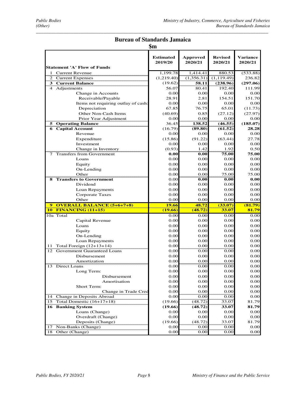### *\_\_\_\_\_\_\_\_\_\_\_\_\_\_\_\_\_\_\_\_\_\_\_\_\_\_\_\_\_\_\_\_\_\_\_\_\_\_\_\_\_\_\_\_\_\_\_\_\_\_\_\_\_\_\_\_\_\_\_\_\_\_\_\_\_\_\_\_\_\_\_\_\_\_\_\_\_\_\_\_\_\_\_\_\_\_\_\_\_\_\_\_\_*  **Bureau of Standards Jamaica**

|                                               | эm                          |                            |                           |                     |
|-----------------------------------------------|-----------------------------|----------------------------|---------------------------|---------------------|
|                                               | <b>Estimated</b><br>2019/20 | <b>Approved</b><br>2020/21 | <b>Revised</b><br>2020/21 | Variance<br>2020/21 |
| <b>Statement 'A' Flow of Funds</b>            |                             |                            |                           |                     |
| 1 Current Revenue                             | 1.199.78                    | 1,414.41                   | 880.53                    | (533.88)            |
| $\overline{2}$<br><b>Current Expenses</b>     | (1,219.40)                  | (1,356.31)                 | (1, 119.49)               | 236.82              |
| 3 Current Balance                             | (19.62)                     | 58.11                      | (238.96)                  | (297.06)            |
| 4 Adjustments                                 | 56.07                       | 80.41                      | 192.40                    | 111.99              |
| Change in Accounts                            | 0.00                        | 0.00                       | 0.00                      | 0.00                |
| Receivable/Payable                            | 28.91                       | 2.81                       | 154.51                    | 151.70              |
| Items not requiring outlay of cash:           | 0.00                        | 0.00                       | 0.00                      | 0.00                |
| Depreciation                                  | 67.85                       | 76.75                      | 65.01                     | (11.73)             |
| Other Non-Cash Items                          | (40.69)                     | 0.85                       | (27.12)                   | (27.97)             |
| Prior Year Adjustment                         | 0.00                        | 0.00                       | 0.00                      | 0.00                |
| <b>5</b> Operating Balance                    | 36.45                       | 138.52                     | (46.55)                   | (185.07)            |
| <b>6</b> Capital Account                      | (16.79)                     | (89.80)                    | (61.52)                   | 28.28               |
| Revenue                                       | 0.00                        | 0.00                       | 0.00                      | 0.00                |
| Expenditure                                   | (15.86)                     | (91.22)                    | (63.44)                   | 27.78               |
| Investment                                    | 0.00                        | 0.00                       | 0.00                      | 0.00                |
| Change in Inventory                           | (0.93)                      | 1.42                       | 1.92                      | 0.50                |
| <b>Transfers from Government</b><br>7         | 0.00                        | 0.00                       | 75.00                     | 75.00               |
| Loans                                         | 0.00                        | 0.00                       | 0.00                      | 0.00                |
| Equity                                        | 0.00                        | 0.00                       | 0.00                      | 0.00                |
| On-Lending                                    | 0.00                        | 0.00                       | 0.00                      | 0.00                |
| Other                                         | 0.00                        | 0.00                       | 75.00                     | 75.00               |
| <b>8 Transfers to Government</b>              | 0.00                        | 0.00                       | 0.00                      | 0.00                |
| Dividend                                      | 0.00                        | 0.00                       | 0.00                      | 0.00                |
| Loan Repayments                               | 0.00                        | 0.00                       | 0.00                      | 0.00                |
| Corporate Taxes                               | 0.00                        | 0.00                       | 0.00                      | 0.00                |
| Other                                         | 0.00                        | 0.00                       | 0.00                      | 0.00                |
| <b>OVERALL BALANCE (5+6+7+8)</b><br>9         | <b>19.66</b>                | 48.72                      | (33.07)                   | (81.79)             |
| <b>10 FINANCING (11+15)</b>                   | (19.66)                     | (48.72)                    | 33.07                     | 81.79               |
| 10a Total                                     | 0.00                        | 0.00                       | 0.00                      | 0.00                |
| Capital Revenue                               | 0.00                        | 0.00                       | 0.00                      | 0.00                |
| Loans                                         | 0.00                        | 0.00                       | 0.00                      | 0.00                |
| Equity                                        | 0.00                        | 0.00                       | 0.00                      | 0.00                |
| On-Lending                                    | 0.00                        | 0.00                       | 0.00                      | 0.00                |
| Loan Repayments                               | 0.00                        | 0.00                       | 0.00                      | 0.00                |
| Total Foreign $(12+13+14)$<br>11              | 0.00                        | 0.00                       | 0.00                      | 0.00                |
| 12 Government Guaranteed Loans                | 0.00                        | 0.00                       | 0.00                      | 0.00                |
| <b>Disbursement</b>                           | 0.00                        | 0.00                       | 0.00                      | 0.00                |
| Amortization                                  | 0.00                        | 0.00                       | 0.00                      | 0.00                |
| 13 Direct Loans                               | 0.00                        | 0.00                       | 0.00                      | 0.00                |
| Long Term:                                    | 0.00                        | 0.00                       | 0.00                      | 0.00                |
| Disbursement                                  | 0.00                        | 0.00                       | 0.00                      | 0.00                |
| Amortisation                                  | 0.00                        | 0.00                       | 0.00                      | 0.00                |
| Short Term:                                   | 0.00                        | 0.00                       | 0.00                      | 0.00                |
| Change in Trade Cred                          | 0.00                        | 0.00                       | 0.00                      | $0.00\,$            |
| 14 Change in Deposits Abroad                  | 0.00                        | 0.00                       | 0.00                      | 0.00                |
| 15 Total Domestic $(16+17+18)$                | (19.66)                     | (48.72)                    | 33.07                     | 81.79               |
| <b>16 Banking System</b>                      | (19.66)                     | (48.72)                    | 33.07                     | 81.79               |
| Loans (Change)                                | 0.00                        | 0.00                       | 0.00                      | 0.00                |
| Overdraft (Change)                            | 0.00                        | 0.00                       | 0.00                      | 0.00                |
| Deposits (Change)                             | (19.66)                     | (48.72)                    | 33.07                     | 81.79               |
|                                               |                             |                            |                           |                     |
| Non-Banks (Change)<br>17<br>18 Other (Change) | 0.00                        | 0.00                       | 0.00                      | 0.00                |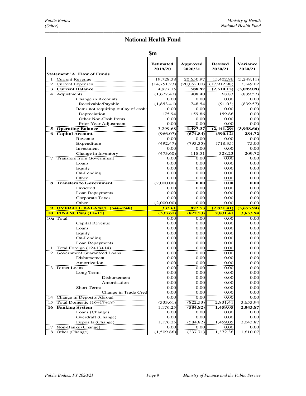### *\_\_\_\_\_\_\_\_\_\_\_\_\_\_\_\_\_\_\_\_\_\_\_\_\_\_\_\_\_\_\_\_\_\_\_\_\_\_\_\_\_\_\_\_\_\_\_\_\_\_\_\_\_\_\_\_\_\_\_\_\_\_\_\_\_\_\_\_\_\_\_\_\_\_\_\_\_\_\_\_\_\_\_\_\_\_\_\_\_\_\_\_\_\_\_\_*  **National Health Fund**

| <b>Statement 'A' Flow of Funds</b>              | <b>Estimated</b><br>2019/20 | <b>Approved</b><br>2020/21 | <b>Revised</b><br>2020/21 | <b>Variance</b><br>2020/21 |
|-------------------------------------------------|-----------------------------|----------------------------|---------------------------|----------------------------|
| 1 Current Revenue                               | 19,728.38                   | 20,650.97                  | 15,402.86                 | (5,248.11)                 |
| 2 Current Expenses                              | (14, 751.23)                | (20,062.00)                | (17,912.98)               | 2,149.02                   |
| 3 Current Balance                               | 4,977.15                    | 588.97                     | (2,510.12)                | (3,099.09)                 |
| 4 Adjustments                                   | (1,677.47)                  | 908.40                     | 68.83                     | (839.57)                   |
| Change in Accounts                              | 0.00                        | 0.00                       | 0.00                      | 0.00                       |
| Receivable/Payable                              | (1,853.41)                  | 748.54                     | (91.03)                   | (839.57)                   |
| Items not requiring outlay of cash:             | 0.00                        | 0.00                       | 0.00                      | 0.00                       |
| Depreciation                                    | 175.94                      | 159.86                     | 159.86                    | 0.00                       |
| Other Non-Cash Items                            | 0.00                        | 0.00                       | 0.00                      | 0.00                       |
| Prior Year Adjustment                           | 0.00                        | 0.00                       | 0.00                      | 0.00                       |
| 5 Operating Balance                             | 3,299.68                    | 1,497.37                   | (2,441.29)                | (3,938.66)                 |
| <b>6</b> Capital Account                        | (966.07)                    | (674.84)                   | (390.12)                  | 284.72                     |
| Revenue                                         | 0.00                        | 0.00                       | 0.00                      | 0.00                       |
| Expenditure                                     | (492.47)                    | (793.35)                   | (718.35)                  | 75.00                      |
| Investment                                      | 0.00                        | 0.00                       | 0.00                      | 0.00                       |
| Change in Inventory                             | (473.60)                    | 118.51                     | 328.23                    | 209.72                     |
| 7 Transfers from Government                     | 0.00                        | 0.00                       | 0.00                      | 0.00                       |
| Loans                                           | 0.00                        | 0.00                       | 0.00                      | 0.00                       |
| Equity                                          | 0.00                        | 0.00                       | 0.00                      | 0.00                       |
| On-Lending                                      | 0.00                        | 0.00                       | 0.00                      | 0.00                       |
| Other                                           | 0.00                        | 0.00                       | 0.00                      | 0.00                       |
| <b>8 Transfers to Government</b>                | (2,000.00)                  | 0.00                       | 0.00                      | 0.00                       |
| Dividend                                        | 0.00                        | 0.00                       | 0.00                      | 0.00                       |
| Loan Repayments                                 | 0.00                        | 0.00                       | 0.00                      | 0.00                       |
| Corporate Taxes                                 | 0.00                        | 0.00                       | 0.00                      | 0.00                       |
| Other                                           | (2,000.00)                  | 0.00                       | 0.00                      | 0.00                       |
| <b>OVERALL BALANCE (5+6+7+8)</b><br>$\mathbf Q$ | 333.61                      | 822.53                     | (2,831.41)                | (3,653.94)                 |
| <b>10 FINANCING (11+15)</b>                     | (333.61)                    | (822.53)                   | 2,831.41                  | 3,653.94                   |
| 10a Total                                       | 0.00                        | 0.00                       | 0.00                      | 0.00                       |
| Capital Revenue                                 | 0.00                        | 0.00                       | 0.00                      | 0.00                       |
| Loans                                           | 0.00                        | 0.00                       | 0.00                      | 0.00                       |
| Equity                                          | 0.00                        | 0.00                       | 0.00                      | 0.00                       |
| On-Lending                                      | 0.00                        | 0.00                       | 0.00                      | 0.00                       |
| Loan Repayments                                 | 0.00                        | 0.00                       | 0.00                      | 0.00                       |
| Total Foreign $(12+13+14)$<br>11                | 0.00                        | 0.00                       | 0.00                      | 0.00                       |
| 12 Government Guaranteed Loans                  | 0.00                        | 0.00                       | 0.00                      | 0.00                       |
| Disbursement                                    | 0.00                        | 0.00                       | 0.00                      | 0.00                       |
| Amortization                                    | 0.00                        | 0.00                       | 0.00                      | 0.00                       |
| 13 Direct Loans                                 | 0.00                        | 0.00                       | 0.00                      | 0.00                       |
| Long Term:                                      | 0.00                        | 0.00                       | 0.00                      | 0.00                       |
| <b>Disbursement</b>                             | 0.00                        | $0.00\,$                   | 0.00                      | 0.00                       |
| Amortisation                                    | 0.00                        | 0.00                       | 0.00                      | 0.00                       |
| Short Term:                                     | 0.00                        | 0.00                       | 0.00                      | 0.00                       |
| Change in Trade Cred                            | 0.00                        | 0.00                       | 0.00                      | 0.00                       |
| 14 Change in Deposits Abroad                    | 0.00                        | 0.00                       | 0.00                      | 0.00                       |
| 15 Total Domestic $(16+17+18)$                  | (333.61)                    | (822.53)                   | 2,831.41                  | 3,653.94                   |
| <b>16 Banking System</b>                        | 1,176.25                    | (584.82)                   | 1,459.05                  | 2,043.87                   |
| Loans (Change)                                  | 0.00                        | 0.00                       | 0.00                      | 0.00                       |
| Overdraft (Change)                              | $0.00\,$                    | 0.00                       | 0.00                      | 0.00                       |
| Deposits (Change)                               | 1,176.25                    | (584.82)                   | 1,459.05                  | 2,043.87                   |
| 17 Non-Banks (Change)                           | 0.00                        | 0.00                       | 0.00                      | 0.00                       |
| Other (Change)<br>18                            | (1,509.86)                  | (237.71)                   | 1,372.36                  | 1,610.07                   |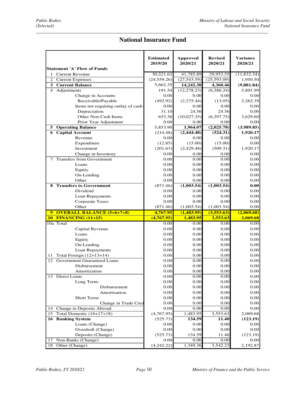### *\_\_\_\_\_\_\_\_\_\_\_\_\_\_\_\_\_\_\_\_\_\_\_\_\_\_\_\_\_\_\_\_\_\_\_\_\_\_\_\_\_\_\_\_\_\_\_\_\_\_\_\_\_\_\_\_\_\_\_\_\_\_\_\_\_\_\_\_\_\_\_\_\_\_\_\_\_\_\_\_\_\_\_\_\_\_\_\_\_\_\_\_\_*  **National Insurance Fund**

| <b>Statement 'A' Flow of Funds</b>       | <b>Estimated</b><br>2019/20 | <b>Approved</b><br>2020/21 | <b>Revised</b><br>2020/21 | <b>Variance</b><br>2020/21 |
|------------------------------------------|-----------------------------|----------------------------|---------------------------|----------------------------|
| 1 Current Revenue                        | 30,221.62                   | 41,785.89                  | 29,953.55                 | (11, 832.34)               |
| 2 Current Expenses                       | (24, 559.26)                | (27,543.59)                | (25,593.09)               | 1,950.50                   |
| <b>3</b> Current Balance                 | 5,662.35                    | 14,242.30                  | 4,360.46                  | (9,881.84)                 |
| Adjustments<br>$\overline{4}$            | 191.54                      | (12, 278.23)               | (6,386.24)                | 5,891.99                   |
| Change in Accounts                       | 0.00                        | 0.00                       | 0.00                      | 0.00                       |
| Receivable/Payable                       | (492.92)                    | (2,275.44)                 | (13.05)                   | 2,262.39                   |
| Items not requiring outlay of cash:      | 0.00                        | 0.00                       | 0.00                      | 0.00                       |
| Depreciation                             | 31.10                       | 24.56                      | 24.56                     | 0.00                       |
| Other Non-Cash Items                     | 653.36                      | (10,027.35)                | (6,397.75)                | 3,629.60                   |
| Prior Year Adjustment                    | 0.00                        | 0.00                       | 0.00                      | 0.00                       |
| <b>5 Operating Balance</b>               | 5,853.90                    | 1,964.07                   | (2,025.78)                | (3,989.85)                 |
| <b>6</b> Capital Account                 | (214.48)                    | (2, 444.48)                | (524.31)                  | 1,920.17                   |
| Revenue                                  | 0.00                        | 0.00                       | 0.00                      | 0.00                       |
| Expenditure                              | (12.85)                     | (15.00)                    | (15.00)                   | 0.00                       |
| Investment                               | (201.63)                    | (2,429.48)                 | (509.31)                  | 1,920.17                   |
| Change in Inventory                      | 0.00                        | 0.00                       | 0.00                      | 0.00                       |
| <b>Transfers from Government</b><br>7    | 0.00                        | 0.00                       | 0.00                      | 0.00                       |
| Loans                                    | 0.00                        | 0.00                       | 0.00                      | 0.00                       |
| Equity                                   | 0.00                        | 0.00                       | 0.00                      | 0.00                       |
| On-Lending                               | 0.00                        | 0.00                       | 0.00                      | 0.00                       |
| Other                                    | 0.00                        | 0.00                       | 0.00                      | 0.00                       |
| <b>8 Transfers to Government</b>         | (871.46)                    | (1,003.54)                 | (1,003.54)                | 0.00                       |
| Dividend                                 | 0.00                        | 0.00                       | 0.00                      | 0.00                       |
| Loan Repayments                          | 0.00                        | 0.00                       | 0.00                      | 0.00                       |
| <b>Corporate Taxes</b>                   | 0.00                        | 0.00                       | 0.00                      | 0.00                       |
| Other                                    | (871.46)                    | (1,003.54)                 | (1,003.54)                | 0.00                       |
| 9 OVERALL BALANCE (5+6+7+8)              | 4,767.95                    | (1,483.95)                 | (3,553.63)                | (2,069.68)                 |
| <b>10 FINANCING (11+15)</b>              | (4,767.95)                  | <u>1,483.95</u>            | 3,553.63                  | 2,069.68                   |
| 10a Total                                | 0.00                        | $0.00\,$                   | 0.00                      | 0.00                       |
| Capital Revenue                          | 0.00                        | 0.00                       | 0.00                      | 0.00                       |
| Loans                                    | 0.00                        | 0.00                       | 0.00                      | 0.00                       |
| Equity                                   | 0.00                        | 0.00                       | 0.00                      | 0.00                       |
| On-Lending                               | 0.00                        | 0.00                       | 0.00                      | 0.00                       |
| Loan Repayments                          | 0.00                        | 0.00                       | 0.00                      | 0.00                       |
| Total Foreign $(12+13+14)$<br>11         | 0.00                        | 0.00                       | 0.00                      | 0.00                       |
| 12<br><b>Government Guaranteed Loans</b> | 0.00                        | 0.00                       | 0.00                      | 0.00                       |
| Disbursement                             | 0.00                        | 0.00                       | 0.00                      | 0.00                       |
| Amortization                             | 0.00                        | 0.00                       | 0.00                      | 0.00                       |
| 13 Direct Loans                          | 0.00                        | 0.00                       | 0.00                      | 0.00                       |
| Long Term:                               | 0.00                        | 0.00                       | 0.00                      | 0.00                       |
| Disbursement                             | 0.00                        | 0.00                       | 0.00                      | 0.00                       |
| Amortisation                             | 0.00                        | 0.00                       | 0.00                      | 0.00                       |
| Short Term:                              | 0.00                        | 0.00                       | 0.00                      | 0.00                       |
| Change in Trade Cred                     | 0.00                        | 0.00                       | 0.00                      | 0.00                       |
| Change in Deposits Abroad<br>14          | 0.00                        | 0.00                       | 0.00                      | 0.00                       |
| 15 Total Domestic $(16+17+18)$           | (4,767.95)                  | 1,483.95                   | 3,553.63                  | 2,069.68                   |
| 16 Banking System                        | (525.73)                    | 134.59                     | 11.40                     | (123.19)                   |
| Loans (Change)                           | 0.00                        | 0.00                       | 0.00                      | 0.00                       |
| Overdraft (Change)                       | 0.00                        | 0.00                       | 0.00                      | 0.00                       |
| Deposits (Change)                        | (525.73)                    | 134.59                     | 11.40                     | (123.19)                   |
| Non-Banks (Change)<br>17                 | 0.00                        | 0.00                       | 0.00                      | 0.00                       |
| 18<br>Other (Change)                     | (4,242.22)                  | 1,349.36                   | 3,542.23                  | 2,192.87                   |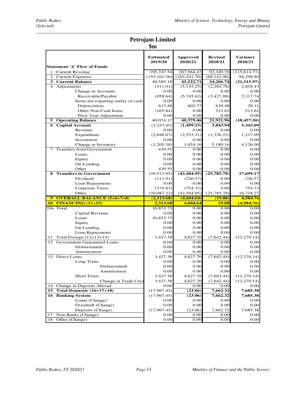### *\_\_\_\_\_\_\_\_\_\_\_\_\_\_\_\_\_\_\_\_\_\_\_\_\_\_\_\_\_\_\_\_\_\_\_\_\_\_\_\_\_\_\_\_\_\_\_\_\_\_\_\_\_\_\_\_\_\_\_\_\_\_\_\_\_\_\_\_\_\_\_\_\_\_\_\_\_\_\_\_\_\_\_\_\_\_\_\_\_\_\_\_\_*  **Petrojam Limited**

|                                               | $\mathbf{\$m}$              |                     |                           |                                                      |
|-----------------------------------------------|-----------------------------|---------------------|---------------------------|------------------------------------------------------|
| <b>Statement 'A' Flow of Funds</b>            | <b>Estimated</b><br>2019/20 | Approved<br>2020/21 | <b>Revised</b><br>2020/21 | <b>Variance</b><br>2020/21                           |
| 1 Current Revenue                             | 195,747.54                  | 207,964.47          | 92,349.70                 | (115, 614.77)                                        |
| <b>Current Expenses</b>                       | (155, 162.36)               | (162, 441.76)       | (68, 142.96)              | 94,298.80                                            |
| <b>3 Current Balance</b>                      | 40,585.18                   | 45,522.71           | 24,206.74                 | (21, 315.97)                                         |
| 4 Adjustments                                 | (511.01)                    | (5,143.25)          | (2, 284.78)               | 2,858.47                                             |
| Change in Accounts                            | 0.00                        | 0.00                | 0.00                      | 0.00                                                 |
| Receivable/Payable                            | (958.64)                    | (5,745.62)          | (3.427.88)                | 2.317.74                                             |
| Items not requiring outlay of cash:           | 0.00                        | 0.00                | 0.00                      | 0.00                                                 |
| Depreciation                                  | 613.48                      | 602.37              | 630.48                    | 28.11                                                |
| Other Non-Cash Items                          | (165.84)                    | 0.00                | 512.62                    | 512.62                                               |
| Prior Year Adjustment                         | 0.00                        | 0.00                | 0.00                      | 0.00                                                 |
| <b>5</b> Operating Balance                    | 40,074.17                   | 40,379.46           | 21,921.96                 | (18, 457.50)                                         |
| <b>6</b> Capital Account                      | (3,253.45)                  | (1,499.15)          | 3,843.94                  | 5,343.09                                             |
| Revenue                                       | 0.00                        | 0.00                | 0.00                      | 0.00                                                 |
| Expenditure                                   | (2,048.07)                  | (2,553.31)          | (1,336.22)                | 1,217.09                                             |
| Investment                                    | 0.00                        | 0.00                | 0.00                      | 0.00                                                 |
| Change in Inventory                           | (1,205.38)                  | 1.054.16            | 5,180.16                  | 4,126.00                                             |
| 7 Transfers from Government                   | 439.55                      | 0.00                | 0.00                      | 0.00                                                 |
| Loans                                         | 0.00                        | 0.00                | 0.00                      | 0.00                                                 |
| Equity                                        | 0.00                        | 0.00                | 0.00                      | 0.00                                                 |
| On-Lending                                    | 0.00                        | 0.00                | 0.00                      | 0.00                                                 |
| Other                                         | 439.55                      | 0.00                | 0.00                      | 0.00                                                 |
| <b>8</b> Transfers to Government              | (39, 573.95)                | (43, 484.95)        | (25,785.78)               | 17,699.17                                            |
| Dividend                                      | (111.91)                    | (226.57)            | 0.00                      | 226.57                                               |
| Loan Repayments                               | 0.00                        | 0.00                | 0.00                      | 0.00                                                 |
| <b>Corporate Taxes</b>                        | (374.83)                    | (754.33)            | 0.00                      | 754.33                                               |
| Other                                         | (39,087.22)                 | (42, 504.05)        | (25,785.78)               | 16,718.27                                            |
| 9 OVERALL BALANCE (5+6+7+8)                   | (2,313.68)                  | (4,604,64)          | (19.88)                   | 4,584.76                                             |
| <b>10 FINANCING (11+15)</b><br>10a Total      | 2,313.68<br>16,853.75       | 4,604.64<br>0.00    | <b>19.88</b><br>0.00      | (4,584.76)<br>0.00                                   |
|                                               | 0.00                        | 0.00                | 0.00                      | 0.00                                                 |
| Capital Revenue<br>Loans                      | 16,853.75                   | 0.00                | 0.00                      | 0.00                                                 |
| Equity                                        | 0.00                        | 0.00                | 0.00                      | 0.00                                                 |
| On-Lending                                    | 0.00                        | 0.00                | 0.00                      | 0.00                                                 |
| Loan Repayments                               | 0.00                        | 0.00                | 0.00                      | 0.00                                                 |
| Total Foreign $(12+13+14)$<br>11              | 3,427.38                    | 4,627.70            | (7,642.44)                | (12, 270.14)                                         |
| Government Guaranteed Loans<br>12             | 0.00                        | 0.00                | 0.00                      | 0.00                                                 |
| Disbursement                                  | 0.00                        | 0.00                | 0.00                      | 0.00                                                 |
|                                               |                             |                     |                           |                                                      |
|                                               |                             |                     |                           |                                                      |
| Amortization                                  | 0.00                        | 0.00                | 0.00                      | 0.00                                                 |
| 13 Direct Loans                               | 3,427.38                    | 4,627.70            | (7,642.44)                | (12, 270.14)                                         |
| Long Term:                                    | 0.00                        | 0.00                | 0.00                      | 0.00                                                 |
| Disbursement                                  | 0.00                        | 0.00                | 0.00                      |                                                      |
| Amortisation                                  | 0.00                        | 0.00                | 0.00                      |                                                      |
| Short Term:                                   | 3,427.38                    | 4,627.70            | (7,642.44)                |                                                      |
| Change in Trade Cred                          | 3,427.38                    | 4,627.70            | (7,642.44)                |                                                      |
| 14<br>Change in Deposits Abroad               | 0.00                        | 0.00                | 0.00                      | 0.00                                                 |
| 15 Total Domestic (16+17+18)                  | (17, 967.45)                | (23.06)             | 7,662.32                  |                                                      |
| <b>16 Banking System</b>                      | (17, 967.45)                | (23.06)             | 7,662.32                  | (12, 270.14)<br>(12, 270.14)                         |
| Loans (Change)                                | 0.00                        | 0.00                | 0.00                      | 0.00                                                 |
| Overdraft (Change)                            | 0.00                        | 0.00                | 0.00                      | 0.00                                                 |
| Deposits (Change)                             | (17,967.45)                 | (23.06)             | 7,662.32                  | 7,685.38                                             |
| 17 Non-Banks (Change)<br>Other (Change)<br>18 | 0.00<br>0.00                | 0.00<br>0.00        | 0.00<br>0.00              | 0.00<br>0.00<br>7,685.38<br>7,685.38<br>0.00<br>0.00 |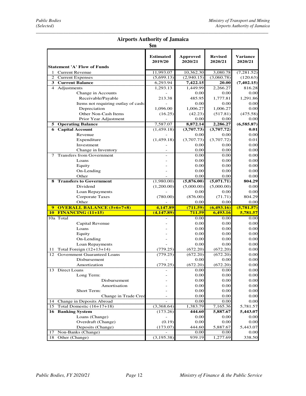### *\_\_\_\_\_\_\_\_\_\_\_\_\_\_\_\_\_\_\_\_\_\_\_\_\_\_\_\_\_\_\_\_\_\_\_\_\_\_\_\_\_\_\_\_\_\_\_\_\_\_\_\_\_\_\_\_\_\_\_\_\_\_\_\_\_\_\_\_\_\_\_\_\_\_\_\_\_\_\_\_\_\_\_\_\_\_\_\_\_\_\_\_\_*  **Airports Authority of Jamaica**

|                  |                                                    | $\mathbf{\$m}$              |                            |                           |                                        |
|------------------|----------------------------------------------------|-----------------------------|----------------------------|---------------------------|----------------------------------------|
|                  | <b>Statement 'A' Flow of Funds</b>                 | <b>Estimated</b><br>2019/20 | <b>Approved</b><br>2020/21 | <b>Revised</b><br>2020/21 | <b>Variance</b><br>2020/21             |
|                  | 1 Current Revenue                                  | 11,993.07                   | 10,362.30                  | 3,080.78                  | (7, 281.52)                            |
|                  | 2 Current Expenses                                 | (5,699.13)                  | (2,940.15)                 | (3,060.78)                | (120.63)                               |
|                  | 3 Current Balance                                  | 6,293.94                    | 7,422.15                   | 20.00                     | (7, 402.15)                            |
|                  | 4 Adjustments                                      | 1,293.13                    | 1,449.99                   | 2,266.27                  | 816.28                                 |
|                  | Change in Accounts                                 |                             | 0.00                       | 0.00                      | 0.00                                   |
|                  | Receivable/Payable                                 | 213.38                      | 485.95                     | 1,777.81                  | 1,291.86                               |
|                  | Items not requiring outlay of cash:                |                             | 0.00                       | 0.00                      | 0.00                                   |
|                  | Depreciation                                       | 1,096.00                    | 1,006.27                   | 1,006.27                  | 0.00                                   |
|                  | Other Non-Cash Items                               | (16.25)                     | (42.23)                    | (517.81)                  | (475.58)                               |
|                  | Prior Year Adjustment                              |                             | 0.00                       | 0.00                      | 0.00                                   |
|                  | 5 Operating Balance                                | 7,587.07                    | 8,872.14                   | 2,286.27                  | (6,585.87)                             |
|                  | <b>6</b> Capital Account                           | (1,459.18)                  | (3,707.73)                 | (3,707.72)                | 0.01                                   |
|                  | Revenue                                            |                             | 0.00                       | 0.00                      | 0.00                                   |
|                  | Expenditure                                        | (1,459.18)                  | (3,707.73)                 | (3,707.72)                | 0.01                                   |
|                  | Investment                                         |                             | 0.00                       | 0.00                      | 0.00                                   |
|                  |                                                    |                             | 0.00                       | 0.00                      | 0.00                                   |
|                  | Change in Inventory<br>7 Transfers from Government |                             |                            |                           |                                        |
|                  | Loans                                              |                             | 0.00<br>0.00               | 0.00<br>0.00              | 0.00<br>0.00                           |
|                  |                                                    |                             |                            | 0.00                      |                                        |
|                  | Equity                                             |                             | 0.00                       |                           | 0.00                                   |
|                  | On-Lending                                         |                             | 0.00<br>0.00               | 0.00                      | 0.00                                   |
|                  | Other                                              |                             |                            | 0.00                      | 0.00                                   |
|                  | <b>8 Transfers to Government</b>                   | (1,980.00)                  | (5,876.00)                 | (5,071.71)                | 804.29                                 |
|                  | Dividend                                           | (1,200.00)                  | (5,000.00)                 | (5,000.00)                | 0.00                                   |
|                  | Loan Repayments                                    |                             | 0.00                       | 0.00                      | 0.00                                   |
|                  |                                                    |                             |                            |                           |                                        |
|                  | <b>Corporate Taxes</b>                             | (780.00)                    | (876.00)                   | (71.71)                   | 804.29                                 |
|                  | Other                                              |                             | 0.00                       | 0.00                      | 0.00                                   |
| $\boldsymbol{9}$ | <b>OVERALL BALANCE (5+6+7+8)</b>                   | 4,147.89                    | (711.59)                   | (6, 493.16)               | (5,781.57)                             |
|                  | <b>10 FINANCING (11+15)</b>                        | (4, 147.89)                 | 711.59                     | 6,493.16                  | 5,781.57                               |
|                  | 10a Total                                          |                             | 0.00                       | 0.00                      | 0.00                                   |
|                  | Capital Revenue                                    |                             | 0.00                       | 0.00                      | 0.00                                   |
|                  | Loans                                              |                             | 0.00                       | 0.00                      | 0.00                                   |
|                  | Equity                                             |                             | 0.00                       | 0.00                      | 0.00                                   |
|                  | On-Lending                                         |                             | 0.00                       | 0.00                      | 0.00                                   |
|                  | Loan Repayments                                    |                             | 0.00                       | 0.00                      | 0.00                                   |
| 11               | Total Foreign $(12+13+14)$                         | (779.25)                    | (672.20)                   | (672.20)                  | 0.00                                   |
|                  | 12 Government Guaranteed Loans                     | (779.25)                    | (672.20)                   | (672.20)                  | 0.00                                   |
|                  | <b>Disbursement</b>                                |                             | 0.00                       | 0.00                      | 0.00                                   |
|                  | Amortization                                       | (779.25)                    | (672.20)                   | (672.20)                  |                                        |
|                  | 13 Direct Loans                                    |                             | 0.00                       | 0.00                      |                                        |
|                  | Long Term:                                         |                             | 0.00                       | 0.00                      | 0.00                                   |
|                  | Disbursement                                       |                             | 0.00                       | 0.00                      |                                        |
|                  | Amortisation                                       |                             | 0.00                       | 0.00                      | 0.00                                   |
|                  | Short Term:                                        |                             | 0.00                       | 0.00                      | 0.00                                   |
|                  | Change in Trade Cred                               |                             | 0.00                       | 0.00                      | 0.00                                   |
|                  | 14 Change in Deposits Abroad                       |                             | 0.00                       | 0.00                      | $0.00\,$                               |
| 15               | Total Domestic (16+17+18)                          | (3,368.64)                  | 1,383.79                   | 7,165.36                  | 5,781.57                               |
|                  | <b>16 Banking System</b>                           | (173.26)                    | 444.60                     | 5,887.67                  | 5,443.07                               |
|                  | Loans (Change)                                     | $\overline{a}$              | 0.00                       | 0.00                      | 0.00                                   |
|                  | Overdraft (Change)                                 | (0.19)                      | 0.00                       | 0.00                      | 0.00                                   |
|                  | Deposits (Change)                                  | (173.07)                    | 444.60                     | 5,887.67                  | 5,443.07                               |
|                  | 17 Non-Banks (Change)<br>18 Other (Change)         | (3, 195.38)                 | 0.00<br>939.19             | 0.00<br>1,277.69          | 0.00<br>0.00<br>0.00<br>0.00<br>338.50 |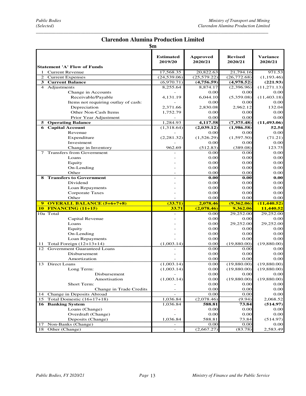### *\_\_\_\_\_\_\_\_\_\_\_\_\_\_\_\_\_\_\_\_\_\_\_\_\_\_\_\_\_\_\_\_\_\_\_\_\_\_\_\_\_\_\_\_\_\_\_\_\_\_\_\_\_\_\_\_\_\_\_\_\_\_\_\_\_\_\_\_\_\_\_\_\_\_\_\_\_\_\_\_\_\_\_\_\_\_\_\_\_\_\_\_\_* **Clarendon Alumina Production Limited**

| ш<br>в<br>ı |
|-------------|
|-------------|

| ФШ                                    |                             |                     |                           |                                                                                                                                                                                                                                                                                     |
|---------------------------------------|-----------------------------|---------------------|---------------------------|-------------------------------------------------------------------------------------------------------------------------------------------------------------------------------------------------------------------------------------------------------------------------------------|
| <b>Statement 'A' Flow of Funds</b>    | <b>Estimated</b><br>2019/20 | Approved<br>2020/21 | <b>Revised</b><br>2020/21 | <b>Variance</b><br>2020/21                                                                                                                                                                                                                                                          |
| 1 Current Revenue                     | 17,568.35                   | 20,822.63           | 21,794.16                 | 971.53                                                                                                                                                                                                                                                                              |
| Current Expenses                      | (24,539.06)                 | (25, 579.22)        | (26, 772.68)              | (1, 193.46)                                                                                                                                                                                                                                                                         |
| <b>3</b> Current Balance              | (6,970.71)                  | (4,756.59)          | (4,978.52)                | (221.93)                                                                                                                                                                                                                                                                            |
| 4 Adjustments                         | 8,255.64                    | 8,874.17            | (2,396.96)                | (11, 271.13)                                                                                                                                                                                                                                                                        |
| Change in Accounts                    |                             | 0.00                | 0.00                      | 0.00                                                                                                                                                                                                                                                                                |
| Receivable/Payable                    | 4,131.19                    | 6,044.10            | (5,359.08)                | (11, 403.18)                                                                                                                                                                                                                                                                        |
| Items not requiring outlay of cash:   |                             | 0.00                | 0.00                      | 0.00                                                                                                                                                                                                                                                                                |
| Depreciation                          | 2,371.66                    | 2,830.08            | 2,962.12                  | 132.04                                                                                                                                                                                                                                                                              |
| Other Non-Cash Items                  | 1,752.79                    | 0.00                | 0.00                      | 0.00                                                                                                                                                                                                                                                                                |
| Prior Year Adjustment                 |                             | 0.00                | 0.00                      | 0.00                                                                                                                                                                                                                                                                                |
| <b>5</b> Operating Balance            | 1,284.93                    | 4,117.58            | (7,375.48)                | (11, 493.06)                                                                                                                                                                                                                                                                        |
| <b>6</b> Capital Account              | (1,318.64)                  | (2,039.12)          | (1,986.58)                | 52.54                                                                                                                                                                                                                                                                               |
| Revenue                               |                             | 0.00                | 0.00                      | 0.00                                                                                                                                                                                                                                                                                |
| Expenditure                           | (2, 281.32)                 | (1,526.29)          | (1,597.50)                | (71.21)                                                                                                                                                                                                                                                                             |
| Investment                            |                             | 0.00                | 0.00                      | 0.00                                                                                                                                                                                                                                                                                |
| Change in Inventory                   | 962.69                      | (512.83)            | (389.08)                  | 123.75                                                                                                                                                                                                                                                                              |
| 7 Transfers from Government           |                             | 0.00                | 0.00                      | 0.00                                                                                                                                                                                                                                                                                |
| Loans                                 |                             | 0.00                |                           | $0.00\,$                                                                                                                                                                                                                                                                            |
|                                       |                             | 0.00                | 0.00                      | 0.00                                                                                                                                                                                                                                                                                |
| Equity                                |                             | 0.00                | 0.00                      |                                                                                                                                                                                                                                                                                     |
| On-Lending                            |                             |                     | 0.00                      | 0.00                                                                                                                                                                                                                                                                                |
| Other                                 |                             | 0.00                | 0.00                      | 0.00                                                                                                                                                                                                                                                                                |
| <b>8 Transfers to Government</b>      |                             | 0.00                | 0.00                      | 0.00                                                                                                                                                                                                                                                                                |
| Dividend                              |                             | 0.00                | 0.00                      | 0.00                                                                                                                                                                                                                                                                                |
| Loan Repayments                       |                             | 0.00                | 0.00                      | $0.00\,$                                                                                                                                                                                                                                                                            |
|                                       |                             |                     |                           |                                                                                                                                                                                                                                                                                     |
| Corporate Taxes                       |                             | 0.00                | 0.00                      |                                                                                                                                                                                                                                                                                     |
| Other                                 |                             | 0.00                | 0.00                      |                                                                                                                                                                                                                                                                                     |
| <b>OVERALL BALANCE (5+6+7+8)</b><br>9 | (33.71)                     | 2,078.46            | (9, 362.06)               |                                                                                                                                                                                                                                                                                     |
| <b>10 FINANCING (11+15)</b>           | 33.71                       | (2,078.46)          | 9,362.06                  |                                                                                                                                                                                                                                                                                     |
| 10a Total                             |                             | 0.00                | 29,252.00                 |                                                                                                                                                                                                                                                                                     |
| Capital Revenue                       |                             | 0.00                | 0.00                      |                                                                                                                                                                                                                                                                                     |
| Loans                                 |                             | 0.00                | 29,252.00                 |                                                                                                                                                                                                                                                                                     |
| Equity                                |                             | 0.00                | 0.00                      |                                                                                                                                                                                                                                                                                     |
| On-Lending                            |                             | 0.00                | 0.00                      |                                                                                                                                                                                                                                                                                     |
| Loan Repayments                       |                             | 0.00                | 0.00                      |                                                                                                                                                                                                                                                                                     |
| 11 Total Foreign (12+13+14)           | (1,003.14)                  | 0.00                | (19,880.00)               |                                                                                                                                                                                                                                                                                     |
| 12 Government Guaranteed Loans        |                             | 0.00                | 0.00                      |                                                                                                                                                                                                                                                                                     |
| Disbursement                          |                             | 0.00                | 0.00                      |                                                                                                                                                                                                                                                                                     |
| Amortization                          |                             | 0.00                | 0.00                      |                                                                                                                                                                                                                                                                                     |
| 13 Direct Loans                       | (1,003.14)                  | 0.00                | (19,880.00)               |                                                                                                                                                                                                                                                                                     |
| Long Term:                            | (1,003.14)                  | 0.00                | (19,880.00)               |                                                                                                                                                                                                                                                                                     |
| Disbursement                          |                             | 0.00                | 0.00                      |                                                                                                                                                                                                                                                                                     |
| Amortisation                          | (1,003.14)                  | 0.00                | (19,880.00)               |                                                                                                                                                                                                                                                                                     |
| Short Term:                           |                             | 0.00                | 0.00                      |                                                                                                                                                                                                                                                                                     |
| Change in Trade Credits               |                             | 0.00                | 0.00                      |                                                                                                                                                                                                                                                                                     |
| 14 Change in Deposits Abroad          |                             | 0.00                | 0.00                      |                                                                                                                                                                                                                                                                                     |
| 15 Total Domestic $(16+17+18)$        | 1,036.84                    | (2,078.46)          |                           |                                                                                                                                                                                                                                                                                     |
| <b>16 Banking System</b>              | 1,036.84                    | 588.81              | (9.94)<br>73.84           |                                                                                                                                                                                                                                                                                     |
| Loans (Change)                        |                             | 0.00                | 0.00                      |                                                                                                                                                                                                                                                                                     |
| Overdraft (Change)                    |                             | 0.00                | 0.00                      |                                                                                                                                                                                                                                                                                     |
| Deposits (Change)                     | 1,036.84                    | 588.81              | 73.84                     |                                                                                                                                                                                                                                                                                     |
| 17 Non-Banks (Change)                 |                             | 0.00                | 0.00                      | 0.00<br>0.00<br>(11, 440.52)<br>11,440.52<br>29,252.00<br>0.00<br>29,252.00<br>0.00<br>0.00<br>0.00<br>(19,880.00)<br>0.00<br>0.00<br>0.00<br>(19,880.00)<br>(19,880.00)<br>0.00<br>(19,880.00)<br>0.00<br>0.00<br>0.00<br>2,068.52<br>(514.97)<br>0.00<br>0.00<br>(514.97)<br>0.00 |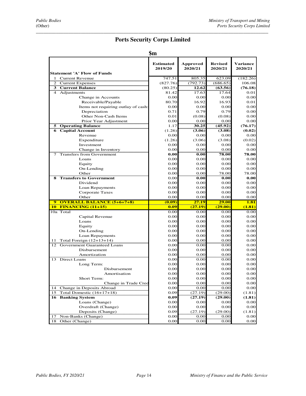## **Ports Security Corps Limited**

| <b>Statement 'A' Flow of Funds</b>               | <b>Estimated</b><br>2019/20 | <b>Approved</b><br>2020/21 | <b>Revised</b><br>2020/21 | <b>Variance</b><br>2020/21 |
|--------------------------------------------------|-----------------------------|----------------------------|---------------------------|----------------------------|
| 1 Current Revenue                                | 747.51                      | 805.35                     | 623.09                    | (182.26)                   |
| 2 Current Expenses                               | (827.76)                    | (792.73)                   | (686.65)                  | 106.08                     |
| 3 Current Balance                                | (80.25)                     | 12.62                      | (63.56)                   | (76.18)                    |
| 4 Adjustments                                    | 81.42                       | 17.63                      | 17.64                     | 0.01                       |
| Change in Accounts                               | 0.00                        | 0.00                       | 0.00                      | 0.00                       |
| Receivable/Payable                               | 80.70                       | 16.92                      | 16.93                     | 0.01                       |
| Items not requiring outlay of cash:              | 0.00                        | 0.00                       | 0.00                      | 0.00                       |
| Depreciation                                     | 0.71                        | 0.79                       | 0.79                      | 0.00                       |
| Other Non-Cash Items                             | 0.01                        | (0.08)                     | (0.08)                    | 0.00                       |
| Prior Year Adjustment                            | 0.00                        | 0.00                       | 0.00                      | 0.00                       |
| <b>5 Operating Balance</b>                       | 1.17                        | 30.25                      | (45.92)                   | (76.17)                    |
| <b>6</b> Capital Account                         | (1.26)                      | (3.06)                     | (3.08)                    | (0.02)                     |
| Revenue                                          | 0.00                        | 0.00                       | 0.00                      | 0.00                       |
| Expenditure                                      | (1.26)                      | (3.06)                     | (3.08)                    | (0.02)                     |
| Investment                                       | 0.00                        | 0.00                       | 0.00                      | 0.00                       |
| Change in Inventory                              | 0.00                        | 0.00                       | 0.00                      | 0.00                       |
| 7 Transfers from Government                      | 0.00                        | 0.00                       | 78.00                     | 78.00                      |
| Loans                                            | 0.00                        | 0.00                       | 0.00                      | 0.00                       |
|                                                  |                             |                            |                           |                            |
| Equity                                           | 0.00                        | 0.00                       | 0.00<br>0.00              | 0.00                       |
| On-Lending                                       | 0.00                        | 0.00                       |                           | 0.00<br>78.00              |
| Other                                            | 0.00                        | 0.00<br>0.00               | 78.00                     |                            |
| <b>Transfers to Government</b><br>8              | 0.00                        |                            | 0.00                      | 0.00                       |
| Dividend                                         | 0.00                        | 0.00                       | 0.00                      | 0.00                       |
| Loan Repayments                                  | 0.00                        | 0.00                       | 0.00                      | 0.00                       |
| Corporate Taxes                                  | 0.00                        | 0.00                       | 0.00                      | 0.00                       |
| Other                                            | 0.00                        | 0.00                       | 0.00                      | 0.00                       |
| <b>OVERALL BALANCE (5+6+7+8)</b><br>$\mathbf{o}$ | (0.09)                      | 27.19                      | 29.00                     | 1.81                       |
| <b>10 FINANCING (11+15)</b>                      | 0.09                        | (27.19)                    | (29.00)                   | (1.81)                     |
| 10a Total                                        | 0.00                        | 0.00                       | 0.00                      | 0.00                       |
| Capital Revenue                                  | 0.00                        | 0.00                       | 0.00                      | 0.00                       |
| Loans                                            | 0.00                        | 0.00                       | 0.00                      | 0.00                       |
| Equity                                           | 0.00                        | 0.00                       | 0.00                      | 0.00                       |
| On-Lending                                       | 0.00                        | 0.00                       | 0.00                      | 0.00                       |
| Loan Repayments                                  | 0.00                        | 0.00                       | 0.00                      | 0.00                       |
| Total Foreign (12+13+14)<br>11                   | 0.00                        | 0.00                       | 0.00                      | 0.00                       |
| 12<br>Government Guaranteed Loans                | 0.00                        | 0.00                       | 0.00                      | 0.00                       |
| Disbursement                                     | 0.00                        | 0.00                       | 0.00                      | 0.00                       |
| Amortization                                     | 0.00                        | 0.00                       | 0.00                      | 0.00                       |
| 13 Direct Loans                                  | 0.00                        | 0.00                       | 0.00                      | 0.00                       |
| Long Term:                                       | 0.00                        | 0.00                       | 0.00                      | 0.00                       |
| Disbursement                                     | 0.00                        | 0.00                       | 0.00                      | 0.00                       |
| Amortisation                                     | 0.00                        | 0.00                       | 0.00                      | 0.00                       |
| Short Term:                                      | 0.00                        | 0.00                       | 0.00                      | 0.00                       |
| Change in Trade Cred                             | 0.00                        | 0.00                       | 0.00                      | 0.00                       |
| 14 Change in Deposits Abroad                     | 0.00                        | 0.00                       | 0.00                      | 0.00                       |
| Total Domestic $(16+17+18)$<br>15                | 0.09                        | (27.19)                    | (29.00)                   | (1.81)                     |
| <b>16 Banking System</b>                         | 0.09                        | (27.19)                    | (29.00)                   | (1.81)                     |
| Loans (Change)                                   | 0.00                        | 0.00                       | 0.00                      | 0.00                       |
| Overdraft (Change)                               | 0.00                        | 0.00                       | 0.00                      | 0.00                       |
| Deposits (Change)                                | 0.09                        | (27.19)                    | (29.00)                   | (1.81)                     |
| Non-Banks (Change)<br>17                         | 0.00                        | 0.00                       | 0.00                      | 0.00                       |
| 18 Other (Change)                                | 0.00                        | 0.00                       | 0.00                      | 0.00                       |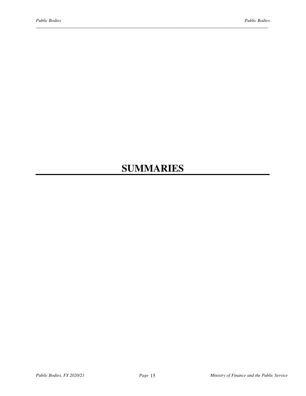# **SUMMARIES**

*\_\_\_\_\_\_\_\_\_\_\_\_\_\_\_\_\_\_\_\_\_\_\_\_\_\_\_\_\_\_\_\_\_\_\_\_\_\_\_\_\_\_\_\_\_\_\_\_\_\_\_\_\_\_\_\_\_\_\_\_\_\_\_\_\_\_\_\_\_\_\_\_\_\_\_\_\_\_\_\_\_\_\_\_\_\_\_\_\_\_\_\_\_*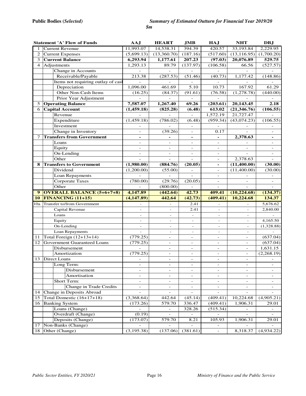|                | <b>Statement 'A' Flow of Funds</b>                               | <b>AAJ</b>               | <b>HEART</b>             | <b>JMB</b>                         | <b>HAJ</b>                         | <b>NHT</b>               | <b>DBJ</b>               |
|----------------|------------------------------------------------------------------|--------------------------|--------------------------|------------------------------------|------------------------------------|--------------------------|--------------------------|
| $\mathbf{1}$   | Current Revenue                                                  | 11,993.07                | 14,538.31                | 394.39                             | 420.57                             | 33,193.84                | 2,229.95                 |
| 2              | <b>Current Expenses</b>                                          | (5,699.13)               | (13,360.70)              | (187.16)                           | (517.60)                           | (13, 116.95)             | (1,700.20)               |
| 3              | <b>Current Balance</b>                                           | 6,293.94                 | 1,177.61                 | 207.23                             | (97.03)                            | 20,076.89                | 529.75                   |
| $\overline{4}$ | Adjustments                                                      | 1,293.13                 | 89.79                    | (137.97)                           | (106.58)                           | 66.56                    | (527.57)                 |
|                | Change in Accounts                                               |                          |                          |                                    |                                    |                          |                          |
|                | Receivable/Payable                                               | 213.38                   | (287.53)                 | (51.46)                            | (40.73)                            | 1,177.42                 | (148.86)                 |
|                | Items not requiring outlay of cas                                |                          | $\overline{a}$           |                                    | $\overline{a}$                     |                          |                          |
|                | Depreciation                                                     | 1,096.00                 | 461.69                   | 5.10                               | 10.73                              | 167.92                   | 61.29                    |
|                | Other Non-Cash Items                                             | (16.25)                  | (84.37)                  | (91.61)                            | (76.58)                            | (1, 278.78)              | (440.00)                 |
|                | Prior Year Adjustment                                            |                          |                          |                                    |                                    |                          |                          |
| 5              | <b>Operating Balance</b>                                         | 7,587.07                 | 1,267.40                 | 69.26                              | (203.61)                           | 20,143.45                | 2.18                     |
| 6              | <b>Capital Account</b>                                           | (1,459.18)               | (825.28)                 | (6.48)                             | 613.02                             | (21, 346.76)             | (106.55)                 |
|                | Revenue                                                          |                          |                          | $\overline{a}$                     | 1,572.19                           | 21,727.47                |                          |
|                | Expenditure                                                      | (1,459.18)               | (786.02)                 | (6.48)                             | (959.34)                           | (43,074.23)              | (106.55)                 |
|                | Investment                                                       |                          |                          |                                    |                                    |                          |                          |
|                | Change in Inventory                                              | $\overline{\phantom{a}}$ | (39.26)                  | $\overline{a}$                     | 0.17                               |                          |                          |
| 7              | <b>Transfers from Government</b>                                 | $\overline{\phantom{a}}$ | $\overline{\phantom{0}}$ | $\blacksquare$                     | $\frac{1}{2}$                      | 2,378.63                 | $\overline{\phantom{a}}$ |
|                | Loans                                                            | $\overline{\phantom{a}}$ | $\overline{\phantom{0}}$ | $\overline{\phantom{a}}$           | $\qquad \qquad -$                  |                          | $\overline{\phantom{a}}$ |
|                | Equity                                                           | $\overline{\phantom{a}}$ | $\overline{\phantom{0}}$ | $\overline{\phantom{a}}$           | $\overline{\phantom{0}}$           |                          |                          |
|                | On-Lending                                                       | $\overline{\phantom{a}}$ | $\overline{\phantom{a}}$ | $\overline{\phantom{a}}$           | $\overline{\phantom{a}}$           |                          | $\overline{\phantom{a}}$ |
|                | Other                                                            |                          |                          |                                    | $\overline{a}$                     | 2,378.63                 |                          |
| 8              | <b>Transfers to Government</b>                                   | (1,980.00)               | (884.76)                 | (20.05)                            | $\overline{\phantom{0}}$           | (11,400.00)              | (30.00)                  |
|                | Dividend                                                         | (1,200.00)               | (55.00)                  | $\overline{\phantom{a}}$           | $\overline{\phantom{a}}$           | (11,400.00)              | (30.00)                  |
|                | Loan Repayments                                                  |                          |                          | $\sim$                             | $\overline{\phantom{a}}$           |                          |                          |
|                | <b>Corporate Taxes</b>                                           | (780.00)                 | (29.76)                  | (20.05)                            | $\overline{\phantom{0}}$           | $\overline{\phantom{a}}$ |                          |
|                |                                                                  |                          |                          |                                    |                                    |                          |                          |
|                | Other                                                            |                          | (800.00)                 |                                    | $\overline{a}$                     |                          |                          |
| $9^{\circ}$    | <b>OVERALL BALANCE (5+6+7+8)</b>                                 | 4,147.89                 | (442.64)                 | 42.73                              | 409.41                             | (10, 224.68)             | (134.37)                 |
| 10             | <b>FINANCING (11+15)</b>                                         | (4,147.89)               | 442.64                   | (42.73)                            | (409.41)                           | 10,224.68                | 134.37                   |
|                | 10a Transfer to/from Government                                  |                          |                          | 2.41                               |                                    |                          | 5,676.62                 |
|                | Capital Revenue                                                  |                          |                          | 2.41                               |                                    | $\bar{a}$                | 2,840.00                 |
|                | Loans                                                            | $\overline{\phantom{a}}$ | $\overline{\phantom{a}}$ | $\overline{\phantom{a}}$           | $\overline{\phantom{a}}$           | $\overline{\phantom{a}}$ |                          |
|                | Equity                                                           | $\overline{\phantom{a}}$ | $\overline{\phantom{a}}$ | $\overline{\phantom{a}}$           | $\overline{\phantom{a}}$           | $\overline{\phantom{a}}$ | 4,165.50                 |
|                | On-Lending                                                       | $\overline{\phantom{a}}$ | $\overline{\phantom{a}}$ | $\overline{\phantom{a}}$           | $\overline{\phantom{a}}$           | $\overline{\phantom{a}}$ | (1,328.88)               |
|                |                                                                  | $\overline{\phantom{a}}$ | $\overline{\phantom{a}}$ | $\overline{\phantom{a}}$           | $\overline{\phantom{a}}$           | $\overline{\phantom{a}}$ |                          |
| 11             | Loan Repayments                                                  |                          | $\bar{\phantom{a}}$      | $\overline{\phantom{a}}$           | $\bar{\phantom{a}}$                | $\sim$                   |                          |
| 12             | Total Foreign $(12+13+14)$<br><b>Government Guaranteed Loans</b> | (779.25)<br>(779.25)     | ÷,                       | $\overline{\phantom{a}}$           | $\overline{a}$                     | $\sim$                   | (637.04)                 |
|                | Disbursement                                                     | $\mathcal{L}$            | $\overline{\phantom{a}}$ | $\overline{\phantom{a}}$           | $\overline{\phantom{a}}$           | $\overline{\phantom{a}}$ | (637.04)                 |
|                | Amortization                                                     | (779.25)                 | $\overline{\phantom{a}}$ | $\overline{\phantom{a}}$           | $\overline{\phantom{0}}$           | $\overline{\phantom{a}}$ | 1,631.15<br>(2,268.19)   |
| 13             | Direct Loans                                                     | ÷,                       | $\frac{1}{2}$            | $\overline{\phantom{a}}$           | $\frac{1}{2}$                      | $\overline{\phantom{a}}$ |                          |
|                |                                                                  | $\overline{\phantom{a}}$ | $\overline{\phantom{0}}$ | $\qquad \qquad \blacksquare$       |                                    |                          |                          |
|                | Long Term:<br>Disbursement                                       | $\overline{\phantom{a}}$ | $\overline{\phantom{m}}$ | $\bar{a}$                          | ÷,                                 | $\sim$                   |                          |
|                |                                                                  |                          |                          |                                    |                                    |                          |                          |
|                | Amortisation                                                     | $\overline{\phantom{a}}$ | $\overline{\phantom{a}}$ | $\overline{\phantom{a}}$           | $\overline{a}$                     | $\overline{\phantom{a}}$ |                          |
|                | Short Term:                                                      | $\overline{\phantom{a}}$ | $\overline{\phantom{a}}$ | $\overline{\phantom{a}}$           | $\overline{\phantom{a}}$           | $\overline{\phantom{a}}$ | $\overline{\phantom{a}}$ |
| 14             | Change in Trade Credits                                          | $\overline{\phantom{a}}$ | $\overline{\phantom{0}}$ |                                    |                                    |                          |                          |
|                | Change in Deposits Abroad                                        |                          |                          |                                    |                                    |                          |                          |
| 15             | Total Domestic $(16+17+18)$                                      | (3,368.64)               | 442.64                   | (45.14)                            | (409.41)                           | 10,224.68                | (4,905.21)               |
| 16             | <b>Banking System</b>                                            | (173.26)                 | 579.70                   | 336.47                             | (409.41)                           | 1,906.31                 | 29.01                    |
|                | Loans (Change)                                                   |                          | $\overline{a}$           | 328.26<br>$\overline{\phantom{a}}$ | (515.34)                           | $\overline{a}$           |                          |
|                | Overdraft (Change)                                               | (0.19)                   |                          |                                    |                                    |                          |                          |
| 17             | Deposits (Change)<br>Non-Banks (Change)                          | (173.07)                 | 579.70                   | 8.21                               | 105.93<br>$\overline{\phantom{0}}$ | 1,906.31                 | 29.01                    |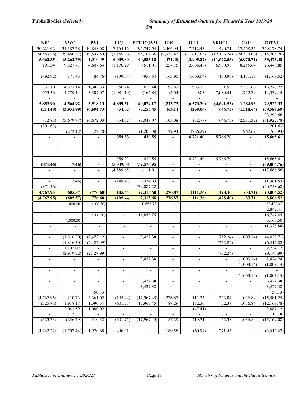| <b>NIF</b>                                           | <b>NWC</b>                                           | PAJ                                        | <b>PCJ</b>                                           | <b>PETROJAM</b>                         | UDC                                                  | <b>JUTC</b>                                          | <b>NROCC</b>                                         | $\bf CAP$                              | <b>TOTAL</b>             |
|------------------------------------------------------|------------------------------------------------------|--------------------------------------------|------------------------------------------------------|-----------------------------------------|------------------------------------------------------|------------------------------------------------------|------------------------------------------------------|----------------------------------------|--------------------------|
| 30,221.62                                            | 34,187.78                                            | 10,848.08                                  | 7,165.16                                             | 195,747.54                              | 2,466.94                                             | 7,712.43                                             | 490.71                                               | 17,568.35                              | 369,178.74               |
| (24, 559.26)                                         | (39, 450.57)                                         | (9,537.59)                                 | (1, 155.36)                                          | (155, 162.36)                           | (2,938.42)                                           | (11,617.65)                                          | (12, 163.24)                                         | (24, 539.06)                           | (315,705.26)             |
| 5,662.35                                             | (5,262.79)                                           | 1,310.49                                   | 6,009.80                                             | 40,585.18                               | (471.48)                                             | (3,905.22)                                           | (11,672.53)                                          | (6,970.71)                             | 53,473.48                |
| 191.54                                               | 9,827.71                                             | 4,607.64                                   | (1,170.29)                                           | (511.01)                                | 257.75                                               | (2,668.48)                                           | 6,980.98                                             | 8,255.64                               | 26,448.85                |
|                                                      |                                                      |                                            |                                                      |                                         | $\Box$                                               |                                                      |                                                      |                                        |                          |
| (492.92)                                             | 171.43                                               | (84.76)                                    | (139.34)                                             | (958.64)                                | 163.90                                               | (4,660.64)                                           | (160.96)                                             | 4,131.19                               | (1,168.52)               |
|                                                      |                                                      |                                            |                                                      |                                         |                                                      |                                                      |                                                      |                                        |                          |
| 31.10                                                | 4,877.14                                             | 1,388.33                                   | 50.24                                                | 613.48                                  | 98.89                                                | 1,983.13                                             | 61.53                                                | 2,371.66                               | 13,278.22                |
| 653.36                                               | 4,779.14                                             | 3,304.07                                   | (1,081.19)                                           | (165.84)                                | (5.04)                                               | 9.03                                                 | 7,080.41                                             | 1,752.79                               | 14,339.14                |
|                                                      |                                                      |                                            |                                                      |                                         |                                                      |                                                      |                                                      |                                        |                          |
| 5,853.90                                             | 4,564.92                                             | 5,918.13                                   | 4,839.51                                             | 40,074.17                               | (213.73)                                             | (6,573.70)                                           | (4,691.55)                                           | 1,284.93                               | 79,922.33                |
| (214.48)                                             | (3,951.89)                                           | (6,694.73)                                 | (54.32)                                              | (3,253.45)                              | (63.14)                                              | (259.06)                                             | (646.75)                                             | (1,318.64)                             | (39, 587.69)             |
|                                                      |                                                      |                                            |                                                      |                                         |                                                      |                                                      |                                                      |                                        | 23,299.66                |
| (12.85)                                              | (3,679.77)                                           | (6,672.03)                                 | (54.32)                                              | (2,048.07)                              | (103.08)                                             | (32.79)                                              | (646.75)                                             | (2, 281.32)                            | (61, 922.78)             |
| (201.63)                                             |                                                      |                                            |                                                      |                                         |                                                      |                                                      |                                                      |                                        | (201.63)                 |
|                                                      | (272.12)                                             | (22.70)                                    |                                                      | (1,205.38)                              | 39.94                                                | (226.27)                                             |                                                      | 962.69                                 | (762.93)                 |
| $\blacksquare$                                       | $\overline{a}$                                       | $\blacksquare$                             | 359.33                                               | 439.55                                  | $\blacksquare$                                       | 6,721.40                                             | 5,766.70                                             | $\blacksquare$                         | 15,665.61                |
| $\overline{\phantom{a}}$                             | $\overline{\phantom{a}}$                             | $\overline{\phantom{a}}$                   | $\overline{\phantom{a}}$                             | $\overline{\phantom{a}}$                | $\overline{\phantom{a}}$                             | $\Box$                                               |                                                      | $\overline{\phantom{a}}$               |                          |
| $\overline{\phantom{a}}$                             | $\overline{\phantom{a}}$                             | $\overline{\phantom{a}}$                   | $\blacksquare$                                       | $\overline{\phantom{a}}$                | $\overline{\phantom{a}}$                             |                                                      |                                                      | $\qquad \qquad \blacksquare$           |                          |
| $\overline{\phantom{a}}$                             | $\overline{\phantom{a}}$                             | $\overline{\phantom{a}}$                   | $\mathcal{L}$                                        | $\sim$                                  | $\overline{\phantom{a}}$                             | $\omega$                                             |                                                      | $\overline{\phantom{a}}$               |                          |
|                                                      | $\blacksquare$                                       | $\mathcal{L}$                              | 359.33                                               | 439.55                                  | $\sim$                                               | 6,721.40                                             | 5,766.70                                             | $\blacksquare$                         | 15,665.61                |
| (871.46)                                             | (7.46)                                               | $\frac{1}{2}$                              | (5,039.08)                                           | (39,573.95)                             |                                                      |                                                      |                                                      |                                        | (59,806.76)              |
|                                                      | $\omega$                                             | $\equiv$                                   | (4,889.65)                                           | (111.91)                                | $\overline{\phantom{a}}$                             | $\sim$                                               | $\bar{a}$                                            | $\overline{\phantom{a}}$               | (17,686.56)              |
| $\blacksquare$                                       | $\omega$                                             | $\blacksquare$                             |                                                      |                                         | $\blacksquare$                                       | $\blacksquare$                                       | $\overline{\phantom{a}}$                             | $\overline{\phantom{a}}$               |                          |
|                                                      | (7.46)                                               | $\overline{\phantom{a}}$                   | (149.43)                                             | (374.83)                                | $\overline{\phantom{a}}$                             | $\overline{\phantom{a}}$                             | $\overline{\phantom{a}}$                             | $\overline{\phantom{0}}$               | (1,361.53)               |
|                                                      |                                                      |                                            |                                                      |                                         |                                                      |                                                      |                                                      |                                        |                          |
|                                                      |                                                      |                                            |                                                      |                                         |                                                      |                                                      |                                                      |                                        |                          |
| (871.46)                                             |                                                      |                                            |                                                      | (39,087.22)                             |                                                      |                                                      |                                                      |                                        | (40, 758.68)             |
| 4,767.95                                             | 605.57                                               | (776.60)<br>776.60                         | 105.44                                               | (2,313.68)                              | (276.87)<br>276.87                                   | (111.36)                                             | 428.40                                               | (33.71)<br>33.71                       | (3,806.52)               |
| (4,767.95)                                           | (605.57)                                             |                                            | (105.44)                                             | 2,313.68                                |                                                      | 111.36                                               | (428.40)                                             |                                        | 3,806.52                 |
|                                                      | 1,000.00                                             | (106.30)                                   |                                                      | 16,853.75                               |                                                      |                                                      |                                                      |                                        | 23,426.48                |
| $\overline{\phantom{a}}$                             | $\mathbb{Z}^{\mathbb{Z}}$                            |                                            | $\overline{\phantom{a}}$                             |                                         | $\mathcal{L}^{\mathcal{A}}$                          | $\blacksquare$                                       | $\blacksquare$                                       | $\blacksquare$                         | 2,842.41                 |
| $\bar{\phantom{a}}$                                  |                                                      | (106.30)                                   | $\frac{1}{2}$                                        | 16,853.75<br>$\bar{a}$                  | $\blacksquare$                                       | $\blacksquare$                                       | $\blacksquare$                                       | $\blacksquare$                         | 16,747.45                |
|                                                      | 1,000.00                                             |                                            | $\overline{\phantom{a}}$                             |                                         | $\overline{\phantom{a}}$                             | $\overline{\phantom{a}}$                             | $\overline{\phantom{a}}$                             |                                        | 5,165.50                 |
| $\blacksquare$<br>$\blacksquare$                     |                                                      | $\overline{\phantom{a}}$<br>$\overline{a}$ | $\overline{\phantom{a}}$                             | $\overline{\phantom{a}}$<br>$\sim$      | $\overline{\phantom{a}}$                             | $\overline{\phantom{a}}$                             | $\sim$                                               |                                        | (1,328.88)<br>$\sim$     |
| $\overline{\phantom{a}}$                             |                                                      |                                            | $\bar{a}$                                            |                                         | $\overline{\phantom{a}}$                             | $\overline{\phantom{a}}$                             |                                                      |                                        |                          |
| $\overline{\phantom{a}}$                             | (1,816.30)                                           | (2,478.12)                                 |                                                      | 3,427.38                                |                                                      |                                                      | (752.24)                                             | (1,003.14)                             | (4,038.71)               |
| $\bar{a}$                                            | (1,816.30)                                           | (2,427.99)                                 | $\overline{\phantom{a}}$                             | ÷.                                      | ÷.                                                   | $\sim$                                               | (752.24)<br>$\mathbf{r}$                             | $\overline{a}$                         | (6,412.82)               |
| $\overline{\phantom{a}}$                             | 1,103.02                                             |                                            | $\overline{\phantom{a}}$                             | $\overline{\phantom{a}}$                | $\sim$                                               | $\overline{\phantom{a}}$                             |                                                      | $\overline{\phantom{a}}$               | 2,734.17                 |
|                                                      | (2,919.32)                                           | (2,427.99)                                 |                                                      |                                         |                                                      |                                                      | (752.24)                                             |                                        | (9,146.99)               |
| $\overline{\phantom{a}}$<br>$\overline{\phantom{a}}$ | $\overline{\phantom{a}}$                             |                                            | $\overline{\phantom{a}}$<br>$\overline{\phantom{a}}$ | 3,427.38                                | $\overline{\phantom{a}}$<br>$\overline{\phantom{a}}$ | $\overline{\phantom{a}}$<br>$\overline{\phantom{a}}$ |                                                      | (1,003.14)                             | 2,424.24                 |
| $\overline{\phantom{a}}$                             | $\overline{\phantom{a}}$                             | $\overline{\phantom{a}}$                   | $\overline{\phantom{a}}$                             | $\overline{\phantom{a}}$                | $\overline{\phantom{a}}$                             | $\overline{\phantom{a}}$                             | $\overline{\phantom{a}}$<br>$\overline{\phantom{a}}$ | (1,003.14)<br>$\overline{\phantom{a}}$ | (1,003.14)<br>$\sim$     |
| $\overline{\phantom{a}}$                             | $\overline{\phantom{a}}$                             | $\overline{\phantom{a}}$                   |                                                      |                                         | $\overline{\phantom{a}}$                             | $\overline{\phantom{a}}$                             | $\overline{\phantom{a}}$                             |                                        |                          |
| $\overline{\phantom{a}}$                             | $\Box$                                               | $\mathcal{L}^{\mathcal{A}}$                | $\overline{\phantom{a}}$<br>$\overline{a}$           |                                         | $\Box$                                               | $\overline{\phantom{a}}$                             | $\frac{1}{2}$                                        | (1,003.14)<br>$\overline{a}$           | (1,003.14)               |
|                                                      |                                                      |                                            |                                                      | 3,427.38                                |                                                      |                                                      |                                                      |                                        | 3,427.38                 |
| $\overline{\phantom{a}}$<br>$\overline{\phantom{a}}$ | $\overline{\phantom{a}}$<br>$\overline{\phantom{a}}$ | $\overline{\phantom{a}}$                   | $\blacksquare$                                       | 3,427.38                                | $\overline{\phantom{a}}$<br>$\overline{\phantom{a}}$ | $\overline{\phantom{a}}$<br>$\overline{\phantom{a}}$ | $\overline{\phantom{a}}$<br>$\overline{\phantom{a}}$ | $\blacksquare$                         | 3,427.38                 |
|                                                      |                                                      | (50.13)                                    | $\blacksquare$                                       |                                         |                                                      |                                                      |                                                      |                                        | (50.13)                  |
| (4,767.95)                                           | 210.73                                               | 3,361.02                                   | (105.44)                                             | (17,967.45)                             | 276.87                                               | 111.36                                               | 323.84                                               | 1,036.84                               | (15,581.25)              |
| (525.73)<br>$\omega$                                 | 1,918.17                                             | 1,390.34                                   | (601.75)<br>$\omega$                                 | (17,967.45)<br>$\overline{\phantom{a}}$ | 87.29                                                | 172.30                                               | 52.38                                                | 1,036.84<br>$\overline{\phantom{a}}$   | (12, 168.78)             |
|                                                      | 2,041.59                                             | 1,080.02                                   |                                                      |                                         | $\overline{\phantom{a}}$                             | (47.41)                                              | $\overline{\phantom{a}}$                             |                                        | 2,887.12                 |
| $\overline{\phantom{a}}$                             | 113.37                                               | $\omega$                                   | ÷.                                                   | $\Box$                                  | $\omega$                                             | $\bar{\phantom{a}}$                                  | $\Box$                                               | $\frac{1}{2}$                          | 113.18                   |
| (525.73)<br>$\Box$                                   | (236.79)<br>$\Box$                                   | 310.32<br>$\blacksquare$                   | (601.75)<br>$\Box$                                   | (17,967.45)<br>$\overline{\phantom{a}}$ | 87.29<br>$\overline{\phantom{a}}$                    | 219.71<br>$\Box$                                     | 52.38<br>$\blacksquare$                              | 1,036.84<br>$\Box$                     | (15, 169.08)<br>$\omega$ |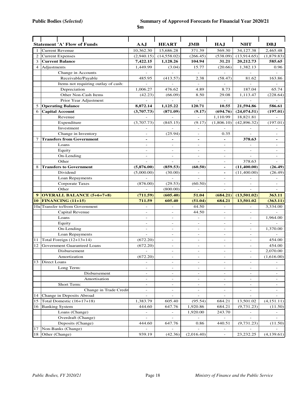|                | <b>Statement 'A' Flow of Funds</b>  | AAJ                      | <b>HEART</b>                               | <b>JMB</b>                                 | HA.J                     | <b>NHT</b>               | DBJ                                        |
|----------------|-------------------------------------|--------------------------|--------------------------------------------|--------------------------------------------|--------------------------|--------------------------|--------------------------------------------|
| 1              | <b>Current Revenue</b>              | 10,362.30                | 15,686.28                                  | 371.39                                     | 569.30                   | 34,127.38                | 2,465.48                                   |
| 2              | <b>Current Expenses</b>             | (2,940.15)               | (14, 558.02)                               | (266.45)                                   | (538.09)                 | (13,914.65)              | (1,879.83)                                 |
| 3              | <b>Current Balance</b>              | 7,422.15                 | 1,128.26                                   | 104.94                                     | 31.21                    | 20,212.73                | 585.65                                     |
| $\overline{4}$ | Adjustments                         | 1,449.99                 | (3.04)                                     | 15.77                                      | (20.66)                  | 1,382.13                 | 0.96                                       |
|                | Change in Accounts                  |                          |                                            |                                            |                          |                          |                                            |
|                | Receivable/Payable                  | 485.95                   | (413.57)                                   | 2.38                                       | (58.47)                  | 81.62                    | 163.86                                     |
|                | Items not requiring outlay of cash: |                          | $\overline{a}$                             | $\equiv$                                   | $\overline{a}$           |                          |                                            |
|                | Depreciation                        | 1,006.27                 | 476.62                                     | 4.89                                       | 8.73                     | 187.04                   | 65.74                                      |
|                | Other Non-Cash Items                | (42.23)                  | (66.09)                                    | 8.50                                       | 29.08                    | 1,113.47                 | (228.64)                                   |
|                | Prior Year Adjustment               |                          |                                            | $\overline{a}$                             |                          |                          |                                            |
| 5              | <b>Operating Balance</b>            | 8,872.14                 | 1,125.22                                   | 120.71                                     | 10.55                    | 21,594.86                | 586.61                                     |
| 6              | <b>Capital Account</b>              | (3,707.73)               | (871.09)                                   | (9.17)                                     | (694.76)                 | (24, 074.51)             | (197.01)                                   |
|                | Revenue                             |                          |                                            |                                            | 1,110.99                 | 18,821.81                |                                            |
|                | Expenditure                         | (3,707.73)               | (845.15)                                   | (9.17)                                     | (1,806.10)               | (42,896.32)              | (197.01)                                   |
|                | Investment                          |                          |                                            | $\overline{\phantom{a}}$                   |                          |                          | $\overline{a}$                             |
|                | Change in Inventory                 |                          | (25.94)                                    |                                            | 0.35                     |                          |                                            |
| $\overline{7}$ | <b>Transfers from Government</b>    | $\blacksquare$           |                                            | $\overline{\phantom{a}}$<br>$\blacksquare$ |                          | 378.63                   | $\overline{\phantom{a}}$<br>$\blacksquare$ |
|                | Loans                               | $\overline{a}$           | $\qquad \qquad \blacksquare$               |                                            | $\overline{a}$           |                          |                                            |
|                |                                     |                          | $\overline{\phantom{a}}$                   | $\overline{\phantom{a}}$                   |                          | $\overline{\phantom{a}}$ | $\overline{\phantom{a}}$                   |
|                | Equity                              |                          |                                            |                                            | $\overline{\phantom{a}}$ |                          |                                            |
|                | On-Lending<br>Other                 | $\overline{\phantom{a}}$ | $\overline{\phantom{a}}$<br>$\overline{a}$ | $\overline{a}$<br>$\overline{\phantom{a}}$ | $\overline{a}$           | 378.63                   | $\overline{\phantom{a}}$                   |
|                |                                     |                          |                                            |                                            | $\overline{\phantom{a}}$ | (11, 400.00)             |                                            |
| 8              | <b>Transfers to Government</b>      | (5,876.00)               | (859.53)                                   | (60.50)                                    | $\blacksquare$           |                          | (26.49)                                    |
|                | Dividend                            | (5,000.00)               | (30.00)                                    | $\overline{\phantom{a}}$                   | $\blacksquare$           | (11,400.00)              | (26.49)                                    |
|                | Loan Repayments                     |                          | $\overline{\phantom{a}}$                   | $\overline{a}$                             |                          |                          | $\overline{\phantom{a}}$                   |
|                | Corporate Taxes                     | (876.00)                 | (29.53)                                    | (60.50)                                    | $\overline{a}$           |                          |                                            |
|                | Other                               |                          | (800.00)                                   |                                            |                          |                          |                                            |
| 9              | <b>OVERALL BALANCE (5+6+7+8)</b>    | (711.59)                 | (605.40)                                   | 51.04                                      | (684.21)                 | (13,501.02)              | 363.11                                     |
| 10             | <b>FINANCING (11+15)</b>            | 711.59                   | 605.40                                     | (51.04)                                    | 684.21                   | 13,501.02                | (363.11)                                   |
|                | 10a Transfer to/from Government     |                          | $\overline{\phantom{a}}$                   | 44.50                                      | $\overline{\phantom{a}}$ | $\overline{\phantom{a}}$ | 3,334.00                                   |
|                | Capital Revenue                     | $\overline{\phantom{a}}$ | $\overline{\phantom{a}}$                   | 44.50                                      | $\overline{\phantom{a}}$ | $\overline{\phantom{a}}$ |                                            |
|                | Loans                               | $\overline{\phantom{a}}$ | $\overline{\phantom{a}}$                   |                                            | $\overline{\phantom{a}}$ | $\overline{a}$           | 1,964.00                                   |
|                | Equity                              | $\overline{\phantom{a}}$ | $\overline{\phantom{a}}$                   | $\overline{\phantom{a}}$                   | $\overline{\phantom{a}}$ | $\overline{\phantom{a}}$ |                                            |
|                | On-Lending                          | $\overline{\phantom{a}}$ | $\overline{a}$                             | $\overline{\phantom{a}}$                   | $\overline{a}$           | $\overline{a}$           | 1,370.00                                   |
|                | Loan Repayments                     |                          | $\overline{\phantom{a}}$                   | $\overline{\phantom{a}}$                   | $\overline{\phantom{a}}$ | $\overline{\phantom{0}}$ |                                            |
| 11             | Total Foreign (12+13+14)            | (672.20)                 | $\overline{a}$                             | $\overline{a}$                             | $\overline{a}$           | $\overline{\phantom{a}}$ | 454.00                                     |
| 12             | Government Guaranteed Loans         | (672.20)                 | $\overline{\phantom{a}}$                   | $\overline{\phantom{a}}$                   | $\overline{\phantom{a}}$ | $\overline{\phantom{a}}$ | 454.00                                     |
|                | Disbursement                        |                          | $\overline{\phantom{a}}$                   | $\overline{\phantom{a}}$                   | $\overline{\phantom{a}}$ | $\overline{\phantom{a}}$ | 2,070.00                                   |
|                | Amortization                        | (672.20)                 | $\overline{a}$                             |                                            |                          |                          | (1,616.00)                                 |
| 13             | Direct Loans                        | $\overline{\phantom{m}}$ | $\overline{\phantom{a}}$                   | $\overline{\phantom{a}}$                   | $\qquad \qquad -$        | $\overline{\phantom{a}}$ | $\overline{\phantom{a}}$                   |
|                | Long Term:                          | $\overline{a}$           | $\overline{\phantom{0}}$                   | $\overline{\phantom{a}}$                   | $\overline{a}$           | $\overline{\phantom{a}}$ | $\overline{\phantom{a}}$                   |
|                | Disbursement                        | $\overline{\phantom{m}}$ | $\overline{\phantom{0}}$                   | $\overline{\phantom{a}}$                   | $\overline{\phantom{a}}$ |                          |                                            |
|                | Amortisation                        | $\overline{\phantom{a}}$ | $\blacksquare$                             | $\overline{\phantom{a}}$                   | $\overline{\phantom{a}}$ | $\overline{\phantom{a}}$ | $\overline{\phantom{a}}$                   |
|                | Short Term:                         | $\overline{\phantom{a}}$ | $\blacksquare$                             | $\overline{\phantom{a}}$                   | $ \,$                    | $\overline{\phantom{a}}$ | $\overline{\phantom{a}}$                   |
|                | Change in Trade Credit              | $\overline{\phantom{a}}$ | $\overline{\phantom{a}}$                   | $\overline{\phantom{a}}$                   | $\overline{\phantom{a}}$ | $\overline{\phantom{a}}$ | $\overline{\phantom{a}}$                   |
| 14             | Change in Deposits Abroad           |                          | $\overline{\phantom{0}}$                   | $\overline{a}$                             | $\overline{\phantom{a}}$ | $\overline{a}$           | $\overline{\phantom{0}}$                   |
| 15             | Total Domestic (16+17+18)           | 1,383.79                 | 605.40                                     | (95.54)                                    | 684.21                   | 13,501.02                | (4, 151.11)                                |
| 16             | <b>Banking System</b>               | 444.60                   | 647.76                                     | 1,920.86                                   | 684.21                   | (9,731.23)               | (11.50)                                    |
|                | Loans (Change)                      |                          |                                            | 1,920.00                                   | 243.70                   |                          |                                            |
|                | Overdraft (Change)                  | $\overline{\phantom{a}}$ | $\overline{\phantom{0}}$                   |                                            |                          | $\overline{\phantom{a}}$ | $\overline{\phantom{a}}$                   |
|                | Deposits (Change)                   | 444.60                   | 647.76                                     | 0.86                                       | 440.51                   | (9, 731.23)              | (11.50)                                    |
| 17             | Non-Banks (Change)                  |                          |                                            |                                            |                          |                          |                                            |
| 18             | Other (Change)                      | 939.19                   | (42.36)                                    | (2,016.40)                                 |                          | 23, 232. 25              | (4,139.61)                                 |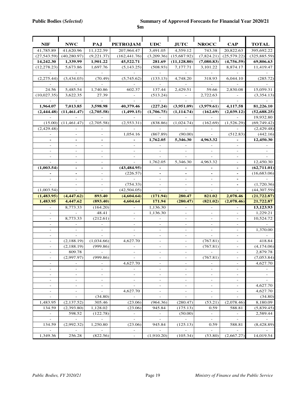| <b>NIF</b>               | <b>NWC</b>                      | PAJ                           | <b>PETROJAM</b>          | <b>UDC</b>                   | <b>JUTC</b>              | <b>NROCC</b>                             | <b>CAP</b>                                           | <b>TOTAL</b>             |
|--------------------------|---------------------------------|-------------------------------|--------------------------|------------------------------|--------------------------|------------------------------------------|------------------------------------------------------|--------------------------|
| 41,785.89                | 41,620.96                       | 11,122.59                     | 207,964.47               | 3,491.05                     | 4,559.12                 | 743.38                                   | 20,822.63                                            | 395,692.22               |
| (27, 543.59)             | (40, 280.97)                    | (9,221.37)                    | (162, 441.76)            | (3,209.36)                   | (15,687.92)              | (7,824.21)                               | (25, 579.22)                                         | (325, 885.59)            |
| 14,242.30                | 1,339.99                        | 1,901.22                      | 45,522.71                | 281.69                       | (11, 128.80)             | (7,080.83)                               | (4,756.59)                                           | 69,806.63                |
| (12, 278.23)             | 5,673.86                        | 1,697.76                      | (5, 143.25)              | (508.93)                     | 7,177.71                 | 3,101.22                                 | 8,874.17                                             | 11,419.47                |
|                          |                                 |                               |                          |                              |                          |                                          |                                                      |                          |
| (2,275.44)               | (3,434.03)                      | (70.49)                       | (5,745.62)               | (133.13)                     | 4,748.20                 | 318.93                                   | 6,044.10                                             | (285.72)                 |
|                          |                                 |                               |                          | L.                           | ÷                        | $\overline{a}$                           |                                                      |                          |
| 24.56                    | 5,485.54                        | 1,740.86                      | 602.37                   | 137.44                       | 2,429.51                 | 59.66                                    | 2,830.08                                             | 15,059.31                |
| (10,027.35)              | 3,622.35                        | 27.39                         |                          | (513.24)                     |                          | 2,722.63                                 |                                                      | (3,354.13)               |
|                          |                                 |                               |                          |                              |                          |                                          |                                                      |                          |
| 1,964.07                 | 7,013.85                        | 3,598.98                      | 40,379.46                | (227.24)                     | (3,951.09)               | (3,979.61)                               | 4,117.58                                             | 81,226.10                |
| (2, 444.48)              | (11, 461.47)                    | (2,705.58)                    | (1, 499.15)              | (1,706.75)                   | (1, 114.74)              | (162.69)                                 | (2,039.12)                                           | (52, 688.25)             |
|                          |                                 |                               |                          |                              |                          |                                          |                                                      | 19,932.80                |
| (15.00)                  | (11, 461.47)                    | (2,705.58)                    | (2,553.31)               | (838.86)                     | (1,024.74)               | (162.69)                                 | (1,526.29)                                           | (69, 749.42)             |
| (2,429.48)               |                                 |                               |                          |                              |                          |                                          |                                                      | (2,429.48)               |
|                          |                                 | $\overline{\phantom{a}}$      | 1,054.16                 | (867.89)                     | (90.00)                  |                                          | (512.83)                                             | (442.16)                 |
|                          |                                 | -                             |                          | 1,762.05                     | 5,346.30                 | 4,963.32                                 |                                                      | 12,450.30                |
|                          | $\overline{a}$                  | $\overline{\phantom{0}}$      |                          |                              |                          |                                          | $\qquad \qquad -$                                    |                          |
|                          | $\overline{a}$                  | $\overline{a}$                |                          |                              |                          | $\overline{\phantom{a}}$                 | $\overline{a}$                                       |                          |
|                          |                                 |                               |                          |                              |                          |                                          |                                                      |                          |
| ÷                        | $\overline{a}$                  | $\overline{a}$                | $\overline{a}$           | 1,762.05                     | 5,346.30                 | 4,963.32                                 | $\overline{\phantom{a}}$                             | 12,450.30                |
| (1,003.54)               | $\blacksquare$                  | $\blacksquare$                | (43, 484.95)             | $\blacksquare$               | $\blacksquare$           | $\blacksquare$                           | $\overline{\phantom{a}}$                             | (62,711.01)              |
|                          | $\qquad \qquad \blacksquare$    | $\qquad \qquad -$             | (226.57)                 | $\blacksquare$               | $\overline{\phantom{a}}$ | $\overline{\phantom{a}}$                 | $\overline{\phantom{a}}$                             | (16, 683.06)             |
|                          | $\overline{\phantom{m}}$        | $\qquad \qquad -$             |                          |                              | $\overline{\phantom{a}}$ | $\overline{\phantom{a}}$                 | $\qquad \qquad \blacksquare$                         |                          |
| $\overline{a}$           | $\qquad \qquad \blacksquare$    | $\overline{\phantom{0}}$      | (754.33)                 | $\overline{\phantom{0}}$     | $\overline{\phantom{a}}$ | $\overline{\phantom{a}}$                 | $\qquad \qquad \blacksquare$                         | (1,720.36)               |
| (1,003.54)               |                                 |                               | (42, 504.05)             |                              |                          |                                          |                                                      | (44, 307.59)             |
| (1,483.95)               | (4, 447.62)                     | 893.40                        | (4,604.64)               | (171.94)                     | 280.47                   | 821.02                                   | 2,078.46                                             | (21, 722.87)             |
| 1,483.95                 | 4,447.62                        | (893.40)                      | 4,604.64                 | 171.94                       | (280.47)                 | (821.02)                                 | (2,078.46)                                           | 21,722.87                |
|                          | 8,773.33                        | (164.20)                      |                          | 1,136.30                     |                          |                                          |                                                      | 13,123.93                |
| $\sim$                   |                                 | 48.41                         | $\sim$                   | 1,136.30                     | $\overline{\phantom{a}}$ | $\overline{\phantom{a}}$                 | $\overline{a}$                                       | 1,229.21                 |
| $\overline{a}$           | 8,773.33                        | (212.61)                      | $\overline{\phantom{a}}$ | $\equiv$                     | $\overline{\phantom{a}}$ | $\overline{\phantom{a}}$                 | $\overline{\phantom{a}}$                             | 10,524.72                |
| $\overline{\phantom{a}}$ |                                 |                               | $\overline{\phantom{a}}$ | $\overline{\phantom{a}}$     | $\overline{\phantom{a}}$ | $\qquad \qquad \blacksquare$             | $\overline{\phantom{a}}$                             |                          |
| $\overline{a}$           | $\qquad \qquad -$               | $\overline{\phantom{a}}$      |                          | $\overline{\phantom{0}}$     | $\overline{\phantom{a}}$ | $\overline{\phantom{m}}$                 | $\overline{\phantom{a}}$                             | 1,370.00                 |
|                          |                                 |                               |                          | $\overline{\phantom{0}}$     | $\overline{\phantom{a}}$ |                                          | $\overline{\phantom{a}}$                             |                          |
| $\overline{\phantom{a}}$ | (2, 188.19)                     | (1,034.66)                    | 4,627.70                 | $\overline{\phantom{a}}$     | $\overline{\phantom{a}}$ | (767.81)                                 | $\overline{\phantom{0}}$                             | 418.84                   |
|                          | (2, 188.19)                     | (999.86)                      |                          |                              |                          |                                          |                                                      |                          |
|                          |                                 |                               |                          |                              | $\overline{\phantom{a}}$ |                                          |                                                      |                          |
| $\overline{\phantom{a}}$ |                                 |                               | $\overline{\phantom{a}}$ | $\overline{\phantom{a}}$     | $\overline{\phantom{a}}$ | (767.81)<br>$\overline{a}$               | $\overline{\phantom{0}}$                             | (4, 174.06)              |
|                          | 809.78                          |                               |                          |                              |                          |                                          |                                                      | 2,879.78                 |
| $\equiv$                 | (2,997.97)<br>$\qquad \qquad -$ | (999.86)<br>$\qquad \qquad -$ | 4,627.70                 | $\qquad \qquad -$            | $\overline{\phantom{a}}$ | (767.81)<br>$\qquad \qquad \blacksquare$ | $\overline{\phantom{a}}$                             | (7,053.84)               |
| $\overline{\phantom{a}}$ | $\qquad \qquad -$               | -                             |                          | -                            | $\qquad \qquad =$        | $\qquad \qquad \blacksquare$             |                                                      | 4,627.70                 |
| $\overline{\phantom{a}}$ | $\qquad \qquad -$               | $\qquad \qquad \blacksquare$  | $\overline{\phantom{a}}$ | $\qquad \qquad \blacksquare$ | $\overline{\phantom{a}}$ | $\overline{\phantom{a}}$                 | $\overline{\phantom{a}}$<br>$\overline{\phantom{a}}$ | $\blacksquare$           |
| $\overline{\phantom{a}}$ | $\qquad \qquad \blacksquare$    | $\qquad \qquad \blacksquare$  |                          | $\qquad \qquad \blacksquare$ | $\overline{\phantom{a}}$ | $\overline{\phantom{a}}$                 | $\qquad \qquad \blacksquare$                         |                          |
| $\overline{\phantom{a}}$ | $\overline{\phantom{a}}$        |                               |                          | $\overline{\phantom{a}}$     | $\overline{\phantom{a}}$ | $\overline{\phantom{a}}$                 | $\overline{\phantom{a}}$                             | 4,627.70                 |
| $\overline{\phantom{a}}$ | $\overline{\phantom{a}}$        | $\overline{\phantom{a}}$      | 4,627.70                 | $\frac{1}{2}$                | $\overline{\phantom{a}}$ | $\overline{\phantom{a}}$                 | $\overline{\phantom{0}}$                             | 4,627.70                 |
| $\overline{\phantom{a}}$ | $\overline{\phantom{a}}$        | (34.80)                       | $\overline{\phantom{a}}$ | $\overline{\phantom{a}}$     | $\overline{\phantom{a}}$ | $\overline{\phantom{a}}$                 | $\overline{\phantom{a}}$                             | (34.80)                  |
| 1,483.95                 | (2,137.52)                      | 305.46                        | (23.06)                  | (964.36)                     | (280.47)                 | (53.21)                                  | (2,078.46)                                           | 8,180.09                 |
| 134.59                   | (2,393.80)                      |                               | (23.06)                  | 945.84                       |                          | 0.59                                     |                                                      |                          |
| $\blacksquare$           | 598.52                          | 1,128.02<br>(122.78)          | $\overline{\phantom{a}}$ | $\overline{\phantom{a}}$     | (175.13)<br>(50.00)      | $\overline{\phantom{a}}$                 | 588.81<br>$\overline{\phantom{a}}$                   | (5,839.45)<br>2,589.44   |
|                          | $\overline{\phantom{a}}$        | $\overline{\phantom{a}}$      |                          |                              | $\sim$                   | $\overline{\phantom{a}}$                 | $\overline{\phantom{a}}$                             | $\overline{\phantom{a}}$ |
| 134.59                   | (2,992.32)                      | 1,250.80                      | (23.06)                  | 945.84                       | (125.13)                 | 0.59                                     | 588.81                                               | (8,428.89)               |
|                          |                                 |                               |                          |                              | $\overline{\phantom{a}}$ |                                          |                                                      |                          |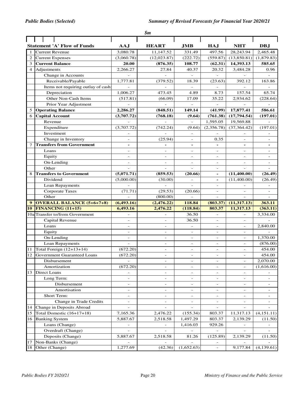|                 |                                     |                              | $\boldsymbol{\mathfrak{s}}\boldsymbol{m}$ |                          |                             |                          |                          |
|-----------------|-------------------------------------|------------------------------|-------------------------------------------|--------------------------|-----------------------------|--------------------------|--------------------------|
|                 |                                     |                              |                                           |                          |                             |                          |                          |
|                 | <b>Statement 'A' Flow of Funds</b>  | AAJ                          | <b>HEART</b>                              | <b>JMB</b>               | <b>HAJ</b>                  | <b>NHT</b>               | DB.I                     |
| -1              | <b>Current Revenue</b>              | 3,080.78                     | 11,147.52                                 | 331.49                   | 497.56                      | 28,243.94                | 2,465.48                 |
| 2               | <b>Current Expenses</b>             | (3,060.78)                   | (12,023.87)                               | (222.72)                 | (559.87)                    | (13,850.81)              | (1,879.83)               |
| 3               | <b>Current Balance</b>              | 20.00                        | (876.35)                                  | 108.77                   | (62.31)                     | 14,393.13                | 585.65                   |
| $\overline{4}$  | Adjustments                         | 2,266.27                     | 27.84                                     | 40.37                    | 20.32                       | 3,484.28                 | 0.96                     |
|                 | Change in Accounts                  |                              |                                           |                          |                             |                          |                          |
|                 | Receivable/Payable                  | 1,777.81                     | (379.52)                                  | 18.39                    | (23.63)                     | 392.12                   | 163.86                   |
|                 | Items not requiring outlay of cash: |                              |                                           | $\mathcal{L}$            |                             |                          |                          |
|                 | Depreciation                        | 1,006.27                     | 473.45                                    | 4.89                     | 8.73                        | 157.54                   | 65.74                    |
|                 | Other Non-Cash Items                | (517.81)                     | (66.09)                                   | 17.09                    | 35.22                       | 2,934.62                 | (228.64)                 |
|                 | Prior Year Adjustment               |                              |                                           | $\frac{1}{2}$            | $\overline{a}$              |                          |                          |
| 5               | <b>Operating Balance</b>            | 2,286.27                     | (848.51)                                  | 149.14                   | (41.99)                     | 17,877.41                | 586.61                   |
| 6               | <b>Capital Account</b>              | (3,707.72)                   | (768.18)                                  | (9.64)                   | (761.38)                    | (17,794.54)              | (197.01)                 |
|                 | Revenue                             |                              |                                           | $\qquad \qquad -$        | 1,595.05                    | 19,569.88                |                          |
|                 | Expenditure                         | (3,707.72)                   | (742.24)                                  | (9.64)                   | (2,356.78)                  | (37, 364.42)             | (197.01)                 |
|                 | Investment                          |                              |                                           | $\overline{\phantom{a}}$ |                             |                          |                          |
|                 | Change in Inventory                 | $\overline{\phantom{0}}$     | (25.94)                                   | $\overline{\phantom{a}}$ | 0.35                        | $\overline{a}$           | $\overline{a}$           |
| 7               | <b>Transfers from Government</b>    | $\qquad \qquad \blacksquare$ | $\overline{\phantom{a}}$                  | $\blacksquare$           | $\overline{\phantom{a}}$    | $\blacksquare$           | $\overline{\phantom{a}}$ |
|                 | Loans                               | $\overline{a}$               | $\overline{\phantom{a}}$                  | $\overline{a}$           | $\overline{a}$              | $\overline{a}$           | $\overline{a}$           |
|                 | Equity                              | $\overline{a}$               | $\overline{\phantom{a}}$                  | $\overline{\phantom{a}}$ | $\overline{\phantom{a}}$    |                          | $\overline{\phantom{0}}$ |
|                 | On-Lending                          |                              |                                           |                          | $\overline{\phantom{a}}$    |                          |                          |
|                 | Other                               |                              |                                           |                          |                             |                          |                          |
| 8               | <b>Transfers to Government</b>      | (5,071.71)                   | (859.53)                                  | (20.66)                  | $\blacksquare$              | (11,400.00)              | (26.49)                  |
|                 | Dividend                            | (5,000.00)                   | (30.00)                                   | $\overline{\phantom{a}}$ | $\overline{\phantom{a}}$    | (11,400.00)              | (26.49)                  |
|                 | Loan Repayments                     |                              | $\overline{\phantom{a}}$                  | $\overline{\phantom{a}}$ | $\overline{\phantom{a}}$    | $\overline{a}$           | $\overline{a}$           |
|                 | <b>Corporate Taxes</b>              | (71.71)                      | (29.53)                                   | (20.66)                  | $\overline{\phantom{a}}$    | $\overline{\phantom{a}}$ | $\overline{\phantom{a}}$ |
|                 | Other                               |                              | (800.00)                                  |                          | $\overline{\phantom{a}}$    |                          | $\overline{\phantom{0}}$ |
| 9               | <b>OVERALL BALANCE (5+6+7+8)</b>    | (6,493.16)                   | (2,476.22)                                | 118.84                   | (803.37)                    | (11,317,13)              | 363.11                   |
| 10              | <b>FINANCING (11+15)</b>            | 6,493.16                     | 2,476.22                                  | (118.84)                 | 803.37                      | 11,317.13                | (363.11)                 |
|                 | 10a Transfer to/from Government     |                              |                                           | 36.50                    |                             |                          | 3,334.00                 |
|                 | Capital Revenue                     |                              | $\sim$                                    | 36.50                    | $\overline{a}$              |                          |                          |
|                 | Loans                               | $\overline{\phantom{0}}$     | $\overline{\phantom{a}}$                  | $\overline{\phantom{a}}$ | $\overline{\phantom{a}}$    | $\overline{\phantom{0}}$ | 2,840.00                 |
|                 | Equity                              | $\overline{\phantom{a}}$     | $\overline{\phantom{a}}$                  | $\overline{\phantom{a}}$ | ÷                           |                          |                          |
|                 | On-Lending                          | $\overline{\phantom{a}}$     | $\overline{\phantom{a}}$                  | $\overline{\phantom{a}}$ | $\overline{\phantom{a}}$    |                          | 1,370.00                 |
|                 | Loan Repayments                     |                              |                                           | $\overline{\phantom{a}}$ | $\overline{a}$              |                          | (876.00)                 |
| 11              | Total Foreign (12+13+14)            | (672.20)                     | $\overline{\phantom{a}}$                  | $\overline{\phantom{a}}$ | $\overline{\phantom{a}}$    |                          | 454.00                   |
| $\overline{12}$ | Government Guaranteed Loans         | (672.20)                     |                                           |                          |                             |                          | 454.00                   |
|                 | Disbursement                        |                              |                                           |                          | $\overline{\phantom{a}}$    |                          | 2,070.00                 |
|                 | Amortization                        | (672.20)                     |                                           |                          |                             |                          | (1,616.00)               |
| 13              | Direct Loans                        | $\overline{\phantom{a}}$     | $\overline{\phantom{a}}$                  | -                        | $\overline{\phantom{a}}$    | $\overline{\phantom{a}}$ | $\overline{\phantom{0}}$ |
|                 | Long Term:                          | $\qquad \qquad \blacksquare$ | $\overline{\phantom{a}}$                  | $\overline{\phantom{a}}$ | $\overline{\phantom{a}}$    | $\overline{\phantom{a}}$ | $\overline{\phantom{0}}$ |
|                 | Disbursement                        | $\overline{\phantom{a}}$     | $\overline{\phantom{a}}$                  | $\overline{\phantom{a}}$ | $\overline{\phantom{a}}$    | $\overline{\phantom{a}}$ | $\overline{\phantom{0}}$ |
|                 | Amortisation                        | $\overline{\phantom{a}}$     | $\overline{\phantom{a}}$                  | $\equiv$                 | $\overline{\phantom{a}}$    | $\equiv$                 | $\overline{\phantom{a}}$ |
|                 | Short Term:                         | $\qquad \qquad =$            | $\overline{\phantom{a}}$                  | $\equiv$                 | $\equiv$                    | $\equiv$                 | $\equiv$                 |
|                 | Change in Trade Credits             | $\qquad \qquad \blacksquare$ | $\blacksquare$                            | $\qquad \qquad -$        | $\overline{\phantom{a}}$    | $\overline{\phantom{a}}$ |                          |
| 14              | Change in Deposits Abroad           | $\overline{\phantom{m}}$     |                                           |                          | $\overline{\phantom{a}}$    |                          |                          |
| 15              | Total Domestic (16+17+18)           | 7,165.36                     | 2,476.22                                  | (155.34)                 | 803.37                      | 11,317.13                | (4, 151.11)              |
| 16              | <b>Banking System</b>               | 5,887.67                     | 2,518.58                                  | 1,497.29                 | 803.37                      | 2,139.29                 | (11.50)                  |
|                 | Loans (Change)                      | $\qquad \qquad \blacksquare$ | $\overline{\phantom{a}}$                  | 1,416.03                 | 929.26                      |                          | $\overline{\phantom{a}}$ |
|                 | Overdraft (Change)                  |                              |                                           |                          |                             |                          |                          |
|                 | Deposits (Change)                   | 5,887.67                     | 2,518.58                                  | 81.26                    | (125.89)                    | 2,139.29                 | (11.50)                  |
| 17              | Non-Banks (Change)                  |                              |                                           |                          |                             |                          |                          |
| 18              | Other (Change)                      | 1,277.69                     | (42.36)                                   | (1,652.63)               | $\mathcal{L}^{\mathcal{L}}$ | 9,177.84                 | (4, 139.61)              |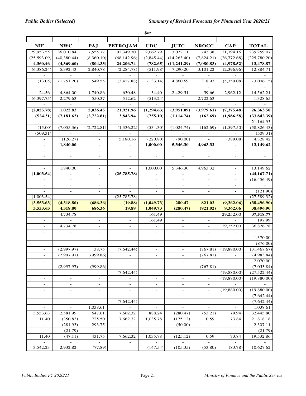|                              |                                      |                              |                              | \$m                                                  |                                               |                                                      |                              |              |
|------------------------------|--------------------------------------|------------------------------|------------------------------|------------------------------------------------------|-----------------------------------------------|------------------------------------------------------|------------------------------|--------------|
| <b>NIF</b>                   | <b>NWC</b>                           | PAJ                          | <b>PETROJAM</b>              | <b>UDC</b>                                           | <b>JUTC</b>                                   | <b>NROCC</b>                                         | <b>CAP</b>                   | <b>TOTAL</b> |
| 29,953.55                    | 36,010.84                            | 7,555.77                     | 92,349.70                    | $2,062.\overline{79}$                                | 3,022.11                                      | 743.38                                               | 21,794.16                    | 239,259.07   |
| (25,593.09)                  | (40, 380.44)                         | (8,360.10)                   | (68, 142.96)                 | (2,845.44)                                           | (14, 263.40)                                  | (7,824.21)                                           | (26,772.68)                  | (225,780.20) |
| 4,360.46                     | (4,369.60)                           | (804.33)                     | 24,206.74                    | (782.65)                                             | (11, 241.29)                                  | (7,080.83)                                           | (4,978.52)                   | 13,478.87    |
| (6,386.24)                   | 5,392.43                             | 2,840.78                     | (2, 284.78)                  | (511.98)                                             | 7,290.20                                      | 3,101.22                                             | (2,396.96)                   | 12,884.71    |
|                              |                                      |                              |                              |                                                      |                                               |                                                      |                              |              |
| (13.05)                      | (1,751.20)                           | 549.55                       | (3,427.88)                   | (133.14)                                             | 4,860.69                                      | 318.93                                               | (5,359.08)                   | (3,006.15)   |
|                              | L.                                   | $\mathbf{r}$                 | $\overline{a}$               | $\overline{a}$                                       |                                               | $\mathcal{L}$                                        |                              |              |
| 24.56                        | 4,864.00                             | 1,740.86                     | 630.48                       | 134.40                                               | 2,429.51                                      | 59.66                                                | 2,962.12                     | 14,562.21    |
| (6, 397.75)                  | 2,279.63                             | 550.37                       | 512.62                       | (513.24)                                             | $\overline{\phantom{a}}$                      | 2,722.63                                             | $\equiv$                     | 1,328.65     |
|                              |                                      |                              |                              |                                                      |                                               |                                                      |                              |              |
| (2,025.78)                   | 1,022.83                             | 2,036.45                     | 21,921.96                    | (1,294.63)                                           | (3,951.09)                                    | (3,979.61)                                           | (7,375.48)                   | 26,363.58    |
| (524.31)                     | (7, 181.63)                          | (2,722.81)                   | 3,843.94                     | (755.10)                                             | (1, 114.74)                                   | (162.69)                                             | (1,986.58)                   | (33, 842.39) |
|                              |                                      |                              |                              |                                                      |                                               |                                                      |                              | 21,164.93    |
| (15.00)                      | (7,055.36)                           | (2,722.81)                   | (1,336.22)                   | (534.30)                                             | (1,024.74)                                    | (162.69)                                             | (1,597.50)                   | (58, 826.43) |
| (509.31)                     |                                      |                              |                              |                                                      |                                               |                                                      |                              | (509.31)     |
|                              | (126.27)                             | $\overline{\phantom{a}}$     | 5,180.16                     | (220.80)                                             | (90.00)                                       | $\sim$                                               | (389.08)                     | 4,328.42     |
|                              | 1,840.00                             | $\blacksquare$               |                              | 1,000.00                                             | 5,346.30                                      | 4,963.32                                             |                              | 13,149.62    |
|                              |                                      | $\overline{\phantom{a}}$     |                              |                                                      |                                               |                                                      |                              |              |
|                              |                                      |                              |                              |                                                      |                                               |                                                      | $\overline{\phantom{0}}$     |              |
|                              |                                      |                              |                              |                                                      |                                               |                                                      |                              |              |
|                              | 1,840.00                             | $\overline{\phantom{a}}$     |                              | 1,000.00                                             | 5,346.30                                      | 4,963.32                                             | $\overline{a}$               | 13,149.62    |
| (1,003.54)                   |                                      |                              | (25,785.78)                  |                                                      |                                               |                                                      | $\blacksquare$               | (44, 167.71) |
|                              | $\overline{\phantom{a}}$             | $\overline{\phantom{a}}$     |                              | $\blacksquare$                                       | $\blacksquare$                                | $\blacksquare$                                       | $\overline{\phantom{a}}$     | (16, 456.49) |
| $\overline{\phantom{a}}$     | $\overline{\phantom{a}}$             | $\overline{\phantom{a}}$     | $\overline{\phantom{a}}$     | $\overline{\phantom{a}}$                             | $\overline{\phantom{a}}$                      | $\overline{\phantom{a}}$                             | $\qquad \qquad \blacksquare$ |              |
|                              | $\overline{\phantom{0}}$             | $\overline{\phantom{a}}$     |                              | $\overline{\phantom{a}}$                             | $\overline{\phantom{a}}$                      | $\overline{\phantom{a}}$                             | $\overline{\phantom{0}}$     | (121.90)     |
| (1,003.54)                   |                                      | $\qquad \qquad \blacksquare$ | (25, 785.78)                 |                                                      |                                               | $\overline{\phantom{a}}$                             |                              | (27, 589.32) |
| (3,553.63)                   | (4,318.80)                           | (686.36)                     | (19.88)                      | (1,049.73)                                           | 280.47                                        | 821.02                                               | (9,362.06)                   | (38, 496.90) |
| 3,553.63                     |                                      |                              |                              |                                                      |                                               |                                                      |                              |              |
|                              | 4,318.80                             | 686.36                       | 19.88                        | 1,049.73                                             | (280.47)                                      | (821.02)                                             | 9,362.06                     | 38,496.90    |
|                              | 4,734.78                             |                              |                              | 161.49                                               |                                               |                                                      | 29,252.00                    | 37,518.77    |
|                              |                                      |                              |                              | 161.49                                               | $\overline{\phantom{a}}$                      |                                                      |                              | 197.99       |
| $\overline{a}$               | 4,734.78                             | $\overline{\phantom{a}}$     | $\qquad \qquad \blacksquare$ | $\overline{\phantom{a}}$                             | $\overline{\phantom{a}}$                      | $\overline{\phantom{m}}$                             | 29,252.00                    | 36,826.78    |
|                              |                                      | $\overline{\phantom{a}}$     | $\bar{\phantom{a}}$          | $\overline{\phantom{a}}$                             | $\overline{\phantom{a}}$                      |                                                      |                              |              |
| L,                           | $\qquad \qquad \blacksquare$         | $\overline{\phantom{a}}$     |                              | $\sim$                                               | $\overline{\phantom{a}}$                      | $\overline{\phantom{a}}$                             |                              | 1,370.00     |
|                              |                                      |                              |                              |                                                      |                                               |                                                      |                              | (876.00)     |
|                              | (2,997.97)                           | 38.75                        | (7,642.44)                   |                                                      | $\qquad \qquad -$                             | (767.81)                                             | (19,880.00)                  | (31, 467.67) |
|                              | (2,997.97)                           | (999.86)                     |                              |                                                      |                                               | (767.81)                                             |                              | (4,983.84)   |
|                              |                                      |                              |                              |                                                      |                                               |                                                      |                              | 2,070.00     |
| $\overline{a}$               | (2,997.97)                           | (999.86)                     |                              | $\overline{\phantom{a}}$                             | $\overline{\phantom{a}}$                      | (767.81)                                             | $\overline{\phantom{0}}$     | (7,053.84)   |
| $\overline{\phantom{0}}$     | $\overline{\phantom{a}}$             | $\equiv$                     | (7,642.44)                   | $\overline{\phantom{a}}$                             | $\qquad \qquad -$                             | $\overline{\phantom{a}}$                             | (19,880.00)                  | (27, 522.44) |
| $\overline{a}$               | $\overline{\phantom{a}}$             | $\overline{\phantom{a}}$     | $\blacksquare$               | $\overline{\phantom{a}}$                             | $\blacksquare$                                | $\overline{\phantom{a}}$                             | (19,880.00)                  | (19,880.00)  |
| $\overline{\phantom{0}}$     | $\overline{\phantom{a}}$             | $\overline{\phantom{a}}$     | $\overline{\phantom{a}}$     | $\overline{\phantom{a}}$                             | $\overline{\phantom{a}}$                      | $\overline{\phantom{a}}$                             |                              |              |
| $\qquad \qquad \blacksquare$ | $\overline{\phantom{a}}$             | $\overline{\phantom{a}}$     | $\overline{\phantom{a}}$     | $\overline{\phantom{a}}$                             | $\overline{\phantom{a}}$                      | $\overline{\phantom{a}}$                             | (19,880.00)                  | (19,880.00)  |
| $\overline{\phantom{0}}$     | $\qquad \qquad \blacksquare$         | $\equiv$                     | $\equiv$                     | $\overline{\phantom{a}}$                             | $\overline{\phantom{a}}$                      | $\overline{\phantom{a}}$                             |                              | (7,642.44)   |
| ÷                            | ÷                                    | $\blacksquare$               | (7,642.44)<br>$\mathbb{Z}^2$ | $\overline{\phantom{a}}$<br>$\overline{\phantom{a}}$ | $\overline{\phantom{a}}$<br>$\qquad \qquad -$ | $\overline{\phantom{a}}$<br>$\overline{\phantom{a}}$ | $\overline{\phantom{a}}$     | (7,642.44)   |
| $\overline{\phantom{0}}$     | $\overline{\phantom{a}}$             | 1,038.61<br>647.61           |                              |                                                      |                                               |                                                      |                              | 1,038.61     |
| 3,553.63<br>11.40            | 2,581.99<br>(350.83)                 | 725.50                       | 7,662.32<br>7,662.32         | 888.24<br>1,035.78                                   | (280.47)<br>(175.12)                          | (53.21)<br>0.59                                      | (9.94)<br>73.84              | 32,445.80    |
| $\overline{\phantom{a}}$     |                                      |                              |                              | $\overline{\phantom{a}}$                             |                                               | $\blacksquare$                                       | $\overline{\phantom{a}}$     | 21,818.18    |
|                              | (281.93)                             | 293.75<br>$\sim$             | $\sim$                       |                                                      | (50.00)                                       | $\overline{\phantom{a}}$                             | $\blacksquare$               | 2,307.11     |
| 11.40                        | (21.79)                              | 431.75                       | 7,662.32                     | 1,035.78                                             |                                               | 0.59                                                 | 73.84                        | (21.79)      |
|                              | (47.11)<br>$\mathbb{Z}^{\mathbb{Z}}$ | $\mathbb{Z}^{\mathbb{Z}}$    |                              | $\mathbb{Z}^2$                                       | (125.12)<br>$\frac{1}{2}$                     | ä,                                                   | $\mathbb{L}^+$               | 19,532.86    |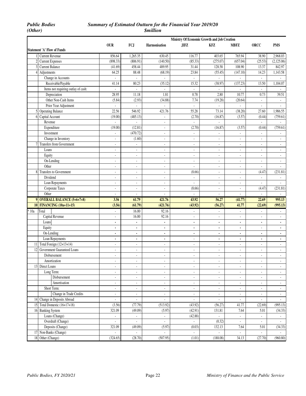|                  |                                     |                          |                             |                             | Ministry Of Economic Growth and Job Creation |                          |                              |                             |                             |
|------------------|-------------------------------------|--------------------------|-----------------------------|-----------------------------|----------------------------------------------|--------------------------|------------------------------|-----------------------------|-----------------------------|
|                  |                                     | <b>OUR</b>               | FCJ                         | <b>Harmonisation</b>        | <b>JIFZ</b>                                  | <b>KFZ</b>               | <b>MBFZ</b>                  | ORCC                        | <b>PMS</b>                  |
|                  | <b>Statement 'A' Flow of Funds</b>  |                          |                             |                             |                                              |                          |                              |                             |                             |
|                  | 1 Current Revenue                   | 856.64                   | 1,265.35                    | 630.45                      | 116.77                                       | 403.65                   | 765.94                       | 38.90                       | 2,968.03                    |
| $\overline{2}$   | <b>Current Expenses</b>             | (898.33)                 | (806.91)                    | (140.50)                    | (85.33)                                      | (275.07)                 | (657.04)                     | (25.53)                     | (2,125.06)                  |
| 3                | <b>Current Balance</b>              | (41.69)                  | 458.44                      | 489.95                      | 31.44                                        | 128.58                   | 108.90                       | 13.37                       | 842.97                      |
| 4                | Adjustments                         | 64.25                    | 88.48                       | (68.19)                     | 23.84                                        | (55.45)                  | (147.10)                     | 14.23                       | 1,143.58                    |
|                  | Change in Accounts                  | $\omega$                 | $\mathcal{L}$               | $\mathcal{L}_{\mathcal{A}}$ | $\omega$                                     | $\omega$                 | ÷.                           | $\omega$                    | $\sim$                      |
|                  | Receivable/Payable                  | 41.14                    | 80.23                       | (35.12)                     | 15.32                                        | (38.97)                  | (137.23)                     | 13.50                       | 1,104.07                    |
|                  | Items not requiring outlay of cash: | $\blacksquare$           | $\overline{\phantom{a}}$    |                             | $\overline{\phantom{a}}$                     |                          | $\overline{\phantom{a}}$     |                             |                             |
|                  | Depreciation                        | $28.\overline{95}$       | 11.18                       | 1.81                        | 0.78                                         | 2.80                     | 10.77                        | 0.73                        | 39.51                       |
|                  | Other Non-Cash Items                | (5.84)                   | (2.93)                      | (34.88)                     | 7.74                                         | (19.28)                  | (20.64)                      | $\mathcal{L}_{\mathcal{A}}$ | $\omega$                    |
|                  | Prior Year Adjustment               |                          | $\overline{\phantom{a}}$    |                             | $\overline{\phantom{a}}$                     | $\blacksquare$           |                              | $\overline{\phantom{a}}$    | $\blacksquare$              |
| 5                | <b>Operating Balance</b>            | 22.56                    | 546.92                      | 421.76                      | 55.28                                        | 73.14                    | (38.20)                      | 27.60                       | 1,986.55                    |
|                  | 6 Capital Account                   | (19.00)                  | (485.13)                    | $\blacksquare$              | (2.70)                                       | (16.87)                  | (3.57)                       | (0.44)                      | (759.61)                    |
|                  | Revenue                             |                          |                             | ÷,                          |                                              |                          |                              |                             |                             |
|                  | Expenditure                         | (19.00)                  | (12.81)                     | $\overline{a}$              | (2.70)                                       | (16.87)                  | (3.57)                       | (0.44)                      | (759.61)                    |
|                  | Investment                          | ä,                       | (470.72)                    | $\blacksquare$              | ä,                                           | $\omega$                 | ÷.                           | $\bar{\mathbf{z}}$          | $\Box$                      |
|                  | Change in Inventory                 | ÷,                       | (1.60)                      | ÷,                          | $\blacksquare$                               | $\blacksquare$           | $\overline{\phantom{a}}$     | ÷,                          | $\overline{\phantom{a}}$    |
|                  | Transfers from Government           | ä,                       | $\overline{\phantom{a}}$    | ä,                          | $\Box$                                       | $\Box$                   | ä,                           | ä,                          | $\Box$                      |
|                  | Loans                               | $\overline{\phantom{a}}$ | $\blacksquare$              | ÷,                          | $\blacksquare$                               | $\blacksquare$           | $\overline{\phantom{a}}$     | $\overline{\phantom{a}}$    | $\blacksquare$              |
|                  | Equity                              | $\sim$                   | $\overline{\phantom{a}}$    | ÷,                          | $\overline{\phantom{a}}$                     | $\blacksquare$           | $\blacksquare$               | ÷,                          | $\overline{\phantom{a}}$    |
|                  | On-Lending                          | ä,                       | ä,                          | ä,                          | ä,                                           | ÷.                       | $\overline{a}$               | L.                          | $\omega$                    |
|                  | Other                               | $\overline{\phantom{a}}$ | $\overline{\phantom{a}}$    | ÷,                          | $\omega$                                     | $\blacksquare$           | $\blacksquare$               | $\blacksquare$              | $\sim$                      |
|                  | 8 Transfers to Government           | $\blacksquare$           | $\overline{\phantom{a}}$    | ÷,                          | (8.66)                                       | $\overline{\phantom{a}}$ | $\blacksquare$               | (4.47)                      | (231.81)                    |
|                  | Dividend                            | $\overline{\phantom{a}}$ | $\overline{\phantom{a}}$    | $\overline{\phantom{a}}$    | $\blacksquare$                               | $\blacksquare$           | ÷,                           | $\blacksquare$              | $\omega$                    |
|                  | Loan Repayments                     | ä,                       | $\overline{\phantom{a}}$    | ä,                          | $\sim$                                       | $\blacksquare$           | ÷,                           | $\omega$                    | $\omega$                    |
|                  | Corporate Taxes                     | $\blacksquare$           | $\overline{\phantom{a}}$    | ÷,                          | (8.66)                                       | $\blacksquare$           | $\blacksquare$               | (4.47)                      | (231.81)                    |
|                  | Other                               | L.                       | ÷,                          | ä,                          | ä,                                           | $\omega$                 | ÷,                           |                             |                             |
|                  | 9 OVERALL BALANCE (5+6+7+8)         | 3.56                     | 61.79                       | 421.76                      | 43.92                                        | 56.27                    | (41.77)                      | 22.69                       | 995.13                      |
|                  | 10 FINANCING (10a+11+15)            | (3.56)                   | (61.79)                     | (421.76)                    | (43.92)                                      | (56.27)                  | 41.77                        | (22.69)                     | (995.13)                    |
| <sup>:</sup> 10a | Total                               | $\mathbf{r}$             | 16.00                       | 92.16                       | $\sim$                                       | $\omega$                 | $\overline{\phantom{a}}$     | $\bar{\mathbf{z}}$          | $\mathcal{L}_{\mathcal{A}}$ |
|                  | Capital Revenue                     | $\blacksquare$           | 16.00                       | 92.16                       | $\blacksquare$                               | $\overline{\phantom{a}}$ | ÷,                           | ÷,                          | $\overline{\phantom{a}}$    |
|                  | Loans                               | $\blacksquare$           | $\blacksquare$              | $\blacksquare$              | $\overline{a}$                               | $\overline{a}$           | $\overline{a}$               | ä,                          | $\blacksquare$              |
|                  | Equity                              | $\blacksquare$           | $\blacksquare$              | $\blacksquare$              | $\blacksquare$                               | $\blacksquare$           | $\blacksquare$               | ä,                          | $\blacksquare$              |
|                  | On-Lending                          | $\blacksquare$           | $\blacksquare$              | $\blacksquare$              | $\blacksquare$                               | $\blacksquare$           | $\blacksquare$               | $\blacksquare$              | $\blacksquare$              |
|                  | Loan Repayments                     | ä,                       | $\blacksquare$              | $\blacksquare$              | $\omega$                                     | $\blacksquare$           | $\overline{a}$               | ä,                          | $\blacksquare$              |
| 11               | Total Foreign (12+13+14)            | ×.                       | ÷.                          | ä,                          | $\blacksquare$                               | $\blacksquare$           | $\overline{\phantom{a}}$     | ä,                          | $\blacksquare$              |
| 12               | Government Guaranteed Loans         | ä,                       | $\sim$                      | ä,                          | $\blacksquare$                               | $\blacksquare$           | $\omega$                     | ÷,                          | $\blacksquare$              |
|                  | Disbursement                        | $\mathbb{Z}^2$           | $\sim$                      | ä,                          | ä,                                           | $\omega$                 | $\omega$                     | ä,                          | $\omega$                    |
|                  | Amortization                        | $\overline{\phantom{a}}$ | $\overline{\phantom{a}}$    | $\overline{\phantom{a}}$    | $\overline{\phantom{a}}$                     | $\overline{\phantom{a}}$ | $\qquad \qquad \blacksquare$ | $\overline{\phantom{a}}$    | $\overline{\phantom{a}}$    |
|                  | 13 Direct Loans                     | ä,                       | ÷.                          | ä,                          | $\blacksquare$                               | $\omega$                 | ä,                           | ä,                          | $\blacksquare$              |
|                  | Long Term:                          | ä,                       | ÷,                          | ÷.                          | $\sim$                                       | $\Box$                   | ä,                           | ä,                          | $\omega$                    |
|                  | Disbursement                        | $\blacksquare$           | $\overline{\phantom{a}}$    | ä,                          | $\overline{\phantom{a}}$                     | $\blacksquare$           | ÷,                           | ÷,                          | $\omega$                    |
|                  | Amortisation                        | ä,                       | $\blacksquare$              | $\blacksquare$              | $\overline{\phantom{a}}$                     | $\blacksquare$           | ÷,                           | $\blacksquare$              | $\mathcal{L}_{\mathcal{A}}$ |
|                  | Short Term:                         | $\overline{\phantom{a}}$ | $\blacksquare$              | $\overline{\phantom{a}}$    | $\blacksquare$                               | $\overline{\phantom{a}}$ | $\blacksquare$               | $\blacksquare$              | $\omega$                    |
|                  | Change in Trade Credits             | $\blacksquare$           | $\overline{\phantom{a}}$    | ä,                          | $\blacksquare$                               | $\blacksquare$           | $\blacksquare$               | $\overline{\phantom{a}}$    | $\omega$                    |
| 14               | Change in Deposits Abroad           | ä,                       | $\mathcal{L}_{\mathcal{A}}$ | $\blacksquare$              | $\blacksquare$                               | ä,                       | ÷,                           | $\blacksquare$              | $\omega$                    |
|                  | 15 Total Domestic $(16+17+18)$      | (3.56)                   | (77.79)                     | (513.92)                    | (43.92)                                      | (56.27)                  | 41.77                        | (22.69)                     | (995.13)                    |
|                  | 16 Banking System                   | 321.09                   | (49.09)                     | (5.97)                      | (42.91)                                      | 131.81                   | 7.64                         | 5.01                        | (34.33)                     |
|                  | Loans (Change)                      | ä,                       | $\Box$                      | $\Box$                      | (42.88)                                      | ä,                       | ä,                           | $\omega$                    | $\omega$                    |
|                  | Overdraft (Change)                  | $\blacksquare$           | $\overline{\phantom{a}}$    | ÷.                          | ÷.                                           | (0.32)                   | $\overline{\phantom{a}}$     | $\blacksquare$              | $\overline{\phantom{a}}$    |
|                  | Deposits (Change)                   | 321.09                   | (49.09)                     | (5.97)                      | (0.03)                                       | 132.13                   | 7.64                         | 5.01                        | (34.33)                     |
|                  | 17 Non-Banks (Change)               | ä,                       | $\omega$                    | $\blacksquare$              | $\omega$                                     | ä,                       | ä,                           | ÷.                          |                             |
|                  | 18 Other (Change)                   | (324.65)                 | (28.70)                     | (507.95)                    | (1.01)                                       | (188.08)                 | 34.13                        | (27.70)                     | (960.80)                    |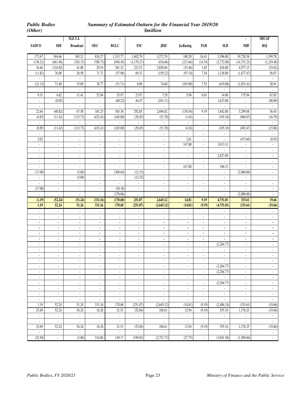|                                                      |                                       | M.E.Y.I.                                             |                                                      |                                |                                    |                                                      |                                            |                                            |                                       | $\blacksquare$                             | <b>MICAF</b>                                            |
|------------------------------------------------------|---------------------------------------|------------------------------------------------------|------------------------------------------------------|--------------------------------|------------------------------------|------------------------------------------------------|--------------------------------------------|--------------------------------------------|---------------------------------------|--------------------------------------------|---------------------------------------------------------|
| <b>SADCO</b>                                         | <b>SDF</b>                            | <b>Broadcast</b>                                     | <b>OEC</b>                                           | $BGLC$                         | <b>FSC</b>                         | <b>JDIC</b>                                          | Ja.Racing                                  | PAB                                        | <b>SLB</b>                            | <b>NHF</b>                                 | <b>BSJ</b>                                              |
| 172.67                                               | 544.66                                | 365.21                                               | 818.27                                               | 1,315.77                       | 1,402.79                           | 3,272.70                                             | 180.20                                     | 16.41                                      | 3,396.00                              | 19,728.38                                  | 1,199.78                                                |
| (138.21)                                             | (661.48)                              | (324.13)                                             | (788.73)                                             | (954.45)                       | (1,179.27)                         | (416.66)                                             | (213.66)                                   | (14.76)                                    | (2,772.00)                            | (14, 751.23)                               | (1,219.40)                                              |
| 34.46                                                | (116.82)                              | 41.08                                                | 29.54                                                | 361.32                         | 223.52                             | 2,856.04                                             | (33.46)                                    | 1.65                                       | 624.00                                | 4,977.15                                   | (19.62)                                                 |
| (11.82)                                              | 76.00                                 | 26.50                                                | 71.71                                                | (57.96)                        | 69.33                              | (159.22)                                             | (97.10)                                    | 7.54                                       | 1,218.80                              | (1,677.47)                                 | 56.07                                                   |
| $\omega$                                             | ÷.                                    | $\mathcal{L}^{\mathcal{A}}$                          | $\mathbb{Z}^2$                                       | $\mathcal{L}^{\mathcal{A}}$    | $\omega$                           | $\mathbb{Z}^2$                                       | $\mathcal{L}$                              | $\mathcal{L}^{\mathcal{A}}$                | $\mathbb{Z}^2$                        | $\mathbb{Z}^2$                             | $\mathbb{Z}^2$                                          |
| (21.13)                                              | 71.40                                 | 15.09                                                | 18.77                                                | (51.71)                        | 0.89                               | 74.60                                                | (103.00)                                   | 7.53                                       | (419.08)                              | (1,853.41)                                 | 28.91                                                   |
|                                                      | $\mathcal{L}_{\mathcal{A}}$           |                                                      | $\blacksquare$                                       | $\Box$                         | $\mathcal{L}_{\mathcal{A}}$        |                                                      |                                            | $\omega$                                   |                                       |                                            |                                                         |
| 9.31                                                 | 4.62                                  | 11.41                                                | 52.94                                                | 53.97<br>(60.22)               | 23.97                              | 7.29                                                 | 5.90                                       | 0.01                                       | 14.00                                 | 175.94                                     | 67.85                                                   |
| $\mathcal{L}_{\mathcal{A}}$<br>$\blacksquare$        | (0.02)<br>$\mathcal{L}_{\mathcal{A}}$ | $\omega$<br>$\Box$                                   | $\mathcal{L}_{\mathcal{A}}$<br>$\blacksquare$        | $\Box$                         | 44.47<br>÷.                        | (241.11)                                             | ÷.                                         | $\omega$                                   | 1,623.88<br>÷.                        | $\mathbb{Z}^+$<br>$\blacksquare$           | (40.69)<br>$\Box$                                       |
| 22.64                                                | (40.82)                               | 67.58                                                | 101.25                                               | 303.36                         | 292.85                             | 2,696.82                                             | $\blacksquare$<br>(130.56)                 | $\blacksquare$<br>9.19                     | 1,842.80                              | 3,299.68                                   | 36.45                                                   |
| (6.83)                                               | (11.42)                               | (113.73)                                             | (432.41)                                             | (165.00)                       | (29.45)                            | (51.70)                                              | (1.63)                                     | $\omega$                                   | (105.10)                              | (966.07)                                   | (16.79)                                                 |
|                                                      | ÷.                                    |                                                      |                                                      |                                |                                    |                                                      |                                            | $\overline{\phantom{a}}$                   |                                       |                                            |                                                         |
| (8.85)                                               | (11.42)                               | (113.73)                                             | (432.41)                                             | (165.00)                       | (29.45)                            | (51.70)                                              | (4.24)                                     | $\Box$                                     | (105.10)                              | (492.47)                                   | (15.86)                                                 |
| ä,                                                   | $\mathbb{Z}^{\times}$                 | $\mathcal{L}_{\mathcal{A}}$                          | ä,                                                   | $\Box$                         | $\omega$                           | ÷.                                                   | ÷.                                         | $\omega$                                   | $\mathcal{L}$                         | $\mathbb{Z}^2$                             | $\omega$                                                |
| 2.02                                                 | $\overline{\phantom{a}}$              | $\overline{\phantom{a}}$                             | ÷,                                                   | ÷,                             | $\blacksquare$                     | $\blacksquare$                                       | 2.61                                       | $\overline{\phantom{a}}$                   | $\sim$                                | (473.60)                                   | (0.93)                                                  |
| ÷.                                                   | $\mathbb{Z}^+$                        | $\blacksquare$                                       | $\blacksquare$                                       | $\blacksquare$                 | $\mathcal{L}_{\mathcal{A}}$        | $\blacksquare$                                       | 147.00                                     | $\overline{\phantom{a}}$                   | 3,013.31                              | ä,                                         | ÷.                                                      |
| ä,                                                   | $\omega$                              | $\mathcal{L}_{\mathcal{A}}$                          | ä,                                                   | ä,                             | $\mathcal{L}$                      | ä,                                                   | ä,                                         | $\mathcal{L}_{\mathcal{A}}$                | $\mathbb{Z}^2$                        | ä,                                         | ä,                                                      |
| ÷,                                                   | $\overline{\phantom{a}}$              | $\overline{\phantom{a}}$                             | ÷                                                    | ÷,                             | $\blacksquare$                     | $\overline{\phantom{a}}$                             | ä,                                         | $\blacksquare$                             | 2,827.00                              | ä,                                         | ä,                                                      |
| $\blacksquare$                                       | $\omega$                              | $\blacksquare$                                       | ä,                                                   | $\blacksquare$                 | $\mathcal{L}_{\mathcal{A}}$        | $\blacksquare$                                       | ÷.                                         | $\mathcal{L}_{\mathcal{A}}$                | $\omega$                              | $\mathbb{Z}^{\mathbb{Z}}$                  | $\mathcal{L}_{\mathcal{A}}$                             |
| $\blacksquare$                                       | $\mathbb{Z}^{\times}$                 | $\mathcal{L}_{\mathcal{A}}$                          | $\blacksquare$                                       | $\Box$                         | $\mathcal{L}_{\mathcal{A}}$        | $\blacksquare$                                       | 147.00                                     | $\sim$                                     | 186.31                                | $\mathcal{L}_{\mathcal{A}}$                | $\Box$                                                  |
| (17.00)                                              | $\overline{\phantom{a}}$              | (5.09)                                               | ÷,                                                   | (309.04)                       | (12.33)                            | $\blacksquare$                                       | $\overline{\phantom{a}}$                   | $\overline{\phantom{a}}$                   | $\blacksquare$                        | (2,000.00)                                 | $\overline{\phantom{a}}$                                |
| $\Box$                                               | $\blacksquare$                        | (5.09)                                               | $\blacksquare$                                       | $\blacksquare$                 | (12.33)                            | $\blacksquare$                                       | $\blacksquare$                             | $\overline{\phantom{a}}$                   | $\mathcal{L}_{\mathcal{A}}$           | $\blacksquare$                             | ÷.                                                      |
| ä,                                                   | $\mathbf{r}$                          | $\mathbf{r}$                                         | ä,                                                   | $\mathbb{Z}^2$                 | $\omega$                           | ä,                                                   | ä,                                         | $\mathcal{L}$                              | $\Box$                                | ÷.                                         | ä,                                                      |
| (17.00)<br>$\overline{a}$                            | $\mathcal{L}_{\mathcal{A}}$           | $\blacksquare$                                       | ÷,                                                   | (30.18)                        | $\omega$<br>ä,                     | $\blacksquare$                                       | $\overline{\phantom{a}}$                   | $\mathcal{L}$                              | $\blacksquare$                        | ä,                                         | ä,<br>ä,                                                |
| (1.19)                                               | $\mathbb{Z}^2$                        | $\mathbf{r}$<br>(51.24)                              | ä,<br>(331.16)                                       | (278.86)<br>(170.68)           | 251.07                             | ä,<br>2,645.12                                       | ä,<br>14.81                                | $\mathcal{L}$<br>9.19                      | $\omega$<br>4,751.01                  | (2,000.00)<br>333.61                       | 19.66                                                   |
| 1.19                                                 | (52.24)<br>52.24                      | 51.24                                                | 331.16                                               | 170.68                         | (251.07)                           | (2,645.12)                                           | (14.81)                                    | (9.19)                                     | (4,751.01)                            | (333.61)                                   | (19.66)                                                 |
| $\blacksquare$                                       | $\sim$                                | $\overline{\phantom{a}}$                             | $\overline{\phantom{a}}$                             | $\overline{\phantom{a}}$       | $\sim$                             | $\sim$                                               | ÷                                          | $\sim$                                     | $\omega_{\rm c}$                      | $\mathcal{L}_{\mathcal{A}}$                | ÷.                                                      |
| ÷,                                                   | ÷.                                    | ÷,                                                   | $\blacksquare$                                       | $\blacksquare$                 | $\Box$                             | $\blacksquare$                                       | ÷,                                         | $\blacksquare$                             | $\blacksquare$                        | ÷,                                         | ÷.                                                      |
| $\blacksquare$                                       | $\blacksquare$                        | $\blacksquare$                                       | $\blacksquare$                                       | ٠                              | $\blacksquare$                     | $\blacksquare$                                       | ٠                                          | $\blacksquare$                             | $\blacksquare$                        | ä,                                         | $\blacksquare$                                          |
| $\blacksquare$                                       | $\blacksquare$                        | $\blacksquare$                                       | ٠                                                    | ٠                              | $\blacksquare$                     | $\blacksquare$                                       | ٠                                          | $\blacksquare$                             | $\blacksquare$                        | ٠                                          | $\blacksquare$                                          |
| $\blacksquare$                                       | $\blacksquare$                        | $\blacksquare$                                       | $\overline{a}$                                       | ä,                             | $\blacksquare$                     | $\blacksquare$                                       | $\blacksquare$                             | $\blacksquare$                             | ä,                                    | ä,                                         | $\blacksquare$                                          |
| $\blacksquare$                                       | $\blacksquare$                        | $\blacksquare$                                       | $\blacksquare$                                       | ٠                              | $\blacksquare$                     | $\blacksquare$                                       | ٠                                          | $\blacksquare$                             | $\blacksquare$                        | $\blacksquare$                             | $\blacksquare$                                          |
| $\overline{\phantom{a}}$                             | $\overline{\phantom{a}}$              | $\blacksquare$                                       | $\overline{\phantom{a}}$                             | $\overline{\phantom{a}}$       | $\blacksquare$                     | $\overline{\phantom{a}}$                             | $\overline{\phantom{a}}$                   | $\omega$                                   | (2,264.77)                            | $\overline{\phantom{a}}$                   | $\blacksquare$                                          |
| ÷,                                                   | ä,                                    | $\overline{\phantom{a}}$                             | ÷,                                                   | ÷,                             | ÷,                                 | $\Box$                                               | $\blacksquare$                             | ÷.                                         | ÷.                                    | ÷,                                         | ÷.                                                      |
| $\overline{\phantom{a}}$                             | $\blacksquare$                        | $\overline{\phantom{a}}$                             | $\overline{\phantom{a}}$                             | ÷,                             | $\blacksquare$                     | $\overline{\phantom{a}}$                             | $\overline{\phantom{a}}$                   | $\overline{\phantom{a}}$                   | $\blacksquare$                        | $\overline{\phantom{a}}$                   | $\blacksquare$                                          |
|                                                      |                                       |                                                      |                                                      |                                | $\overline{\phantom{a}}$           | ۰                                                    |                                            |                                            | $\sim$ 100 $\pm$                      |                                            |                                                         |
|                                                      | $\omega$                              | $\mathcal{L}_{\mathcal{A}}$                          | ä,                                                   | ä,                             | $\omega$                           | $\mathcal{L}_{\mathcal{A}}$                          | ä,                                         | $\mathcal{L}$                              | (2,264.77)                            | ä,                                         | $\blacksquare$                                          |
| $\blacksquare$                                       | $\sim$                                | $\blacksquare$                                       | $\overline{\phantom{a}}$                             | $\overline{\phantom{a}}$       | $\sim$                             | $\blacksquare$                                       | $\blacksquare$                             | $\blacksquare$                             | (2,264.77)                            | ÷.                                         | $\mathcal{L}_{\mathcal{A}}$                             |
| $\blacksquare$                                       | $\sim$                                | $\overline{\phantom{a}}$                             | $\overline{\phantom{a}}$                             | $\overline{\phantom{a}}$       | $\sim$                             | $\overline{\phantom{a}}$                             | $\overline{\phantom{a}}$                   | $\blacksquare$                             | $\mathcal{L}_{\mathcal{A}}$           | $\blacksquare$                             | $\blacksquare$                                          |
| $\blacksquare$                                       | $\mathcal{L}_{\mathcal{A}}$           | $\overline{\phantom{a}}$                             | $\blacksquare$                                       | $\blacksquare$                 | $\sim$                             | $\Box$                                               | ä,                                         | $\omega$                                   | (2,264.77)                            | ÷.                                         | ÷.                                                      |
| $\overline{\phantom{a}}$<br>$\overline{\phantom{a}}$ | $\overline{\phantom{a}}$<br>$\sim$    | $\overline{\phantom{a}}$<br>$\overline{\phantom{a}}$ | $\overline{\phantom{a}}$<br>$\overline{\phantom{a}}$ | ÷,<br>$\overline{\phantom{a}}$ | $\overline{\phantom{a}}$<br>$\sim$ | $\overline{\phantom{a}}$<br>$\overline{\phantom{a}}$ | $\overline{\phantom{a}}$<br>$\blacksquare$ | $\overline{\phantom{a}}$<br>$\blacksquare$ | $\mathcal{L}_{\mathcal{A}}$<br>$\sim$ | $\overline{\phantom{a}}$<br>$\blacksquare$ | $\overline{\phantom{a}}$<br>$\mathcal{L}_{\mathcal{A}}$ |
| ¥,                                                   | $\mathcal{L}_{\mathcal{A}}$           | $\mathcal{L}_{\mathcal{A}}$                          | ÷.                                                   | ä,                             | $\omega$                           | ÷.                                                   | $\omega$                                   | $\mathcal{L}_{\mathcal{A}}$                | $\omega$                              | $\mathcal{L}_{\mathcal{A}}$                | $\mathbb{Z}^+$                                          |
| 1.19                                                 | 52.24                                 | 51.24                                                | 331.16                                               | 170.68                         | (251.07)                           | (2,645.12)                                           | (14.81)                                    | (9.19)                                     | (2,486.24)                            | (333.61)                                   | (19.66)                                                 |
| 23.69                                                | 52.24                                 | 54.24                                                | 16.28                                                | 21.51                          | (52.04)                            | 106.61                                               | 12.94                                      | (9.19)                                     | 555.34                                | 1,176.25                                   | (19.66)                                                 |
| $\Box$                                               | $\omega$                              | $\mathbb{Z}^2$                                       | $\omega$                                             | $\Box$                         | ÷.                                 | $\omega$                                             | $\omega$                                   | $\mathcal{L}_{\mathcal{A}}$                | $\mathcal{L}_{\mathcal{A}}$           | $\omega$                                   | $\omega$                                                |
| $\mathcal{L}_{\mathcal{A}}$                          | ¥.                                    | $\mathcal{L}_{\mathcal{A}}$                          | $\mathcal{L}_{\mathcal{A}}$                          | $\mathcal{L}_{\mathcal{A}}$    | $\mathbb{Z}^2$                     | $\mathbb{Z}^2$                                       | ÷.                                         | $\mathcal{L}^{\pm}$                        | $\sim$                                | ¥.                                         | ¥.                                                      |
| 23.69                                                | 52.24                                 | 54.24                                                | 16.28                                                | 21.51                          | (52.04)                            | 106.61                                               | 12.94                                      | (9.19)                                     | 555.34                                | 1,176.25                                   | (19.66)                                                 |
| $\overline{\phantom{a}}$                             | $\mathcal{L}_{\mathcal{A}}$           | $\mathcal{L}_{\mathcal{A}}$                          | ä,                                                   | ä,                             | $\omega$                           | $\omega$                                             | $\omega$                                   |                                            |                                       |                                            |                                                         |
| (22.50)                                              | $\mathcal{L}_{\mathcal{A}}$           | (3.00)                                               | 314.88                                               | 149.17                         | (199.03)                           | (2,751.73)                                           | (27.75)                                    | $\mathcal{L}_{\mathcal{A}}$                | (3,041.58)                            | (1,509.86)                                 | $\omega$ .                                              |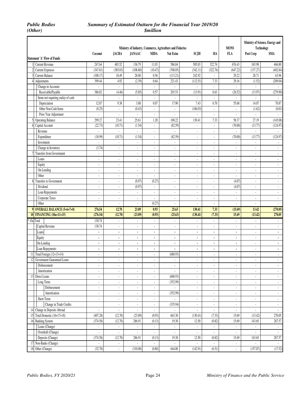|                         |                                                   |                          |                             |                          |                             | Ministry of Industry, Commerce, Agriculture and Fisheries |                          |                          | <b>MONS</b>              |                    | Ministry of Science, Energy and<br>Technology |
|-------------------------|---------------------------------------------------|--------------------------|-----------------------------|--------------------------|-----------------------------|-----------------------------------------------------------|--------------------------|--------------------------|--------------------------|--------------------|-----------------------------------------------|
|                         | <b>Statement 'A' Flow of Funds</b>                | Coconut                  | <b>JACRA</b>                | <b>JANAAC</b>            | <b>MIDA</b>                 | Nat Exim                                                  | SCJH                     | <b>SIA</b>               | <b>FLA</b>               | Post Corp          | <b>SMA</b>                                    |
|                         |                                                   |                          |                             |                          |                             |                                                           |                          |                          |                          |                    |                                               |
| $\overline{\mathbf{c}}$ | 1 Current Revenue                                 | 247.64<br>(347.81)       | 403.52                      | 136.79<br>(108.80)       | 11.03<br>(10.47)            | 586.84<br>(700.05)                                        | 585.03<br>(342.11)       | 322.76                   | 676.43<br>(647.22)       | 165.98<br>(137.27) | 466.80<br>(402.84)                            |
|                         | <b>Current Expenses</b><br><b>Current Balance</b> | (100.17)                 | (385.03)                    | 28.00                    | 0.56                        |                                                           | 242.92                   | (322.76)<br>ä,           | 29.22                    | 28.71              | 63.96                                         |
| $\frac{1}{2}$           |                                                   | 399.44                   | 18.49<br>4.92               | (2.39)                   | 0.64                        | (113.21)                                                  | (112.51)                 | 7.33                     |                          | (1.52)             | (209.04)                                      |
|                         | Adjustments<br>Change in Accounts                 |                          |                             | ÷,                       | $\omega$                    | 221.43<br>$\overline{\phantom{a}}$                        |                          |                          | 29.16<br>÷,              | ä,                 | ÷.                                            |
|                         |                                                   | ä,                       | $\sim$                      |                          | 0.57                        | 203.53                                                    |                          |                          | (26.52)                  |                    |                                               |
|                         | Receivable/Payable                                | 386.82                   | (4.46)                      | (5.85)                   |                             |                                                           | (13.91)                  | 0.63                     |                          | (13.97)            | (279.90)                                      |
|                         | Items not requiring outlay of cash:               | ä,<br>12.87              | $\sim$<br>9.38              | $\Box$<br>3.88           | ÷.<br>0.07                  | $\mathcal{L}$<br>17.90                                    | ÷,<br>7.43               | ÷<br>6.70                | ä,<br>55.68              | ÷<br>14.07         | $\sim$<br>70.87                               |
|                         | Depreciation<br>Other Non-Cash Items              |                          |                             |                          | ä,                          | $\mathcal{L}_{\mathcal{A}}$                               | (106.03)                 | ä,                       |                          |                    |                                               |
|                         |                                                   | (0.25)                   | $\omega$                    | (0.43)                   |                             |                                                           |                          |                          | ä,                       | (1.62)             | (0.01)                                        |
|                         | Prior Year Adjustment                             | ÷.                       | $\overline{\phantom{a}}$    | $\blacksquare$           | $\mathcal{L}_{\mathcal{A}}$ | $\mathcal{L}$                                             | ÷.                       | $\blacksquare$           | $\blacksquare$           | $\sim$             | $\omega$                                      |
| 5                       | <b>Operating Balance</b>                          | 299.27                   | 23.41                       | 25.61                    | 1.20                        | 108.22                                                    | 130.41                   | 7.33                     | 58.37                    | 27.19              | (145.08)                                      |
| 6                       | Capital Account                                   | (22.73)                  | (10.71)                     | (1.54)                   | $\mathbb{Z}^2$              | (82.59)                                                   |                          | ÷,                       | (70.00)                  | (13.77)            | (124.97)                                      |
|                         | Revenue                                           | $\omega$                 | ÷.                          | $\omega$                 | ÷.                          | $\mathcal{L}$                                             | ÷,                       | ×,                       | ä,                       | $\omega$           | $\omega$                                      |
|                         | Expenditure                                       | (18.99)                  | (10.71)                     | (1.54)                   | $\Box$                      | (82.59)                                                   | ÷,                       | ÷                        | (70.00)                  | (13.77)            | (124.97)                                      |
|                         | Investment                                        |                          |                             | $\overline{\phantom{a}}$ | $\overline{\phantom{a}}$    | $\overline{\phantom{a}}$                                  | $\overline{\phantom{a}}$ | $\overline{\phantom{a}}$ |                          |                    | $\blacksquare$                                |
|                         | Change in Inventory                               | (3.74)                   | $\omega$                    | ä,                       | ä,                          | $\omega$                                                  | ÷,                       | ÷,                       | ä,                       | ä,                 | ÷.                                            |
| 7                       | Transfers from Government                         | ÷.                       | ÷.                          | $\overline{\phantom{a}}$ | ÷.                          | $\blacksquare$                                            | ×,                       | $\blacksquare$           | ä,                       | ä,                 | $\blacksquare$                                |
|                         | Loans                                             | $\frac{1}{2}$            | $\overline{\phantom{a}}$    | $\blacksquare$           | $\overline{\phantom{a}}$    | $\overline{\phantom{a}}$                                  | ÷,                       | $\blacksquare$           | $\blacksquare$           | $\blacksquare$     | $\blacksquare$                                |
|                         | Equity                                            | ÷,                       | $\overline{\phantom{a}}$    | $\blacksquare$           | ä,                          | $\overline{\phantom{a}}$                                  | ÷,                       | ÷,                       | $\blacksquare$           | ÷                  | ä,                                            |
|                         | On-Lending                                        | ä,                       | ÷.                          | $\overline{\phantom{a}}$ | $\omega$                    | $\mathcal{L}$                                             | ÷,                       | ÷,                       | ÷,                       | ä,                 | $\blacksquare$                                |
|                         | Other                                             | ÷,                       | ÷.                          | $\omega$                 | ÷,                          | $\omega$                                                  | L,                       | ÷                        | ÷,                       | ä,                 | ÷.                                            |
| 8                       | Transfers to Government                           | $\frac{1}{2}$            | $\blacksquare$              | (0.97)                   | (0.27)                      | $\overline{\phantom{a}}$                                  | ÷,                       | $\overline{\phantom{a}}$ | (4.07)                   | ÷                  | $\blacksquare$                                |
|                         | Dividend                                          | ÷,                       | $\sim$                      | (0.97)                   | ä,                          | $\mathcal{L}$                                             | ÷,                       | ÷,                       | (4.07)                   | ä,                 | $\omega$                                      |
|                         | Loan Repayments                                   | ä,                       | $\sim$                      | $\Box$                   | ä,                          | $\mathcal{L}_{\mathcal{A}}$                               | ÷,                       | $\sim$                   | ÷.                       | ä,                 | ÷.                                            |
|                         | Corporate Taxes                                   | ÷.                       | $\overline{\phantom{a}}$    | $\overline{\phantom{a}}$ | ÷.                          | $\overline{\phantom{a}}$                                  | ÷,                       | $\blacksquare$           | $\overline{\phantom{a}}$ | $\blacksquare$     | $\sim$                                        |
|                         | Other                                             |                          | ÷.                          | ÷,                       | (0.27)                      | ä,                                                        |                          | ÷.                       | ÷,                       | ä,                 | ÷.                                            |
|                         | 9 OVERALL BALANCE (5+6+7+8)                       | 276.54                   | 12.70                       | 23.09                    | 0.93                        | 25.63                                                     | 130.41                   | 7.33                     | (15.69)                  | 13.42              | (270.05)                                      |
| 10 <sup>1</sup>         | <b>FINANCING (10a+11+15)</b>                      | (276.54)                 | (12.70)                     | (23.09)                  | (0.93)                      | (25.63)                                                   | (130.41)                 | (7.33)                   | 15.69                    | (13.42)            | 270.05                                        |
|                         | * 10a Total                                       | 130.74                   | $\sim$                      | $\blacksquare$           | $\overline{\phantom{a}}$    | $\sim$                                                    | $\sim$                   | $\sim$                   | $\sim$                   | ٠                  | $\blacksquare$                                |
|                         | Capital Revenue                                   | 130.74                   | ÷.                          | $\overline{\phantom{a}}$ | ÷.                          | $\overline{\phantom{a}}$                                  | ä,                       |                          | $\overline{\phantom{a}}$ | ÷                  | $\blacksquare$                                |
|                         | Loans                                             | ä,                       | $\blacksquare$              | $\blacksquare$           | ä,                          | $\blacksquare$                                            | l,                       | ä,                       | ä,                       | ä,                 | ¥,                                            |
|                         | Equity                                            | $\blacksquare$           | $\blacksquare$              | $\blacksquare$           | $\blacksquare$              | $\blacksquare$                                            | $\blacksquare$           | $\blacksquare$           |                          | ä,                 | $\blacksquare$                                |
|                         | On-Lending                                        | $\blacksquare$           | $\blacksquare$              | $\blacksquare$           | ٠                           | $\blacksquare$                                            | ×,                       | $\blacksquare$           |                          | $\blacksquare$     | $\blacksquare$                                |
|                         | Loan Repayments                                   | $\blacksquare$           | $\blacksquare$              | ٠                        | ٠                           | $\blacksquare$                                            | $\blacksquare$           | ٠                        | $\blacksquare$           | $\blacksquare$     | $\blacksquare$                                |
| 11                      | Total Foreign (12+13+14)                          | L.                       | $\mathcal{L}_{\mathcal{A}}$ | $\omega$                 | ä,                          | (688.93)                                                  | ÷,                       | ÷.                       | ÷,                       | ä,                 | ÷.                                            |
| 12                      | Government Guaranteed Loans                       | $\overline{a}$           | $\sim$                      | $\sim$                   | $\sim$                      | ÷                                                         | $\sim$                   | $\sim$                   | $\overline{\phantom{a}}$ | ٠                  | $\sim$                                        |
|                         | Disbursement                                      | ÷,                       | $\blacksquare$              | $\overline{\phantom{a}}$ | ٠                           | $\blacksquare$                                            | $\overline{\phantom{a}}$ | $\overline{\phantom{a}}$ | ٠                        | ÷                  | $\blacksquare$                                |
|                         | Amortization                                      | L.                       | ÷.                          | ÷.                       | L,                          | ä,                                                        | L,                       | ä,                       | L,                       | ä,                 | ÷.                                            |
|                         | 13 Direct Loans                                   | ä,                       | $\overline{\phantom{a}}$    | $\overline{\phantom{a}}$ | ¥,                          | (688.93)                                                  | $\blacksquare$           | $\blacksquare$           | $\overline{\phantom{a}}$ | $\sim$             | ¥,                                            |
|                         | Long Term:                                        | ä,                       | $\blacksquare$              | $\overline{\phantom{a}}$ | ¥,                          | (352.99)                                                  | $\blacksquare$           | $\blacksquare$           | $\blacksquare$           | ÷.                 | $\omega$                                      |
|                         | Disbursement                                      | $\overline{\phantom{a}}$ | $\overline{\phantom{a}}$    | ٠                        | $\blacksquare$              | ÷.                                                        | $\blacksquare$           | $\overline{\phantom{a}}$ | $\blacksquare$           | $\blacksquare$     | ÷.                                            |
|                         | Amortisation                                      | ä,                       | $\overline{\phantom{a}}$    | $\overline{\phantom{a}}$ | ÷.                          | (352.99)                                                  | ÷,                       | $\blacksquare$           | ÷,                       | ä,                 | ¥,                                            |
|                         | Short Term:                                       | L.                       | $\mathcal{L}_{\mathcal{A}}$ | ä,                       | $\Box$                      | $\mathbb{Z}^2$                                            | ×,                       | $\blacksquare$           | ä,                       | ä,                 | ä,                                            |
|                         | Change in Trade Credits                           |                          | $\overline{\phantom{a}}$    | $\overline{\phantom{a}}$ | $\blacksquare$              | (335.94)                                                  | $\blacksquare$           | $\blacksquare$           | $\overline{\phantom{a}}$ | $\blacksquare$     | $\omega_{\rm c}$                              |
| 14                      | Change in Deposits Abroad                         | ÷.                       | ÷.                          | $\Box$                   | $\mathbb{Z}^+$              | ÷.                                                        | ä,                       | ä,                       | $\Box$                   | ÷.                 | ä,                                            |
| 15                      | Total Domestic (16+17+18)                         | (407.28)                 | (12.70)                     | (23.09)                  | (0.93)                      | 663.30                                                    | (130.41)                 | (7.33)                   | 15.69                    | (13.42)            | 270.05                                        |
|                         | 16 Banking System                                 | (374.58)                 | (12.70)                     | 286.91                   | (0.13)                      | 19.30                                                     | 12.50                    | (0.82)                   | 15.69                    | 143.65             | 287.57                                        |
|                         | Loans (Change)                                    | ÷.                       | $\blacksquare$              | ¥,                       | $\Box$                      | $\Box$                                                    | $\blacksquare$           | $\blacksquare$           | ÷.                       | $\sim$             | $\mathbb{Z}^2$                                |
|                         | Overdraft (Change)                                | ÷.                       | $\blacksquare$              | $\overline{\phantom{a}}$ | $\mathcal{L}_{\mathcal{A}}$ | $\omega$                                                  | $\Box$                   | $\blacksquare$           | ÷.                       | $\sim$             | $\mathbb{Z}^2$                                |
|                         | Deposits (Change)                                 | (374.58)                 | (12.70)                     | 286.91                   | (0.13)                      | 19.30                                                     | 12.50                    | (0.82)                   | 15.69                    | 143.65             | 287.57                                        |
|                         | 17 Non-Banks (Change)                             |                          |                             |                          | $\blacksquare$              | $\blacksquare$                                            |                          |                          | $\blacksquare$           |                    | $\omega$                                      |
|                         | 18 Other (Change)                                 | (32.70)                  | $\mathbb{Z}^2$              | (310.00)                 | (0.80)                      | 644.00                                                    | (142.91)                 | (6.51)                   | L.                       | (157.07)           | (17.52)                                       |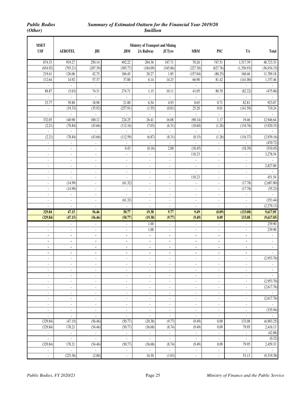| <b>MSET</b><br><b>USF</b> |                                  |                                            |                                            | <b>Ministry of Transport and Mining</b>              |                                                      |                                            |                                                      |                                            |                                           |
|---------------------------|----------------------------------|--------------------------------------------|--------------------------------------------|------------------------------------------------------|------------------------------------------------------|--------------------------------------------|------------------------------------------------------|--------------------------------------------|-------------------------------------------|
|                           | <b>AEROTEL</b>                   | JBI                                        | JBM                                        | <b>JA Railway</b>                                    | <b>JUTyre</b>                                        | <b>MBM</b>                                 | <b>PSC</b>                                           | TA                                         | <b>Total</b>                              |
| 874.33                    | 919.27                           | 250.14                                     | 492.22                                     | 204.36                                               | 347.71                                               | 70.26                                      | 747.51                                               | 1,517.39                                   | 48,723.33                                 |
| (654.92)                  | (793.21)                         | (207.39)                                   | (305.77)                                   | (184.09)                                             | (345.86)                                             | (227.30)                                   | (827.76)                                             | (1,356.93)                                 | (36,934.15)                               |
| 219.41                    | 126.06                           | 42.75                                      | 186.45                                     | 20.27                                                | 1.85                                                 | (157.04)                                   | (80.25)                                              | 160.46                                     | 11,789.18                                 |
| 112.64                    | 14.92                            | 57.37                                      | 37.80                                      | 6.14                                                 | 14.23                                                | 66.90                                      | 81.42                                                | (141.00)                                   | 1,157.46                                  |
| $\mathcal{L}$             | $\blacksquare$                   | $\omega$                                   | $\omega$                                   | $\sim$                                               | ÷.                                                   | $\blacksquare$                             | $\omega$                                             | $\omega$                                   | $\mathbb{Z}^{\mathbb{Z}}$                 |
| 88.87                     | (5.63)                           | 74.31                                      | 274.71                                     | 1.15                                                 | 10.11                                                | 41.05                                      | 80.70                                                | (82.22)                                    | (475.86)                                  |
| $\mathcal{L}$             | L.                               | ÷.                                         | $\overline{\phantom{a}}$                   | $\mathcal{L}$                                        | L.                                                   | $\Box$                                     | $\blacksquare$                                       | L.                                         | $\omega$                                  |
| 23.77                     | 39.88                            | 18.98                                      | 21.00                                      | 6.54                                                 | 4.93                                                 | 0.65                                       | 0.71                                                 | 82.81                                      | 923.07                                    |
| $\overline{\phantom{a}}$  | (19.33)                          | (35.92)                                    | (257.91)                                   | (1.55)                                               | (0.81)                                               | 25.20                                      | 0.01                                                 | (141.59)                                   | 710.24                                    |
| $\overline{a}$            | L.                               | $\mathbb{Z}^2$                             | ä,                                         | ä,                                                   | $\mathbb{Z}^2$                                       | L,                                         | ä,                                                   | L,                                         | $\omega$                                  |
| 332.05                    | 140.98                           | 100.12                                     | 224.25                                     | 26.41                                                | 16.08                                                | (90.14)                                    | 1.17                                                 | 19.46                                      | 12,946.64                                 |
| (2.21)                    | (78.84)                          | (43.66)                                    | (112.16)                                   | (7.03)                                               | (6.31)                                               | (18.60)                                    | (1.26)                                               | (134.76)                                   | (3,920.33)                                |
| $\omega$                  | ä,                               | $\Box$                                     | $\blacksquare$                             | $\omega$                                             | $\Box$                                               | ä,                                         | $\blacksquare$                                       | ä,                                         | $\omega$                                  |
| (2.21)                    | (78.84)                          | (43.66)                                    | (112.59)                                   | (6.87)                                               | (8.31)                                               | (0.15)                                     | (1.26)                                               | (116.37)                                   | (2,939.16)                                |
| $\blacksquare$            | $\blacksquare$                   | $\blacksquare$                             |                                            | $\blacksquare$                                       | ä,                                                   | ä,                                         | $\overline{\phantom{a}}$                             |                                            | (470.72)                                  |
| $\blacksquare$            | $\blacksquare$                   | $\blacksquare$                             | 0.43                                       | (0.16)                                               | 2.00                                                 | (18.45)                                    | $\blacksquare$                                       | (18.39)                                    | (510.45)                                  |
| $\blacksquare$            | $\blacksquare$                   | $\sim$                                     | $\blacksquare$                             | $\mathcal{L}_{\mathcal{A}}$                          | $\blacksquare$                                       | 118.23                                     | ÷,                                                   | $\blacksquare$                             | 3,278.54                                  |
| $\blacksquare$            | $\blacksquare$                   | $\blacksquare$                             | $\blacksquare$                             | $\overline{\phantom{a}}$                             | $\blacksquare$                                       | ä,                                         | $\overline{\phantom{a}}$                             | ä,                                         | $\mathcal{L}^{\mathcal{A}}$               |
| $\blacksquare$            | ä,                               | $\blacksquare$                             | $\blacksquare$                             | $\blacksquare$                                       | $\blacksquare$                                       | $\blacksquare$                             | $\blacksquare$                                       | ä,                                         | 2,827.00                                  |
| $\blacksquare$            | $\blacksquare$                   | $\overline{\phantom{a}}$                   | $\blacksquare$                             | $\overline{\phantom{a}}$                             | $\overline{\phantom{a}}$                             | $\blacksquare$                             | $\overline{\phantom{a}}$                             | ÷,                                         |                                           |
| $\blacksquare$            | $\Box$                           | $\blacksquare$                             | $\blacksquare$                             | $\overline{\phantom{a}}$                             | $\blacksquare$                                       | 118.23                                     | ä,                                                   | $\Box$                                     | 451.54                                    |
| $\blacksquare$            | (14.99)                          | $\blacksquare$                             | (61.32)                                    | $\blacksquare$                                       | $\blacksquare$                                       | ä,                                         | $\omega$                                             | (17.78)                                    | (2,687.80)                                |
| $\blacksquare$            | (14.99)                          | $\blacksquare$                             | ä,                                         | $\overline{\phantom{a}}$                             | $\blacksquare$                                       | $\blacksquare$                             | $\blacksquare$                                       | (17.78)                                    | (55.23)                                   |
| $\blacksquare$            | $\Box$                           | $\blacksquare$                             | $\blacksquare$                             | $\blacksquare$                                       | $\blacksquare$                                       | $\blacksquare$                             | $\blacksquare$                                       | ä,                                         | $\omega$                                  |
| $\overline{\phantom{a}}$  | $\blacksquare$                   | $\blacksquare$                             | (61.32)                                    | $\blacksquare$                                       | $\blacksquare$                                       | $\blacksquare$                             | $\blacksquare$                                       | $\blacksquare$                             | (353.44)                                  |
| $\overline{\phantom{a}}$  | $\overline{\phantom{a}}$         | $\overline{\phantom{a}}$                   | $\blacksquare$                             | $\overline{\phantom{a}}$                             | $\overline{\phantom{a}}$                             | $\overline{\phantom{a}}$                   | $\overline{\phantom{a}}$                             | $\overline{\phantom{a}}$                   | (2,279.13)                                |
| 329.84                    | 47.15                            | 56.46                                      | 50.77                                      | 19.38                                                | 9.77                                                 | 9.49                                       | (0.09)                                               | (133.08)                                   | 9,617.05                                  |
| (329.84)                  | (47.15)                          | (56.46)                                    | (50.77)                                    | (19.38)                                              | (9.77)                                               | (9.49)                                     | 0.09                                                 | 133.08                                     | (9,617.05)                                |
| $\overline{\phantom{a}}$  | $\overline{\phantom{a}}$         | $\overline{\phantom{a}}$                   | $\overline{\phantom{a}}$                   | 1.00                                                 | $\overline{\phantom{a}}$                             | $\overline{\phantom{a}}$                   | $\overline{\phantom{a}}$                             | $\overline{\phantom{a}}$                   | 239.90                                    |
| ÷.                        | $\blacksquare$                   | $\blacksquare$                             | $\blacksquare$                             | 1.00                                                 | $\blacksquare$                                       | ÷,                                         | ÷,                                                   | ÷,                                         | 239.90                                    |
| ä,                        | ä,                               | $\blacksquare$                             | $\blacksquare$                             | $\mathbf{r}$                                         | ٠                                                    | $\overline{\phantom{a}}$                   | $\blacksquare$                                       | ä,                                         | $\blacksquare$                            |
| $\blacksquare$            | ٠                                | ٠                                          | ٠                                          | $\blacksquare$                                       | ٠                                                    | $\blacksquare$                             | $\blacksquare$                                       | ٠                                          | $\blacksquare$                            |
| $\blacksquare$            | ä,                               | $\blacksquare$                             | $\blacksquare$                             | $\blacksquare$                                       | ٠                                                    | $\blacksquare$                             | $\blacksquare$                                       | ä,                                         | $\omega$                                  |
| $\blacksquare$            | $\blacksquare$                   | $\bullet$                                  | $\blacksquare$                             | $\bullet$                                            | $\blacksquare$                                       | $\blacksquare$                             | $\blacksquare$                                       | $\blacksquare$                             | (2,953.70)                                |
| $\overline{\phantom{a}}$  | $\overline{\phantom{a}}$         | $\overline{\phantom{a}}$                   | $\overline{\phantom{a}}$                   | $\overline{\phantom{a}}$                             | $\overline{\phantom{a}}$                             | $\overline{\phantom{a}}$                   | $\overline{\phantom{a}}$                             | $\blacksquare$                             |                                           |
| ÷,                        | $\overline{\phantom{a}}$         | $\blacksquare$                             | $\overline{\phantom{a}}$                   | $\overline{\phantom{a}}$                             | $\overline{\phantom{a}}$                             | $\overline{\phantom{a}}$                   | $\overline{\phantom{a}}$                             | $\overline{\phantom{a}}$                   |                                           |
| ÷,                        | $\blacksquare$                   | $\overline{\phantom{a}}$                   | $\blacksquare$                             | $\overline{\phantom{a}}$                             | $\overline{\phantom{a}}$                             | $\blacksquare$                             | $\blacksquare$                                       | ÷,                                         | $\blacksquare$                            |
| ÷,                        | $\overline{\phantom{a}}$         | $\blacksquare$                             | $\blacksquare$                             | $\overline{\phantom{a}}$                             | $\overline{\phantom{a}}$                             | $\overline{\phantom{a}}$                   | $\overline{\phantom{a}}$                             | $\overline{\phantom{a}}$                   | $\mathcal{L}_{\mathcal{A}}$<br>(2,953.70) |
| $\overline{\phantom{a}}$  | $\overline{\phantom{a}}$         | $\overline{\phantom{a}}$                   | $\blacksquare$                             | $\overline{\phantom{a}}$                             | $\overline{\phantom{a}}$                             | $\overline{\phantom{a}}$                   | $\overline{\phantom{a}}$                             | $\blacksquare$                             | (2,617.76)                                |
| $\overline{\phantom{a}}$  | $\overline{\phantom{a}}$         | $\overline{\phantom{a}}$                   | $\overline{\phantom{a}}$                   | $\overline{\phantom{a}}$                             | $\overline{\phantom{a}}$                             | $\overline{\phantom{a}}$                   | $\overline{\phantom{a}}$                             | $\overline{\phantom{a}}$                   |                                           |
| ٠<br>$\blacksquare$       | $\overline{\phantom{a}}$<br>÷    | $\overline{\phantom{a}}$<br>$\blacksquare$ | $\overline{\phantom{a}}$<br>$\blacksquare$ | $\overline{\phantom{a}}$<br>$\overline{\phantom{a}}$ | $\overline{\phantom{a}}$<br>$\overline{\phantom{a}}$ | $\overline{\phantom{a}}$<br>$\blacksquare$ | $\overline{\phantom{a}}$<br>$\overline{\phantom{a}}$ | $\overline{\phantom{a}}$<br>$\blacksquare$ | $\mathcal{L}_{\mathcal{A}}$<br>(2,617.76) |
| ÷,                        |                                  | $\overline{\phantom{a}}$                   | $\overline{\phantom{a}}$                   |                                                      | $\overline{\phantom{a}}$                             | $\blacksquare$                             | $\overline{\phantom{a}}$                             | $\overline{\phantom{a}}$                   | $\sim$                                    |
| $\blacksquare$            | $\blacksquare$<br>$\blacksquare$ | $\blacksquare$                             | $\blacksquare$                             | $\overline{\phantom{a}}$<br>$\omega$                 | $\blacksquare$                                       | $\omega$                                   | $\blacksquare$                                       | $\blacksquare$                             | (335.94)                                  |
| $\blacksquare$            | $\blacksquare$                   | $\mathcal{L}_{\mathcal{A}}$                | $\blacksquare$                             | $\blacksquare$                                       | $\overline{\phantom{a}}$                             | $\blacksquare$                             | $\blacksquare$                                       | $\blacksquare$                             |                                           |
| (329.84)                  | (47.15)                          | (56.46)                                    | (50.77)                                    | (20.38)                                              | (9.77)                                               | (9.49)                                     | 0.09                                                 | 133.08                                     | (6,903.25)                                |
| (329.84)                  | 178.21                           | (54.46)                                    | (50.77)                                    | (36.68)                                              | (8.74)                                               | (9.49)                                     | 0.09                                                 | 79.95                                      | 2,416.13                                  |
| $\blacksquare$            | ÷.                               | $\mathcal{L}_{\mathcal{A}}$                | $\Box$                                     | $\sim$                                               | $\mathcal{L}_{\mathcal{A}}$                          | $\omega$                                   | $\blacksquare$                                       | $\Box$                                     | (42.88)                                   |
| $\omega$                  | $\omega_{\rm c}$                 | $\omega_{\rm c}$                           | $\blacksquare$                             | $\mathcal{L}_{\mathcal{A}}$                          | $\omega$                                             | $\omega$                                   | $\blacksquare$                                       | $\omega_{\rm c}$                           | (0.32)                                    |
| (329.84)                  | 178.21                           | (54.46)                                    | (50.77)                                    | (36.68)                                              | (8.74)                                               | (9.49)                                     | 0.09                                                 | 79.95                                      | 2,459.33                                  |
| $\overline{\phantom{a}}$  |                                  | $\sim$                                     | $\blacksquare$                             | $\overline{\phantom{a}}$                             | $\sim$                                               | $\blacksquare$                             | $\blacksquare$                                       | $\blacksquare$                             |                                           |
| $\blacksquare$            | (225.36)                         | (2.00)                                     | $\blacksquare$                             | 16.30                                                | (1.03)                                               | $\omega$                                   | $\overline{\phantom{a}}$                             | 53.13                                      | (9,319.38)                                |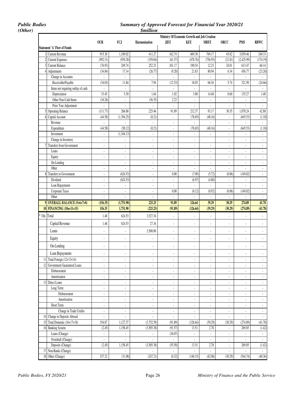*Public Bodies Summary of Approved Forecast for Financial Year 2020/21* 

|   |                                     |                          |                          | <i><b>\$million</b></i>     |                                              |                             |                          |                             |                          |                          |
|---|-------------------------------------|--------------------------|--------------------------|-----------------------------|----------------------------------------------|-----------------------------|--------------------------|-----------------------------|--------------------------|--------------------------|
|   |                                     |                          |                          |                             | Ministry Of Economic Growth and Job Creation |                             |                          |                             |                          |                          |
|   |                                     | <b>OUR</b>               | FCJ                      | <b>Harmonisation</b>        | JIFZ                                         | KFZ                         | <b>MBFZ</b>              | <b>ORCC</b>                 | <b>PMS</b>               | <b>RBWC</b>              |
|   | <b>Statement 'A' Flow of Funds</b>  |                          |                          |                             |                                              |                             |                          |                             |                          |                          |
|   | <b>Current Revenue</b>              | 915.38                   | 1,189.02                 | 411.27                      | 162.74                                       | 669.30                      | 769.17                   | 45.82                       | 3,039.46                 | 240.33                   |
|   | <b>Current Expenses</b>             | (992.31)                 | (939.28)                 | (159.04)                    | (61.57)                                      | (478.76)                    | (756.95)                 | (21.81)                     | (2,425.99)               | (174.19                  |
|   | <b>Current Balance</b>              | (76.93)                  | 249.74                   | 252.23                      | 101.17                                       | 190.54                      | 12.23                    | 24.01                       | 613.47                   | 66.14                    |
|   | Adjustments                         | (34.84)                  | 17.14                    | (26.77)                     | (9.28)                                       | 21.83                       | 80.94                    | 6.34                        | 456.77                   | (23.26)                  |
|   | Change in Accounts                  | $\overline{\phantom{a}}$ | ä,                       | $\mathcal{L}_{\mathcal{A}}$ | ÷,                                           | ä,                          | $\mathbf{r}$             | $\mathcal{L}^{\mathcal{A}}$ | $\omega$                 | $\omega$                 |
|   | Receivable/Payable                  | (34.03)                  | 11.84                    | 7.94                        | (12.53)                                      | 18.03                       | 66.54                    | 5.74                        | 321.50                   | (24.66)                  |
|   | Items not requiring outlay of cash: | $\overline{\phantom{a}}$ | ä,                       | $\mathbb{Z}^2$              | $\omega$                                     | $\mathcal{L}_{\mathcal{A}}$ | $\sim$                   | $\omega$                    | $\omega$                 | $\omega$                 |
|   | Depreciation                        | 33.45                    | 5.30                     | 1.64                        | 1.02                                         | 3.80                        | 14.40                    | 0.60                        | 135.27                   | 1.40                     |
|   | Other Non-Cash Items                | (34.26)                  | ä,                       | (36.35)                     | 2.23                                         | ä,                          | ÷,                       | $\Box$                      | ä,                       | $\Box$                   |
|   | Prior Year Adjustment               | $\overline{\phantom{a}}$ | ä,                       | $\mathbb{Z}^2$              | $\overline{a}$                               | $\mathcal{L}_{\mathcal{A}}$ | $\overline{\phantom{a}}$ | ä,                          | ÷.                       | $\omega$                 |
|   | <b>Operating Balance</b>            | (111.77)                 | 266.88                   | 225.46                      | 91.89                                        | 212.37                      | 93.17                    | 30.35                       | 1,070.24                 | 42.88                    |
| 6 | Capital Account                     | (44.58)                  | (1,394.25)               | (0.21)                      | $\Box$                                       | (78.65)                     | (48.16)                  | $\blacksquare$              | (645.53)                 | (1.10)                   |
|   | Revenue                             |                          |                          | $\blacksquare$              | $\overline{\phantom{a}}$                     |                             |                          | $\overline{\phantom{a}}$    |                          |                          |
|   | Expenditure                         | (44.58)                  | (50.12)                  | (0.21)                      | $\overline{\phantom{a}}$                     | (78.65)                     | (48.16)                  | $\blacksquare$              | (645.53)                 | (1.10)                   |
|   | Investment                          | $\overline{\phantom{a}}$ | (1, 344.13)              | $\omega$                    | ä,                                           |                             | $\sim$                   |                             | $\mathcal{L}$            | $\omega$                 |
|   | Change in Inventory                 | $\sim$                   | ä,                       | $\blacksquare$              | $\overline{a}$                               |                             |                          | $\blacksquare$              | $\blacksquare$           | $\blacksquare$           |
|   | 7 Transfers from Government         | ÷.                       | ÷.                       | $\Box$                      | $\blacksquare$                               | $\sim$                      | ÷,                       | ÷,                          | $\omega$                 | ä,                       |
|   | Loans                               | ÷,                       | $\blacksquare$           | $\blacksquare$              | ÷,                                           | $\mathbf{r}$                | ÷,                       | ÷,                          | $\blacksquare$           | $\blacksquare$           |
|   | Equity                              | $\overline{\phantom{a}}$ | ä,                       | $\blacksquare$              | $\overline{\phantom{a}}$                     | $\overline{\phantom{a}}$    | $\overline{\phantom{a}}$ | $\overline{\phantom{a}}$    | $\blacksquare$           | $\Box$                   |
|   | On-Lending                          | L.                       | ä,                       | $\omega$                    | $\Box$                                       | $\sim$                      | ÷,                       | ä,                          | ÷.                       | $\omega$                 |
|   | Other                               | $\overline{\phantom{a}}$ | ä,                       | $\blacksquare$              | ä,                                           | $\omega$                    | $\blacksquare$           | ¥.                          | $\omega$                 | ÷.                       |
|   | 8 Transfers to Government           | $\overline{\phantom{a}}$ | (624.53)                 | $\Box$                      | 0.00                                         | (7.09)                      | (5.72)                   | (0.06)                      | (149.82)                 | ÷.                       |
|   | Dividend                            | ÷,                       | (624.53)                 | $\mathbf{r}$                | $\blacksquare$                               | (6.97)                      | (4.80)                   | $\Box$                      | ÷,                       | $\blacksquare$           |
|   | Loan Repayments                     | $\overline{\phantom{a}}$ | ä,                       | $\blacksquare$              | $\blacksquare$                               | $\blacksquare$              | $\overline{\phantom{a}}$ | $\blacksquare$              | ÷,                       | $\blacksquare$           |
|   | Corporate Taxes                     | ÷,                       | ÷,                       | $\Box$                      | 0.00                                         | (0.12)                      | (0.92)                   | (0.06)                      | (149.82)                 | ÷.                       |
|   | Other                               |                          |                          |                             | ÷,                                           |                             | ÷,                       | ÷.                          | ÷,                       | $\omega$                 |
|   | 9 OVERALL BALANCE (5+6+7+8)         | (156.35)                 | (1,751.90)               | 225.25                      | 91.89                                        | 126.64                      | 39.29                    | 30.29                       | 274.89                   | 41.78                    |
|   | 10 FINANCING (10a+11+15)            | 156.35                   | 1,751.90                 | (225.25)                    | (91.89)                                      | (126.64)                    | (39.29)                  | (30.29)                     | (274.89)                 | (41.78)                  |
|   | * 10a Total                         | 1.48                     | 624.53                   | 3,527.34                    | ÷,                                           |                             | ÷,                       | ä,                          | $\blacksquare$           | ÷.                       |
|   | Capital Revenue                     | 1.48                     | 624.53                   | 27.34                       | $\overline{a}$                               |                             | ÷,                       | $\overline{a}$              | $\overline{\phantom{a}}$ | $\overline{\phantom{a}}$ |
|   |                                     |                          |                          |                             |                                              |                             |                          |                             |                          |                          |
|   | Loans                               | ä,                       | $\blacksquare$           | 3,500.00                    | $\overline{\phantom{a}}$                     |                             | ÷,                       | $\blacksquare$              | $\blacksquare$           | $\overline{\phantom{a}}$ |
|   | Equity                              | ÷,                       | $\blacksquare$           | $\overline{\phantom{a}}$    | ÷,                                           |                             | $\overline{\phantom{a}}$ | $\blacksquare$              | $\overline{\phantom{a}}$ | $\blacksquare$           |
|   | On-Lending                          | ÷,                       | $\blacksquare$           | $\overline{\phantom{a}}$    | $\overline{a}$                               |                             | $\overline{\phantom{a}}$ | $\blacksquare$              | $\blacksquare$           | $\blacksquare$           |
|   |                                     |                          |                          |                             |                                              |                             |                          |                             |                          |                          |
|   | Loan Repayments                     | $\overline{\phantom{a}}$ |                          | $\overline{\phantom{a}}$    |                                              |                             | $\overline{\phantom{a}}$ | $\overline{\phantom{a}}$    | ٠                        | $\blacksquare$           |
|   | 11 Total Foreign (12+13+14)         | $\overline{\phantom{a}}$ | ÷,                       | $\Box$                      | ÷,                                           | $\mathbf{r}$                | $\overline{\phantom{a}}$ | ä,                          | ä,                       | ÷.                       |
|   | 12 Government Guaranteed Loans      | $\overline{\phantom{a}}$ | $\blacksquare$           | $\Box$                      | ÷,                                           | $\mathcal{L}_{\mathcal{A}}$ | $\overline{\phantom{a}}$ | $\blacksquare$              | ä,                       | $\Box$                   |
|   | Disbursement                        | $\blacksquare$           | ÷.                       | $\overline{\phantom{a}}$    | $\overline{\phantom{a}}$                     | $\overline{\phantom{a}}$    | $\blacksquare$           | $\blacksquare$              | ÷.                       | $\omega$                 |
|   | Amortization                        | L,                       | ÷,                       | $\Box$                      | $\overline{a}$                               | $\Box$                      | ä,                       | ä,                          | ÷.                       | ¥,                       |
|   | 13 Direct Loans                     | Ĭ.                       | ÷.                       | $\overline{\phantom{a}}$    | $\blacksquare$                               |                             | ÷,                       | ä,                          | ÷.                       | $\omega$                 |
|   | Long Term:                          | $\overline{\phantom{a}}$ | $\overline{\phantom{a}}$ | $\overline{\phantom{a}}$    | $\overline{\phantom{a}}$                     | $\overline{\phantom{a}}$    | $\overline{\phantom{a}}$ | $\blacksquare$              | $\sim$                   | $\omega$                 |
|   | Disbursement                        | $\blacksquare$           | $\overline{\phantom{a}}$ | $\Box$                      | $\overline{\phantom{a}}$                     | $\blacksquare$              | $\blacksquare$           | $\overline{\phantom{a}}$    | $\sim$                   | $\omega$                 |
|   | Amortisation                        | $\blacksquare$           | $\overline{\phantom{a}}$ | $\overline{\phantom{a}}$    | $\overline{\phantom{a}}$                     | $\blacksquare$              | $\overline{\phantom{a}}$ | $\blacksquare$              | $\sim$                   | $\sim$                   |
|   | Short Term:                         | $\overline{\phantom{a}}$ | $\blacksquare$           | $\overline{\phantom{a}}$    | $\blacksquare$                               | $\blacksquare$              | $\overline{\phantom{a}}$ | $\blacksquare$              | ÷                        | $\blacksquare$           |
|   | Change in Trade Credits             | $\blacksquare$           | ÷,                       | $\blacksquare$              | $\blacksquare$                               | ÷.                          | $\blacksquare$           | ÷.                          | ÷.                       | $\mathbb{Z}^2$           |
|   | 14 Change in Deposits Abroad        | $\overline{\phantom{a}}$ | $\blacksquare$           | ä,                          | $\blacksquare$                               | $\blacksquare$              | $\blacksquare$           | ÷.                          | ÷.                       | $\omega$                 |
|   | 15 Total Domestic (16+17+18)        | 154.87                   | 1,127.37                 | (3,752.59)                  | (91.89)                                      | (126.64)                    | (39.29)                  | (30.29)                     | (274.89)                 | (41.78)                  |
|   | 16 Banking System                   | (2.45)                   | 1,158.45                 | (3,505.38)                  | (91.57)                                      | 13.51                       | 2.78                     | $\blacksquare$              | 269.85                   | (1.42)                   |
|   | Loans (Change)                      | $\overline{a}$           | ÷,                       | ÷.                          | (36.07)                                      | ÷.                          | $\overline{\phantom{a}}$ | ä,                          |                          | $\mathbb{Z}^2$           |
|   | Overdraft (Change)                  | $\omega$                 | ÷.                       | $\Box$                      | $\mathbb{Z}^2$                               | ¥,                          | $\omega$                 | $\blacksquare$              | $\omega_{\rm c}$         | $\omega$                 |
|   | Deposits (Change)                   | (2.45)                   | 1,158.45                 | (3,505.38)                  | (55.50)                                      | 13.51                       | 2.78                     | $\omega$                    | 269.85                   | (1.42)                   |
|   | 17 Non-Banks (Change)               | $\blacksquare$           | ÷,                       | $\Box$                      | ä,                                           | $\blacksquare$              | $\blacksquare$           | $\blacksquare$              | $\omega$                 | $\omega_{\rm c}$         |
|   | 18 Other (Change)                   | 157.32                   | (31.08)                  | (247.21)                    | (0.32)                                       | (140.15)                    | (42.08)                  | (30.29)                     | (544.74)                 | (40.36)                  |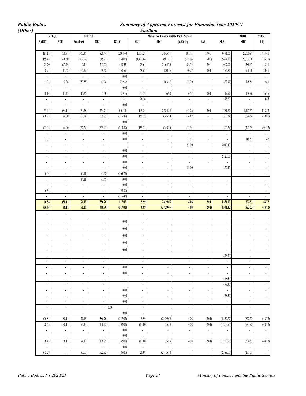*Public Bodies Summary of Approved Forecast for Financial Year 2020/21* 

| (Other) |                                                      |                                |                                    |                                                         |                                            |                                            | <i><b>\$million</b></i>                       |                                                      |                                  |                             |                                               |                             |
|---------|------------------------------------------------------|--------------------------------|------------------------------------|---------------------------------------------------------|--------------------------------------------|--------------------------------------------|-----------------------------------------------|------------------------------------------------------|----------------------------------|-----------------------------|-----------------------------------------------|-----------------------------|
|         |                                                      | MEGJC                          |                                    | M.E.Y.I.                                                |                                            |                                            | Ministry of Finance and the Public Service    |                                                      |                                  |                             | <b>MOH</b>                                    | MICAF                       |
|         | <b>SADCO</b>                                         | <b>SDF</b>                     | <b>Broadcast</b>                   | <b>OEC</b>                                              | <b>BGLC</b>                                | $\operatorname{FSC}$                       | <b>JDIC</b>                                   | Ja.Racing                                            | PAB                              | SLB                         | $\ensuremath{\mathbf{N}\mathbf{H}\mathbf{F}}$ | BSJ                         |
|         |                                                      |                                |                                    |                                                         |                                            |                                            |                                               |                                                      |                                  |                             |                                               |                             |
|         | 181.18                                               | 630.71                         | 363.36                             | 820.44                                                  | 1,608.60                                   | 1,507.27                                   | 3,145.81                                      | 191.41                                               | 17.00                            | 3,491.00                    | 20,650.97                                     | 1,414.41                    |
|         | (155.48)                                             | (728.50)                       | (362.92)                           | (615.21)                                                | (1,158.05)                                 | (1,427.66)                                 | (681.11)                                      | (273.94)                                             | (15.00)                          | (2,484.00)                  | (20,062.00)                                   | (1,356.31)                  |
|         | 25.70                                                | (97.79)                        | 0.44                               | 205.23                                                  | 450.55                                     | 79.61                                      | 2,464.70                                      | (82.53)                                              | 2.00                             | 1,007.00                    | 588.97                                        | 58.11                       |
|         | 8.21                                                 | 13.68                          | (35.22)                            | 49.48                                                   | 350.59                                     | 69.63                                      | 120.15                                        | 40.27                                                | 0.01                             | 774.80                      | 908.40                                        | 80.41                       |
|         | ×,                                                   | à.                             | $\mathcal{L}_{\mathcal{A}}$        | ÷.                                                      | 0.00                                       | ÷,                                         | $\mathcal{L}_{\mathcal{A}}$                   |                                                      | $\blacksquare$                   |                             | ÷,                                            | $\overline{\phantom{a}}$    |
|         | (1.93)                                               | 2.26                           | (50.58)                            | 41.98                                                   | 279.82                                     | ä,                                         | 103.17                                        | 33.70                                                | $\blacksquare$                   | (822.92)                    | 748.54                                        | 2.81                        |
|         |                                                      | ä,                             | ÷.                                 | ä,                                                      | $0.00\,$                                   | ä,                                         | ä,                                            |                                                      | ä,                               |                             | ä,                                            | $\mathbb{Z}^2$              |
|         | 10.14                                                | 11.42                          | 15.36                              | 7.50                                                    | 59.56                                      | 43.37                                      | 16.98                                         | 6.57                                                 | 0.01                             | 19.50                       | 159.86                                        | 76.75                       |
|         | $\overline{\phantom{a}}$                             | $\blacksquare$                 | $\mathcal{L}_{\mathcal{C}}$        | $\bar{\mathcal{E}}$                                     | 11.21                                      | 26.26                                      | $\mathbb{Z}^2$                                | $\overline{\phantom{a}}$                             | $\blacksquare$                   | 1,578.22                    | $\Box$                                        | 0.85                        |
|         | $\mathcal{L}$                                        | $\sim$                         | $\mathcal{L}_{\mathcal{C}}$        | $\mathcal{L}$                                           | 0.00                                       | $\mathcal{L}$                              | $\mathcal{L}_{\mathcal{A}}$                   | ÷.                                                   | ÷.                               | ä,                          | $\mathcal{L}_{\mathcal{A}}$                   | $\mathcal{L}$               |
|         | 33.91                                                | (84.11)                        | (34.78)                            | 254.71                                                  | 801.14                                     | 149.24                                     | 2,584.85                                      | (42.26)                                              | 2.01                             | 1,781.80                    | 1,497.37                                      | 138.52                      |
|         | (10.73)                                              | (4.00)                         | (32.24)                            | (639.93)                                                | (315.89)                                   | (159.23)                                   | (145.20)                                      | (14.82)                                              | $\blacksquare$                   | (500.24)                    | (674.84)                                      | (89.80)                     |
|         |                                                      | ä,                             | ÷.                                 | ä,                                                      | $0.00\,$                                   |                                            | ÷.                                            | ×.                                                   | $\Box$                           |                             |                                               | $\Box$                      |
|         | (13.05)                                              | (4.00)                         | (32.24)                            | (639.93)                                                | (315.89)                                   | (159.23)                                   | (145.20)                                      | (12.91)                                              | $\blacksquare$                   | (500.24)                    | (793.35)                                      | (91.22)                     |
|         | ×.                                                   | ä,                             | ÷.                                 | ÷.                                                      | 0.00                                       | ä,                                         | ¥.                                            | ×.                                                   | $\mathcal{L}_{\mathcal{A}}$      | ÷.                          |                                               | $\mathcal{L}_{\mathcal{A}}$ |
|         | 2.32                                                 | $\Box$                         | $\overline{\phantom{a}}$           | ÷.                                                      | $0.00\,$                                   | ÷,                                         | $\blacksquare$                                | (1.91)                                               | $\overline{\phantom{a}}$         |                             | 118.51                                        | 1.42                        |
|         | $\overline{\phantom{a}}$                             | $\blacksquare$                 | $\overline{\phantom{a}}$           | $\overline{\phantom{a}}$                                | ÷.                                         | $\blacksquare$                             | $\overline{\phantom{a}}$                      | 53.00                                                | $\overline{\phantom{a}}$         | 3,049.47                    | ä,                                            | ä,                          |
|         | $\blacksquare$                                       | ÷,                             | ¥,                                 | ÷.                                                      | 0.00                                       | ä,                                         | $\blacksquare$                                | $\overline{\phantom{a}}$                             | ÷,                               |                             | ¥,                                            | ÷.                          |
|         | $\blacksquare$                                       | $\Box$                         | $\omega$                           | ÷.                                                      | 0.00                                       | $\blacksquare$                             | $\mathcal{L}_{\mathcal{A}}$                   | ÷,                                                   | $\blacksquare$                   | 2,827.00                    | $\mathcal{L}$                                 | $\mathcal{L}$               |
|         | $\blacksquare$                                       | $\overline{\phantom{a}}$       | ÷.                                 | ÷.                                                      | 0.00                                       | ÷.                                         | $\mathcal{L}_{\mathcal{A}}$                   | ÷,                                                   | $\blacksquare$                   | ä,                          | ¥,                                            | ÷.                          |
|         | $\blacksquare$                                       | $\omega$                       | $\mathcal{L}_{\mathcal{A}}$        | $\mathcal{L}$                                           | 0.00                                       | ä,                                         | $\mathcal{L}_{\mathcal{A}}$                   | 53.00                                                | $\mathcal{L}_{\mathcal{A}}$      | 222.47                      | $\mathcal{L}_{\mathcal{A}}$                   | $\mathcal{L}_{\mathcal{A}}$ |
|         | (6.34)                                               | $\blacksquare$                 | (4.11)                             | (1.48)                                                  | (368.23)                                   | $\blacksquare$                             | $\sim$                                        | $\overline{\phantom{a}}$                             | ÷                                | $\blacksquare$              | ÷                                             | $\sim$                      |
|         | ÷.                                                   | ÷,                             | (4.11)                             | (1.48)                                                  | $0.00\,$                                   | i,                                         | ä,                                            | ÷,                                                   | ä,                               | ä,                          | ÷.                                            | ÷.                          |
|         | $\mathcal{L}_{\mathcal{A}}$                          | ä,                             | ÷.                                 | ÷.                                                      | 0.00                                       | ÷,                                         | ä,                                            | ÷,                                                   | $\blacksquare$                   | ä,                          | $\blacksquare$                                | ÷.                          |
|         | (6.34)                                               | $\overline{\phantom{a}}$       | $\mathcal{L}_{\mathcal{A}}$        | ÷.                                                      | (52.80)                                    | $\overline{\phantom{a}}$                   | $\blacksquare$                                | $\overline{\phantom{a}}$                             | $\overline{\phantom{a}}$         | $\overline{\phantom{a}}$    | $\overline{\phantom{a}}$                      | $\overline{\phantom{a}}$    |
|         |                                                      | ×.<br>(88.11)                  | ä,                                 | ä,                                                      | (315.43)<br>117.02                         | (9.99)                                     | ä,                                            | ÷.                                                   | ä,                               |                             | ä,<br>822.53                                  | $\mathbb{Z}^2$<br>48.72     |
|         | 16.84<br>(16.84)                                     | 88.11                          | (71.13)<br>71.13                   | (386.70)<br>386.70                                      | (117.02)                                   | 9.99                                       | 2,439.65<br>(2,439.65)                        | (4.08)<br>4.08                                       | 2.01<br>(2.01)                   | 4,331.03<br>(4,331.03)      | (822.53)                                      | (48.72)                     |
|         |                                                      |                                |                                    |                                                         |                                            |                                            |                                               |                                                      |                                  |                             |                                               |                             |
|         | ×,                                                   | ä,                             | $\mathcal{L}_{\mathcal{A}}$        | ÷.                                                      | ä,                                         | ä,                                         | ä,                                            | ÷.                                                   | $\blacksquare$                   | ÷.                          | ä,                                            | $\blacksquare$              |
|         | $\overline{\phantom{a}}$                             | $\blacksquare$                 | $\overline{\phantom{a}}$           | $\overline{\phantom{a}}$                                | $0.00\,$                                   | ÷.                                         | $\sim$                                        | $\overline{\phantom{a}}$                             | $\overline{\phantom{a}}$         | $\blacksquare$              | $\overline{\phantom{a}}$                      | $\sim$                      |
|         | ٠                                                    | $\overline{\phantom{a}}$       | $\bullet$                          | $\blacksquare$                                          | 0.00                                       | $\blacksquare$                             | ٠                                             | $\overline{\phantom{a}}$                             | $\overline{\phantom{a}}$         | $\blacksquare$              | ٠                                             | $\overline{\phantom{a}}$    |
|         | ÷,                                                   | ÷,                             | ä,                                 | ×                                                       | $0.00\,$                                   | ä,                                         | ÷,                                            | ÷,                                                   | ÷,                               | ÷,                          | ÷,                                            | $\blacksquare$              |
|         | $\overline{\phantom{a}}$                             | $\overline{\phantom{a}}$       | $\overline{\phantom{a}}$           | ÷.                                                      | $0.00\,$                                   | ä,                                         | $\blacksquare$                                | $\sim$                                               | $\overline{\phantom{a}}$         | ÷,                          | $\overline{\phantom{a}}$                      | $\overline{\phantom{a}}$    |
|         |                                                      |                                |                                    |                                                         | 0.00                                       |                                            |                                               |                                                      |                                  |                             |                                               |                             |
|         | $\blacksquare$                                       | $\overline{\phantom{a}}$       | $\blacksquare$                     | ٠                                                       |                                            | ÷.                                         | $\blacksquare$                                |                                                      | $\overline{\phantom{a}}$         | ٠                           | ÷.                                            | $\blacksquare$              |
|         | $\overline{\phantom{a}}$<br>$\overline{\phantom{a}}$ | $\overline{\phantom{a}}$<br>÷. | $\overline{\phantom{a}}$<br>$\sim$ | $\overline{\phantom{a}}$<br>$\mathcal{L}_{\mathcal{A}}$ | $\overline{\phantom{a}}$<br>$\mathbb{Z}^2$ | $\overline{\phantom{a}}$<br>$\blacksquare$ | $\blacksquare$<br>$\mathcal{L}_{\mathcal{A}}$ | $\overline{\phantom{a}}$<br>$\overline{\phantom{a}}$ | $\blacksquare$<br>$\blacksquare$ | (478.31)<br>×.              | $\overline{\phantom{a}}$<br>$\Box$            | $\mathcal{L}_{\mathcal{A}}$ |
|         | $\mathcal{L}_{\mathcal{A}}$                          | $\sim$                         | $\sim$                             | $\mathbb{Z}^2$                                          | 0.00                                       | $\mathcal{L}_{\mathcal{A}}$                | $\mathcal{L}_{\mathcal{A}}$                   | $\sim$                                               | $\blacksquare$                   | $\mathcal{L}$               | $\mathcal{L}_{\mathcal{A}}$                   | $\mathcal{L}_{\mathcal{A}}$ |
|         | $\mathcal{L}_{\mathcal{A}}$                          | $\sim$                         | $\sim$                             | $\mathcal{L}_{\mathcal{A}}$                             | 0.00                                       | $\mathcal{L}_{\mathcal{A}}$                | $\mathbb{Z}^2$                                | $\overline{\phantom{a}}$                             | $\mathcal{L}_{\mathcal{A}}$      | $\mathcal{L}_{\mathcal{A}}$ | $\mathcal{L}_{\mathcal{A}}$                   | $\mathcal{L}_{\mathcal{A}}$ |
|         | $\sim$                                               | $\sim$                         | $\sim$                             | $\overline{\phantom{a}}$                                | $\sim$                                     | $\blacksquare$                             | $\mathcal{L}_{\mathcal{A}}$                   | $\overline{\phantom{a}}$                             | $\sim$                           | (478.31)                    | $\mathcal{L}_{\mathcal{A}}$                   | $\sim$                      |
|         | $\sim$                                               | $\overline{\phantom{a}}$       | $\sim$                             | $\overline{\phantom{a}}$                                | $\sim$                                     | $\bullet$                                  | $\sim$                                        | $\overline{\phantom{a}}$                             | $\blacksquare$                   | (478.31)                    | $\sim$                                        | $\bullet$                   |
|         | $\bullet$                                            | $\blacksquare$                 | $\sim$                             | $\blacksquare$                                          | 0.00                                       | $\overline{\phantom{a}}$                   | $\mathcal{L}_{\mathcal{A}}$                   | $\overline{\phantom{a}}$                             | $\overline{\phantom{a}}$         | $\mathbb{Z}^2$              | ÷                                             | $\overline{\phantom{a}}$    |
|         | $\blacksquare$                                       | ÷.                             | $\sim$                             | $\sim$                                                  | 0.00                                       | $\blacksquare$                             | $\mathcal{L}_{\mathcal{A}}$                   | $\overline{\phantom{a}}$                             | $\overline{\phantom{a}}$         | (478.31)                    | ¥,                                            | $\mathcal{L}_{\mathcal{A}}$ |
|         | $\mathcal{L}_{\mathcal{A}}$                          | $\mathcal{L}_{\mathcal{A}}$    | $\mathcal{L}$                      | $\mathcal{L}^{\mathcal{L}}$                             | 0.00                                       | $\blacksquare$                             | $\mathcal{L}_{\mathcal{A}}$                   | $\sim$                                               | $\blacksquare$                   | $\mathcal{L}_{\mathcal{A}}$ | $\epsilon$                                    | $\mathcal{L}$               |
|         | $\mathcal{L}_{\mathcal{A}}$                          | $\sim$                         | $\sim$                             | ¥.                                                      | 0.00                                       | $\mathcal{L}_{\mathcal{A}}$                | $\mathcal{L}_{\mathcal{A}}$                   | $\mathcal{L}_{\mathcal{A}}$                          | $\mathcal{L}_{\mathcal{A}}$      | $\sim$                      | $\overline{\phantom{a}}$                      | $\mathcal{L}_{\mathcal{A}}$ |
|         | $\sim$                                               | $\bullet$                      | $\sim$                             | $\sim$                                                  | 0.00                                       | $\sim$                                     | $\sim$                                        | $\overline{\phantom{a}}$                             | $\bullet$                        | $\sim$                      | $\overline{\phantom{a}}$                      | $\blacksquare$              |
|         | (16.84)                                              | 88.11                          | 71.13                              | 386.70                                                  | (117.02)                                   | 9.99                                       | (2,439.65)                                    | 4.08                                                 | (2.01)                           | (3,852.72)                  | (822.53)                                      | (48.72)                     |
|         | 28.45                                                | 88.11                          | 74.13                              | (136.25)                                                | (32.02)                                    | (17.00)                                    | 35.53                                         | 4.08                                                 | (2.01)                           | (1,263.61)                  | (584.82)                                      | (48.72)                     |
|         | $\mathbb{Z}^2$                                       | $\sim$                         | $\omega$                           | $\mathcal{L}_{\mathcal{A}}$                             | 0.00                                       | $\mathcal{L}_{\mathcal{A}}$                | $\mathbb{Z}^2$                                | $\overline{\phantom{a}}$                             | $\mathbb{Z}^2$                   | $\mathcal{L}_{\mathcal{A}}$ | $\mathcal{L}_{\mathcal{A}}$                   | $\mathcal{L}_{\mathcal{A}}$ |
|         | $\sim$                                               | $\bullet$                      | $\sim$                             | $\mathcal{L}_{\mathcal{A}}$                             | 0.00                                       | $\star$                                    | $\epsilon$                                    | $\mathcal{L}_{\mathcal{A}}$                          | $\epsilon$                       | $\mathcal{L}_{\mathcal{A}}$ | $\epsilon$                                    | $\sim$                      |
|         | 28.45                                                | 88.11                          | 74.13                              | (136.25)                                                | (32.02)                                    | (17.00)                                    | 35.53                                         | 4.08                                                 | (2.01)                           | (1,263.61)                  | (584.82)                                      | (48.72)                     |
|         | $\sim$                                               | $\overline{\phantom{a}}$       | $\mathcal{L}$                      | ÷.                                                      | 0.00                                       | $\epsilon$                                 | t,                                            | $\sim$                                               | $\blacksquare$                   |                             | $\mathcal{L}$                                 | $\mathcal{L}_{\mathcal{A}}$ |
|         | (45.29)                                              | ÷.                             | (3.00)                             | 522.95                                                  | (85.00)                                    | 26.99                                      | (2,475.18)                                    | ÷,                                                   | ¥,                               | (2,589.11)                  | (237.71)                                      | $\mathcal{L}_{\mathcal{A}}$ |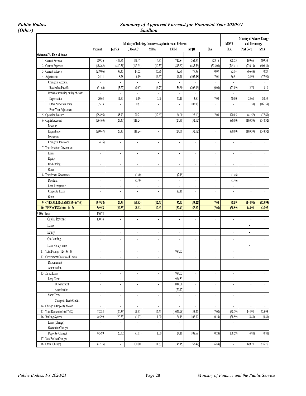*(Other) \$million* 

### *Public Bodies Summary of Approved Forecast for Financial Year 2020/21*

|                |                                     | Coconut                     | <b>JACRA</b>             | <b>JANAAC</b>            | Ministry of Industry, Commerce, Agriculture and Fisheries<br><b>MIDA</b> | <b>EXIM</b>                 | SCJH                        | <b>SIA</b>               | <b>MONS</b><br>FLA       | Ministry of Science, Energy<br>and Technology<br>Post Corp | SMA                                                                                                                                                                                                                                                                                                                                                                                                              |
|----------------|-------------------------------------|-----------------------------|--------------------------|--------------------------|--------------------------------------------------------------------------|-----------------------------|-----------------------------|--------------------------|--------------------------|------------------------------------------------------------|------------------------------------------------------------------------------------------------------------------------------------------------------------------------------------------------------------------------------------------------------------------------------------------------------------------------------------------------------------------------------------------------------------------|
|                | <b>Statement 'A' Flow of Funds</b>  |                             |                          |                          |                                                                          |                             |                             |                          |                          |                                                            |                                                                                                                                                                                                                                                                                                                                                                                                                  |
|                | <b>Current Revenue</b>              | 209.56                      | 447.76                   | 158.47                   | 4.37                                                                     | 712.84                      | 562.94                      | 323.16                   | 828.55                   | 169.66                                                     | 609.58                                                                                                                                                                                                                                                                                                                                                                                                           |
|                | <b>Current Expenses</b>             | (488.62)                    | (410.31)                 | (143.95)                 | (10.33)                                                                  | (845.62)                    | (483.56)                    | (323.09)                 | (745.41)                 | (236.14)                                                   | (609.31)                                                                                                                                                                                                                                                                                                                                                                                                         |
|                | <b>Current Balance</b>              | (279.06)                    | 37.45                    | 14.52                    | (5.96)                                                                   | (132.78)                    | 79.38                       | 0.07                     | 83.14                    | (66.48)                                                    | 0.27                                                                                                                                                                                                                                                                                                                                                                                                             |
| 4              | Adjustments                         | 24.11                       | 8.28                     | 6.19                     | (6.67)                                                                   | 196.78                      | (102.48)                    | 7.01                     | 36.91                    | 24.96                                                      | (77.90)                                                                                                                                                                                                                                                                                                                                                                                                          |
|                | Change in Accounts                  |                             | $\overline{\phantom{a}}$ | $\overline{\phantom{a}}$ | ÷,                                                                       | $\overline{\phantom{a}}$    |                             | $\overline{\phantom{a}}$ |                          | $\overline{\phantom{a}}$                                   |                                                                                                                                                                                                                                                                                                                                                                                                                  |
|                | Receivable/Payable                  | (31.66)                     | (3.22)                   | (0.67)                   | (6.73)                                                                   | 156.60                      | (208.96)                    | (0.03)                   | (23.09)                  | 2.74                                                       | 3.10                                                                                                                                                                                                                                                                                                                                                                                                             |
|                | Items not requiring outlay of cash: | $\mathcal{L}_{\mathcal{A}}$ | $\overline{\phantom{a}}$ | $\mathbb{L}$             | ä,                                                                       | $\blacksquare$              | $\overline{\phantom{a}}$    | ÷.                       | $\overline{\phantom{a}}$ | $\Box$                                                     | $\mathbb{Z}^2$                                                                                                                                                                                                                                                                                                                                                                                                   |
|                | Depreciation                        | 20.64                       | 11.50                    | 6.19                     | 0.06                                                                     | 40.18                       | 3.50                        | 7.04                     | 60.00                    | 23.61                                                      | 80.59                                                                                                                                                                                                                                                                                                                                                                                                            |
|                | Other Non-Cash Items                | 35.13                       | $\overline{\phantom{a}}$ | 0.67                     | $\overline{\phantom{a}}$                                                 | ÷.                          | 102.98                      | $\overline{\phantom{a}}$ | $\overline{\phantom{a}}$ | (1.39)                                                     | (161.59)                                                                                                                                                                                                                                                                                                                                                                                                         |
|                | Prior Year Adjustment               | $\overline{\phantom{a}}$    | $\overline{\phantom{a}}$ | $\overline{\phantom{a}}$ | $\overline{a}$                                                           | $\blacksquare$              | $\mathcal{L}_{\mathcal{A}}$ | $\overline{\phantom{a}}$ | $\overline{\phantom{a}}$ | $\blacksquare$                                             | $\overline{\phantom{a}}$                                                                                                                                                                                                                                                                                                                                                                                         |
| $\mathfrak{h}$ | <b>Operating Balance</b>            | (254.95)                    | 45.73                    | 20.71                    | (12.63)                                                                  | 64.00                       | (23.10)                     | 7.08                     | 120.05                   | (41.52)                                                    | (77.63)                                                                                                                                                                                                                                                                                                                                                                                                          |
| $\theta$       | Capital Account                     | (294.63)                    | (25.40)                  | (118.24)                 | ä,                                                                       | (24.38)                     | (32.12)                     | ÷.                       | (80.00)                  | (103.39)                                                   | (548.32)                                                                                                                                                                                                                                                                                                                                                                                                         |
|                | Revenue                             | ÷.                          | $\sim$                   | $\overline{\phantom{a}}$ | $\overline{\phantom{a}}$                                                 | ÷.                          | $\overline{\phantom{a}}$    | $\blacksquare$           | $\overline{\phantom{a}}$ | $\overline{\phantom{a}}$                                   | $\overline{\phantom{a}}$                                                                                                                                                                                                                                                                                                                                                                                         |
|                | Expenditure                         | (290.47)                    | (25.40)                  | (118.24)                 | $\overline{\phantom{a}}$                                                 | (24.38)                     | (32.12)                     | $\overline{\phantom{a}}$ | (80.00)                  | (103.39)                                                   | (548.32)                                                                                                                                                                                                                                                                                                                                                                                                         |
|                | Investment                          | $\overline{\phantom{a}}$    | $\overline{\phantom{a}}$ | $\overline{\phantom{a}}$ | $\overline{\phantom{a}}$                                                 | $\Box$                      | $\mathbb{Z}^2$              | $\overline{\phantom{a}}$ | $\overline{\phantom{a}}$ | $\blacksquare$                                             | $\overline{\phantom{a}}$                                                                                                                                                                                                                                                                                                                                                                                         |
|                | Change in Inventory                 | (4.16)                      | ÷.                       | $\overline{\phantom{a}}$ | $\overline{\phantom{a}}$                                                 | $\overline{\phantom{a}}$    | $\overline{\phantom{a}}$    | $\overline{\phantom{a}}$ | $\overline{\phantom{a}}$ | $\blacksquare$                                             | $\overline{\phantom{a}}$                                                                                                                                                                                                                                                                                                                                                                                         |
| $\overline{7}$ | <b>Transfers from Government</b>    | ÷.                          | ÷.                       | $\overline{\phantom{a}}$ | $\overline{\phantom{a}}$                                                 | ÷.                          | $\mathcal{L}_{\mathcal{A}}$ | $\overline{\phantom{a}}$ | $\overline{\phantom{a}}$ | $\blacksquare$                                             | $\overline{\phantom{a}}$                                                                                                                                                                                                                                                                                                                                                                                         |
|                | Loans                               | $\overline{\phantom{a}}$    | $\overline{\phantom{a}}$ | $\blacksquare$           | $\overline{\phantom{a}}$                                                 | $\overline{\phantom{a}}$    | ÷                           | $\overline{\phantom{a}}$ | $\mathbf{r}$             | $\blacksquare$                                             | $\overline{\phantom{a}}$                                                                                                                                                                                                                                                                                                                                                                                         |
|                | Equity                              | $\overline{\phantom{a}}$    | $\overline{\phantom{a}}$ | $\overline{\phantom{a}}$ | $\overline{\phantom{a}}$                                                 | $\overline{\phantom{a}}$    | $\overline{\phantom{a}}$    | $\overline{\phantom{a}}$ | $\overline{\phantom{a}}$ | $\overline{\phantom{a}}$                                   | $\overline{\phantom{a}}$                                                                                                                                                                                                                                                                                                                                                                                         |
|                | On-Lending                          | ÷.                          | ÷,                       | $\sim$                   | $\overline{\phantom{a}}$                                                 | ÷.                          | $\sim$                      | $\sim$                   | $\epsilon$               | $\mathcal{L}_{\mathcal{A}}$                                | $\overline{\phantom{a}}$                                                                                                                                                                                                                                                                                                                                                                                         |
|                | Other                               | ÷.                          | ÷,                       | $\sim$                   | $\epsilon$                                                               | ÷.                          | $\sim$                      | $\sim$                   | $\overline{\phantom{a}}$ | $\mathcal{L}_{\mathcal{A}}$                                | $\mathbf{r}$                                                                                                                                                                                                                                                                                                                                                                                                     |
| 8              | Transfers to Government             | $\blacksquare$              | ÷                        | (1.40)                   | $\overline{\phantom{a}}$                                                 | (2.19)                      | $\overline{\phantom{a}}$    | $\overline{\phantom{a}}$ | (1.46)                   | $\overline{\phantom{a}}$                                   |                                                                                                                                                                                                                                                                                                                                                                                                                  |
|                | Dividend                            | $\overline{\phantom{a}}$    | $\overline{\phantom{a}}$ | (1.40)                   | $\overline{\phantom{a}}$                                                 | ä,                          | $\blacksquare$              | $\overline{\phantom{a}}$ | (1.46)                   | $\blacksquare$                                             | $\overline{\phantom{a}}$                                                                                                                                                                                                                                                                                                                                                                                         |
|                | Loan Repayments                     | ÷.                          | ÷.                       | $\blacksquare$           | $\overline{\phantom{a}}$                                                 | ÷.                          | $\overline{\phantom{a}}$    | $\blacksquare$           | $\overline{\phantom{a}}$ | $\overline{\phantom{a}}$                                   | $\overline{\phantom{a}}$                                                                                                                                                                                                                                                                                                                                                                                         |
|                | Corporate Taxes                     | ÷,                          | ÷,                       | $\overline{\phantom{a}}$ | $\overline{\phantom{a}}$                                                 | (2.19)                      | ÷.                          | $\sim$                   | $\epsilon$               | L.                                                         | $\overline{\phantom{a}}$                                                                                                                                                                                                                                                                                                                                                                                         |
|                | Other                               | ÷,                          | ä,                       | $\overline{\phantom{a}}$ | ä,                                                                       | ÷.                          | $\sim$                      | $\sim$                   | $\overline{\phantom{a}}$ | $\mathbf{r}$                                               | $\overline{\phantom{a}}$                                                                                                                                                                                                                                                                                                                                                                                         |
|                | 9 OVERALL BALANCE (5+6+7+8)         | (549.58)                    | 20.33                    | (98.93)                  | (12.63)                                                                  | 37.43                       | (55.22)                     | 7.08                     | 38.59                    | (144.91)                                                   | (625.95)                                                                                                                                                                                                                                                                                                                                                                                                         |
|                | 10 FINANCING (10a+11+15)            | 549.58                      | (20.33)                  | 98.93                    | 12.63                                                                    | (37.43)                     | 55,22                       | (7.08)                   | (38.59)                  | 144.91                                                     | 625.95                                                                                                                                                                                                                                                                                                                                                                                                           |
|                | 10a Total                           | 130.74                      | $\overline{\phantom{a}}$ | $\overline{\phantom{a}}$ | $\overline{\phantom{a}}$                                                 | $\overline{\phantom{a}}$    | $\overline{\phantom{a}}$    | $\overline{\phantom{a}}$ |                          | $\Box$                                                     |                                                                                                                                                                                                                                                                                                                                                                                                                  |
|                | Capital Revenue                     | 130.74                      | ÷                        | $\overline{\phantom{a}}$ | $\overline{\phantom{a}}$                                                 | ÷.                          | $\overline{\phantom{a}}$    | $\blacksquare$           | $\overline{\phantom{a}}$ | $\overline{\phantom{a}}$                                   | $\blacksquare$                                                                                                                                                                                                                                                                                                                                                                                                   |
|                |                                     | Ĭ.                          |                          | $\sim$                   |                                                                          | ÷,                          | ÷,                          |                          |                          | $\overline{a}$                                             | $\sim$                                                                                                                                                                                                                                                                                                                                                                                                           |
|                | Loans                               |                             |                          |                          | l,                                                                       |                             |                             | $\overline{\phantom{a}}$ | ÷,                       |                                                            |                                                                                                                                                                                                                                                                                                                                                                                                                  |
|                | Equity                              | $\overline{\phantom{a}}$    |                          |                          |                                                                          |                             |                             |                          |                          |                                                            |                                                                                                                                                                                                                                                                                                                                                                                                                  |
|                |                                     |                             | $\overline{\phantom{a}}$ | $\overline{\phantom{a}}$ | $\overline{\phantom{a}}$                                                 | $\overline{\phantom{a}}$    | $\overline{\phantom{a}}$    | $\overline{\phantom{a}}$ | $\overline{\phantom{a}}$ | $\overline{\phantom{a}}$                                   |                                                                                                                                                                                                                                                                                                                                                                                                                  |
|                | On-Lending                          | Ĭ.                          | Ĭ.                       | $\overline{\phantom{a}}$ | $\overline{a}$                                                           | $\overline{a}$              | $\overline{\phantom{a}}$    | $\overline{\phantom{a}}$ | $\overline{\phantom{a}}$ | $\overline{a}$                                             |                                                                                                                                                                                                                                                                                                                                                                                                                  |
|                |                                     |                             |                          |                          |                                                                          |                             |                             |                          |                          |                                                            |                                                                                                                                                                                                                                                                                                                                                                                                                  |
|                | Loan Repayments                     | $\overline{a}$              | $\overline{\phantom{a}}$ | $\overline{\phantom{a}}$ | $\overline{\phantom{a}}$                                                 | $\overline{\phantom{a}}$    | $\overline{a}$              | $\overline{\phantom{a}}$ | $\overline{a}$           | $\overline{\phantom{a}}$                                   |                                                                                                                                                                                                                                                                                                                                                                                                                  |
| 11             | Total Foreign (12+13+14)            | $\overline{\phantom{a}}$    | ÷                        | $\overline{\phantom{a}}$ | $\overline{\phantom{a}}$                                                 | 984.53                      | $\overline{\phantom{a}}$    | $\overline{\phantom{a}}$ | $\overline{\phantom{a}}$ | $\overline{\phantom{a}}$                                   |                                                                                                                                                                                                                                                                                                                                                                                                                  |
| 12             | Government Guaranteed Loans         | ÷,                          | Ĭ.                       | ÷,                       | ÷,                                                                       | ä,                          | ÷,                          | ÷,                       | ÷,                       | $\overline{\phantom{a}}$                                   |                                                                                                                                                                                                                                                                                                                                                                                                                  |
|                | Disbursement                        | $\overline{\phantom{a}}$    | $\overline{\phantom{a}}$ | $\overline{\phantom{a}}$ | $\overline{\phantom{a}}$                                                 | $\blacksquare$              | $\overline{\phantom{a}}$    | $\overline{\phantom{a}}$ | $\overline{\phantom{a}}$ | $\overline{\phantom{a}}$                                   |                                                                                                                                                                                                                                                                                                                                                                                                                  |
|                | Amortization                        | $\blacksquare$              | ÷.                       | $\blacksquare$           | $\overline{\phantom{a}}$                                                 | ÷.                          | $\blacksquare$              | ÷.                       | $\overline{\phantom{a}}$ | ä,                                                         |                                                                                                                                                                                                                                                                                                                                                                                                                  |
|                | 13 Direct Loans                     | $\overline{\phantom{a}}$    | $\overline{\phantom{a}}$ | $\blacksquare$           | $\overline{\phantom{a}}$                                                 | 984.53                      | $\blacksquare$              | $\blacksquare$           | $\overline{\phantom{a}}$ | $\blacksquare$                                             |                                                                                                                                                                                                                                                                                                                                                                                                                  |
|                | Long Term:                          | $\overline{\phantom{a}}$    | ÷.                       | $\blacksquare$           | $\overline{\phantom{a}}$                                                 | 984.53                      | $\overline{\phantom{a}}$    | $\blacksquare$           | $\overline{\phantom{a}}$ | $\overline{\phantom{a}}$                                   |                                                                                                                                                                                                                                                                                                                                                                                                                  |
|                | Disbursement                        | ÷,                          | $\overline{\phantom{a}}$ | $\overline{\phantom{a}}$ | $\overline{\phantom{a}}$                                                 | 1,014.00                    | $\overline{\phantom{a}}$    | $\overline{\phantom{a}}$ | $\overline{\phantom{a}}$ | $\mathcal{L}_{\mathcal{A}}$                                |                                                                                                                                                                                                                                                                                                                                                                                                                  |
|                | Amortisation                        | $\overline{\phantom{a}}$    | $\overline{\phantom{a}}$ | $\overline{\phantom{a}}$ | $\overline{\phantom{a}}$                                                 | (29.47)                     | $\overline{\phantom{a}}$    | $\overline{\phantom{a}}$ | $\overline{\phantom{a}}$ | $\blacksquare$                                             |                                                                                                                                                                                                                                                                                                                                                                                                                  |
|                | Short Term:                         | $\overline{\phantom{a}}$    | ÷                        | $\overline{\phantom{a}}$ | $\overline{\phantom{a}}$                                                 | ÷.                          | $\overline{\phantom{a}}$    | $\blacksquare$           | $\overline{\phantom{a}}$ | $\overline{\phantom{a}}$                                   |                                                                                                                                                                                                                                                                                                                                                                                                                  |
|                | Change in Trade Credits             | $\blacksquare$              | $\blacksquare$           | $\overline{\phantom{a}}$ | $\overline{\phantom{a}}$                                                 | ÷.                          | $\blacksquare$              | $\overline{\phantom{a}}$ | $\overline{\phantom{a}}$ | $\blacksquare$                                             |                                                                                                                                                                                                                                                                                                                                                                                                                  |
| 14             | Change in Deposits Abroad           | $\Box$                      | ÷.                       | $\blacksquare$           | ÷.                                                                       | $\mathcal{L}_{\mathcal{A}}$ | $\overline{\phantom{a}}$    | $\overline{\phantom{a}}$ | $\blacksquare$           | $\blacksquare$                                             |                                                                                                                                                                                                                                                                                                                                                                                                                  |
| 15             | Total Domestic (16+17+18)           | 418.84                      | (20.33)                  | 98.93                    | 12.63                                                                    | (1,021.96)                  | 55.22                       | (7.08)                   | (38.59)                  | 144.91                                                     |                                                                                                                                                                                                                                                                                                                                                                                                                  |
| 16             | <b>Banking System</b>               | 445.99                      | (20.33)                  | (1.07)                   | $1.00\,$                                                                 | 124.19                      | 108.69                      | (0.24)                   | (38.59)                  | (4.80)                                                     |                                                                                                                                                                                                                                                                                                                                                                                                                  |
|                | Loans (Change)                      | $\overline{\phantom{a}}$    | $\blacksquare$           | $\overline{\phantom{a}}$ | $\overline{a}$                                                           | ÷.                          | $\overline{\phantom{a}}$    | $\blacksquare$           | $\overline{\phantom{a}}$ | $\blacksquare$                                             |                                                                                                                                                                                                                                                                                                                                                                                                                  |
|                | Overdraft (Change)                  | ÷,                          | ÷.                       | ÷.                       | $\overline{\phantom{a}}$                                                 | ä,                          | ÷.                          | ä,                       | ä,                       | ä,                                                         |                                                                                                                                                                                                                                                                                                                                                                                                                  |
|                | Deposits (Change)                   | 445.99                      | (20.33)                  | (1.07)                   | $1.00$                                                                   | 124.19                      | 108.69                      | (0.24)                   | (38.59)                  | (4.80)                                                     |                                                                                                                                                                                                                                                                                                                                                                                                                  |
|                | 17 Non-Banks (Change)               | $\overline{\phantom{a}}$    | $\overline{\phantom{a}}$ | $\overline{\phantom{a}}$ | $\overline{\phantom{a}}$                                                 | $\blacksquare$              | $\overline{\phantom{a}}$    | $\blacksquare$           | $\overline{\phantom{a}}$ | $\overline{\phantom{a}}$                                   | $\overline{\phantom{a}}$<br>$\overline{a}$<br>$\overline{\phantom{a}}$<br>$\overline{\phantom{a}}$<br>÷,<br>$\overline{\phantom{a}}$<br>$\overline{\phantom{a}}$<br>$\overline{\phantom{a}}$<br>$\overline{\phantom{a}}$<br>$\blacksquare$<br>$\blacksquare$<br>$\overline{\phantom{a}}$<br>$\overline{\phantom{a}}$<br>$\mathbb{Z}^+$<br>625.95<br>(0.81)<br>$\overline{\phantom{a}}$<br>÷,<br>(0.81)<br>$\sim$ |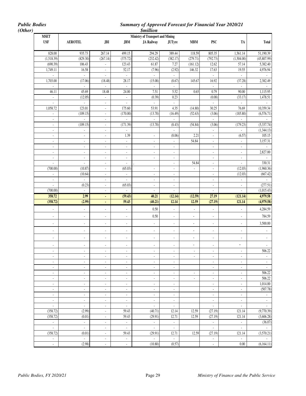| <b>Public Bodies</b><br>(Other) |                                                      |                                  |                                               |                                     | <b>Summary of Approved Forecast for Financial Year 2020/21</b><br><b><i><u>Smillion</u></i></b> |                                      |                          |                                  |                                  |                                            |
|---------------------------------|------------------------------------------------------|----------------------------------|-----------------------------------------------|-------------------------------------|-------------------------------------------------------------------------------------------------|--------------------------------------|--------------------------|----------------------------------|----------------------------------|--------------------------------------------|
|                                 | <b>MSET</b>                                          |                                  |                                               |                                     | <b>Ministry of Transport and Mining</b>                                                         |                                      |                          |                                  |                                  |                                            |
|                                 | <b>USF</b>                                           | <b>AEROTEL</b>                   | JBI                                           | JBM                                 | <b>JA Railway</b>                                                                               | <b>JUTyre</b>                        | <b>MBM</b>               | <b>PSC</b>                       | TA                               | <b>Total</b>                               |
|                                 | 828.00                                               | 935.73                           | 267.14                                        | 499.15                              | 294.29                                                                                          | 389.44                               | 118.59                   | 805.35                           | 1,561.14                         | 51,190.39                                  |
|                                 | (1,518.39)                                           | (829.30)                         | (267.14)                                      | (375.72)                            | (232.42)                                                                                        | (382.17)                             | (279.71)                 | (792.73)                         | (1,504.00)                       | (45, 807.99)                               |
|                                 | (690.39)                                             | 106.43                           | $\overline{\phantom{a}}$                      | 123.43                              | 61.87                                                                                           | 7.27                                 | (161.12)                 | 12.62                            | 57.14                            | 5,382.40                                   |
|                                 | 1,749.11                                             | 16.58                            | $\blacksquare$                                | 52.17                               | (7.96)                                                                                          | (2.92)                               | 146.32                   | 17.63                            | 19.55                            | 4,976.94                                   |
|                                 | ÷,                                                   | $\blacksquare$                   | $\omega$                                      | $\mathcal{L}_{\mathcal{A}}$         | $\mathcal{L}_{\mathcal{A}}$                                                                     | ÷.                                   |                          | $\overline{\phantom{a}}$         | $\omega$                         |                                            |
|                                 | 1,703.00                                             | (17.06)                          | (18.48)                                       | 28.17                               | (15.08)                                                                                         | (8.67)                               | 145.67                   | 16.92                            | (37.28)                          | 2,382.49                                   |
|                                 | ä,                                                   | $\mathcal{L}$<br>45.69           | $\mathcal{L}$                                 | $\mathcal{L}$                       | $\omega$<br>7.51                                                                                | $\mathbb{Z}^{\mathbb{Z}}$<br>5.52    | 0.65                     | ÷.<br>0.79                       | ä,<br>90.00                      | $\sim$<br>1,115.95                         |
|                                 | 46.11<br>÷,                                          | (12.05)                          | 18.48<br>$\overline{\phantom{a}}$             | 24.00<br>$\overline{\phantom{a}}$   | (0.39)                                                                                          | 0.23                                 |                          | (0.08)                           | (33.17)                          | 1,478.51                                   |
|                                 | ÷,                                                   | $\sim$                           | $\blacksquare$                                | $\blacksquare$                      | $\blacksquare$                                                                                  | ÷.                                   |                          | $\mathcal{L}$                    | $\sim$                           |                                            |
|                                 | 1,058.72                                             | 123.01                           | $\mathbf{r}$                                  | 175.60                              | 53.91                                                                                           | 4.35                                 | (14.80)                  | 30.25                            | 76.69                            | 10,359.34                                  |
|                                 |                                                      | (109.15)                         | $\overline{\phantom{a}}$                      | (170.00)                            | (13.70)                                                                                         | (16.49)                              | (52.63)                  | (3.06)                           | (185.80)                         | (6, 576.71)                                |
|                                 | ÷,                                                   | ÷.                               | $\blacksquare$                                | ä,                                  | ÷.                                                                                              | ÷.                                   |                          | $\overline{\phantom{a}}$         | ä,                               | $\omega$                                   |
|                                 | $\overline{\phantom{a}}$                             | (109.15)                         | $\sim$                                        | (171.39)                            | (13.70)                                                                                         | (8.43)                               | (54.84)                  | (3.06)                           | (179.23)                         | (5, 337.74)                                |
|                                 | $\overline{\phantom{a}}$                             | ÷,                               | $\overline{\phantom{a}}$                      | ÷,                                  |                                                                                                 |                                      |                          | $\overline{\phantom{a}}$         |                                  | (1,344.13)                                 |
|                                 | ÷,                                                   | ÷.                               | $\blacksquare$                                | 1.39                                | $\blacksquare$                                                                                  | (8.06)                               | 2.21                     | $\blacksquare$                   | (6.57)                           | 105.15                                     |
|                                 | $\blacksquare$                                       | ÷,                               | $\overline{\phantom{a}}$                      | $\sim$                              | $\overline{\phantom{a}}$                                                                        | ÷.                                   | 54.84                    | $\blacksquare$                   |                                  | 3,157.31                                   |
|                                 | ÷,                                                   | ÷.                               | $\mathcal{L}_{\mathcal{A}}$                   | $\omega$                            | ÷.                                                                                              | $\mathcal{L}$                        |                          | ÷,                               | ä,                               |                                            |
|                                 | ÷,                                                   | $\overline{\phantom{a}}$         | $\blacksquare$                                | $\mathcal{L}_{\mathcal{A}}$         | $\blacksquare$                                                                                  | $\blacksquare$                       |                          | $\blacksquare$                   | ä,                               | 2,827.00                                   |
|                                 | $\overline{\phantom{a}}$                             | ÷,                               | $\blacksquare$                                | $\blacksquare$                      | $\overline{\phantom{a}}$                                                                        | $\blacksquare$                       |                          | $\blacksquare$                   | $\blacksquare$                   |                                            |
|                                 | $\overline{\phantom{a}}$<br>(700.00)                 | ÷,<br>(10.87)                    | $\overline{\phantom{a}}$                      | $\overline{\phantom{a}}$<br>(65.03) |                                                                                                 | $\overline{\phantom{a}}$             | 54.84                    | $\blacksquare$                   | $\blacksquare$<br>(12.03)        | 330.31<br>(1,960.36)                       |
|                                 | ÷,                                                   | (10.64)                          | $\blacksquare$<br>$\blacksquare$              | $\sim$                              | $\overline{\phantom{a}}$<br>$\blacksquare$                                                      | $\overline{\phantom{a}}$<br>÷.       | $\overline{\phantom{a}}$ | $\overline{\phantom{a}}$<br>÷,   | (12.03)                          | (667.42)                                   |
|                                 | ÷,                                                   |                                  | ä,                                            | ÷,                                  | ÷.                                                                                              | ä,                                   |                          |                                  |                                  |                                            |
|                                 | $\overline{\phantom{a}}$                             | (0.23)                           | $\mathbb{Z}^{\times}$                         | (65.03)                             | $\overline{\phantom{a}}$                                                                        | $\overline{\phantom{a}}$             |                          | $\blacksquare$                   | $\blacksquare$                   | (277.51)                                   |
|                                 | (700.00)                                             | ×.                               | $\overline{\phantom{a}}$                      | $\blacksquare$                      | $\blacksquare$                                                                                  | $\overline{\phantom{a}}$             |                          | ä,                               | ÷,                               | (1,015.43)                                 |
|                                 | 358.72                                               | 2.99                             | ٠                                             | (59.43)                             | 40.21                                                                                           | (12.14)                              | (12.59)                  | 27.19                            | (121.14)                         | 4,979.58                                   |
|                                 | (358.72)                                             | (2.99)                           | ä,                                            | 59.43                               | (40.21)                                                                                         | 12.14                                | 12.59                    | (27.19)                          | 121.14                           | (4,979.58)                                 |
|                                 |                                                      | ä,                               | ÷.                                            | $\blacksquare$                      | $0.50\,$                                                                                        | $\overline{\phantom{a}}$             | $\blacksquare$           | $\Box$                           | ÷,                               | 4,284.59                                   |
|                                 | ÷,                                                   | ÷,                               | ÷,                                            | $\Box$                              | $0.50\,$                                                                                        | $\blacksquare$                       | $\overline{\phantom{a}}$ | ä,                               | ä,                               | 784.59                                     |
|                                 | ÷,                                                   | $\overline{\phantom{a}}$         | $\blacksquare$                                | $\blacksquare$                      | $\overline{\phantom{a}}$                                                                        | $\blacksquare$                       | $\overline{\phantom{a}}$ | $\blacksquare$                   | $\blacksquare$                   | 3,500.00                                   |
|                                 | $\overline{\phantom{a}}$                             | -                                | ۰                                             | $\overline{\phantom{a}}$            | $\blacksquare$                                                                                  | ٠                                    | ۰                        | $\overline{\phantom{a}}$         | $\centerdot$                     |                                            |
|                                 | $\blacksquare$                                       | ä,                               | ÷,                                            | $\overline{\phantom{a}}$            | $\blacksquare$                                                                                  | ÷,                                   | $\centerdot$             | ÷,                               | ÷,                               | $\blacksquare$                             |
|                                 |                                                      |                                  |                                               |                                     |                                                                                                 |                                      |                          |                                  |                                  |                                            |
|                                 | $\overline{\phantom{a}}$                             | $\overline{\phantom{a}}$         | $\blacksquare$                                | $\sim$                              | $\blacksquare$                                                                                  | $\blacksquare$                       | $\blacksquare$           | $\overline{\phantom{a}}$         | $\blacksquare$                   | 506.22                                     |
|                                 | $\blacksquare$                                       | $\blacksquare$                   | $\blacksquare$                                | $\blacksquare$                      | $\blacksquare$                                                                                  | $\overline{\phantom{a}}$             | $\overline{\phantom{a}}$ | $\overline{\phantom{a}}$         | $\blacksquare$                   | $\overline{\phantom{a}}$                   |
|                                 | $\overline{\phantom{a}}$<br>$\overline{\phantom{a}}$ | $\blacksquare$<br>$\blacksquare$ | $\blacksquare$<br>$\sim$                      | $\sim$<br>$\omega$                  | $\mathcal{L}_{\mathcal{A}}$<br>$\overline{\phantom{a}}$                                         | $\blacksquare$<br>$\blacksquare$     |                          | $\blacksquare$<br>$\blacksquare$ | $\blacksquare$<br>$\blacksquare$ | $\mathbb{Z}^2$<br>$\overline{\phantom{a}}$ |
|                                 | $\overline{\phantom{a}}$                             | $\overline{\phantom{a}}$         | $\overline{\phantom{a}}$                      | $\blacksquare$                      | $\blacksquare$                                                                                  | $\overline{\phantom{a}}$             | $\overline{\phantom{a}}$ | $\overline{\phantom{a}}$         | $\overline{\phantom{a}}$         | 506.22                                     |
|                                 | $\overline{\phantom{a}}$                             | $\overline{\phantom{a}}$         | $\sim$                                        | $\sim$                              | $\overline{\phantom{a}}$                                                                        | $\overline{\phantom{a}}$             | $\sim$                   | $\blacksquare$                   | $\overline{\phantom{a}}$         | 506.22                                     |
|                                 | $\blacksquare$                                       | $\blacksquare$                   | $\mathbb{Z}^2$                                | $\omega$                            | $\sim$                                                                                          | ÷.                                   |                          | $\Box$                           | $\omega$                         | 1,014.00                                   |
|                                 | $\blacksquare$                                       | $\blacksquare$                   | $\overline{\phantom{a}}$                      | $\blacksquare$                      | $\blacksquare$                                                                                  | $\overline{\phantom{a}}$             |                          | $\overline{\phantom{a}}$         | $\blacksquare$                   | (507.78)                                   |
|                                 | $\overline{\phantom{a}}$                             | $\blacksquare$                   | $\blacksquare$                                | $\blacksquare$                      | $\sim$                                                                                          | $\blacksquare$                       |                          | $\blacksquare$                   | $\blacksquare$                   | $\sim$                                     |
|                                 | $\sim$                                               | $\blacksquare$                   | $\blacksquare$                                | $\omega$                            | $\sim$                                                                                          | $\mathcal{L}_{\mathcal{A}}$          |                          | $\blacksquare$                   | $\blacksquare$                   | $\Box$                                     |
|                                 | ÷,                                                   | $\overline{\phantom{a}}$         | $\overline{\phantom{a}}$                      | $\mathcal{L}_{\mathcal{A}}$         | $\Box$                                                                                          | $\overline{\phantom{a}}$             |                          | $\blacksquare$                   | $\overline{\phantom{a}}$         |                                            |
|                                 | (358.72)                                             | (2.99)                           | $\blacksquare$                                | 59.43                               | (40.71)                                                                                         | 12.14                                | 12.59                    | (27.19)                          | 121.14                           | (9,770.39)                                 |
|                                 | (358.72)                                             | (0.01)                           | $\sim$                                        | 59.43                               | (29.91)                                                                                         | 12.71                                | 12.59                    | (27.19)                          | 121.14                           | (3,606.28)                                 |
|                                 | $\overline{\phantom{a}}$                             | $\blacksquare$                   | $\blacksquare$                                | $\mathbb{R}^2$                      | $\Box$                                                                                          | $\mathbb{Z}^2$                       |                          | $\overline{\phantom{a}}$         | $\Box$                           | (36.07)                                    |
|                                 | ä,<br>(358.72)                                       | $\blacksquare$<br>(0.01)         | $\blacksquare$<br>$\mathcal{L}_{\mathcal{A}}$ | ä,<br>59.43                         | ä,<br>(29.91)                                                                                   | $\mathcal{L}_{\mathcal{A}}$<br>12.71 | 12.59                    | ÷,<br>(27.19)                    | $\blacksquare$<br>121.14         | $\omega$<br>(3,570.21)                     |
|                                 | $\overline{\phantom{a}}$                             | $\blacksquare$                   | $\overline{\phantom{a}}$                      | $\sim$                              | $\sim$                                                                                          | ÷.                                   |                          | $\overline{\phantom{a}}$         | $\blacksquare$                   |                                            |
|                                 | l,                                                   | (2.98)                           | $\mathbb{Z}^2$                                | ä,                                  | (10.80)                                                                                         | (0.57)                               |                          | $\overline{\phantom{a}}$         | $0.00\,$                         | (6,164.11)                                 |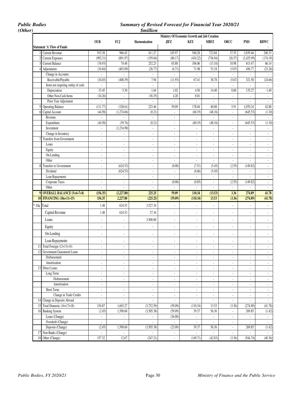### *Public Bodies Summary of Revised Forecast for Financial Year 2020/21*

|                                            |                          |                          | <i><b>\$million</b></i>     |                                |                                              |                             |                             |                                      |                               |
|--------------------------------------------|--------------------------|--------------------------|-----------------------------|--------------------------------|----------------------------------------------|-----------------------------|-----------------------------|--------------------------------------|-------------------------------|
|                                            |                          |                          |                             |                                | Ministry Of Economic Growth and Job Creation |                             |                             |                                      |                               |
|                                            | <b>OUR</b>               | FCJ                      | Harmonisation               | JIFZ                           | KFZ                                          | <b>MBFZ</b>                 | ORCC                        | <b>PMS</b>                           | <b>RBWC</b>                   |
| <b>Statement 'A' Flow of Funds</b>         |                          |                          |                             |                                |                                              |                             |                             |                                      |                               |
| Current Revenue                            | 915.38                   | 966.45                   | 411.27                      | 145.97                         | 540.28                                       | 723.84                      | 37.55                       | 3,039.46                             | 240.33                        |
| <b>Current Expenses</b>                    | (992.31)                 | (891.97)                 | (159.04)                    | (80.17)                        | (434.22)                                     | (736.94)                    | (26.57)                     | (2,425.99)                           | (174.19)                      |
| <b>Current Balance</b>                     | (76.93)                  | 74.48                    | 252.23                      | 65.80                          | 106.06                                       | (13.10)                     | 10.98                       | 613.47                               | 66.14                         |
| Adjustments                                | (34.84)                  | (403.09)                 | (26.77)                     | (6.71)                         | 71.98                                        | 53.18                       | (5.07)                      | 456.77                               | (23.26)                       |
| Change in Accounts                         |                          |                          |                             |                                |                                              | ä,                          |                             |                                      |                               |
| Receivable/Payable                         | (34.03)                  | (408.39)                 | 7.94                        | (11.93)                        | 67.41                                        | 38.78                       | (5.67)                      | 321.50                               | (24.66)                       |
| Items not requiring outlay of cash:        | ÷.                       |                          | ÷,                          |                                | ÷.                                           | ä,                          |                             |                                      |                               |
| Depreciation                               | 33.45                    | 5.30                     | 1.64                        | 1.02                           | 4.56                                         | 14.40                       | 0.60                        | 135.27                               | 1.40                          |
| Other Non-Cash Items                       | (34.26)                  | ä,                       | (36.35)                     | 4.20                           | 0.01                                         | ä,                          | ÷.                          | $\mathcal{L}$                        | $\sim$                        |
| Prior Year Adjustment                      | ÷,                       | $\overline{\phantom{a}}$ | $\overline{\phantom{a}}$    | $\overline{\phantom{a}}$       | $\overline{\phantom{a}}$                     | $\blacksquare$              | $\overline{\phantom{a}}$    | ٠                                    | $\sim$                        |
| 5 Operating Balance                        | (111.77)                 | (328.61)                 | 225.46                      | 59.09                          | 178.04                                       | 40.08                       | 5.91                        | 1,070.24                             | 42.88                         |
| 6 Capital Account                          | (44.58)                  | (1,274.66)               | (0.21)                      | ÷,                             | (60.19)                                      | (48.16)                     | ×.                          | (645.53)                             | (1.10)                        |
| Revenue                                    | $\mathcal{L}$            | ä,                       | $\mathcal{L}$               | ÷.                             | ÷.                                           | L,                          | ÷.                          | $\mathcal{L}^{\mathcal{L}}$          | $\mathcal{L}$                 |
| Expenditure                                | (44.58)                  | (39.76)                  | (0.21)                      | ä,                             | (60.19)                                      | (48.16)                     | ÷.                          | (645.53)                             | (1.10)                        |
| Investment                                 | $\overline{\phantom{a}}$ | (1,234.90)               | $\overline{\phantom{a}}$    | $\overline{\phantom{a}}$       | $\blacksquare$                               | ä,                          | $\overline{\phantom{a}}$    | $\overline{\phantom{a}}$             | $\overline{\phantom{a}}$      |
| Change in Inventory                        | $\overline{\phantom{a}}$ | ä,                       | ×.                          | ×.                             | $\overline{\phantom{a}}$                     | $\blacksquare$              | ×.                          | ÷                                    | $\sim$                        |
| Transfers from Government                  | $\overline{\phantom{a}}$ | ä,                       | ÷,                          | $\overline{\phantom{a}}$       | $\blacksquare$                               | $\blacksquare$              | ÷.                          | $\overline{\phantom{a}}$             | $\blacksquare$                |
| Loans                                      | $\overline{\phantom{a}}$ | ä,                       | $\mathcal{L}_{\mathcal{A}}$ | ÷.                             | $\sim$                                       | ä,                          | $\blacksquare$              | $\mathcal{L}_{\mathcal{A}}$          | $\sim$                        |
| Equity                                     | $\blacksquare$           | ä,                       | $\overline{\phantom{a}}$    | $\overline{\phantom{a}}$       | $\blacksquare$                               | $\blacksquare$              | $\blacksquare$              | $\mathcal{L}_{\mathcal{A}}$          | $\sim$                        |
| On-Lending                                 | $\overline{\phantom{a}}$ | $\blacksquare$           | ×,                          | ×.                             | $\overline{\phantom{a}}$                     | ä,                          | ×.                          | ÷                                    | ÷.                            |
| Other                                      | $\overline{\phantom{a}}$ | ÷.                       | $\overline{\phantom{a}}$    | ٠                              | ×.                                           | $\blacksquare$              | ٠                           | ÷                                    | $\sim$                        |
| 8 Transfers to Government                  | $\ddot{\phantom{0}}$     | (624.53)                 | ÷,                          | (0.00)                         | (7.51)                                       | (5.45)                      | (2.55)                      | (149.82)                             | $\blacksquare$                |
| Dividend                                   | $\overline{\phantom{a}}$ | (624.53)                 | $\mathcal{L}_{\mathcal{A}}$ | ä,                             | (6.66)                                       | (5.45)                      | $\mathbb{R}^2$              | $\omega$                             | $\sim$                        |
| Loan Repayments                            | $\overline{\phantom{a}}$ | $\blacksquare$           | $\overline{\phantom{a}}$    | $\overline{\phantom{a}}$       | $\blacksquare$                               | $\blacksquare$              | $\blacksquare$              | $\blacksquare$                       | $\sim$                        |
| Corporate Taxes                            | $\overline{\phantom{a}}$ | $\mathcal{L}$            | ÷,                          | (0.00)                         | (0.85)                                       | ÷.                          | (2.55)                      | (149.82)                             | $\omega$                      |
| Other                                      | ÷,                       |                          |                             |                                |                                              |                             |                             |                                      |                               |
| 9 OVERALL BALANCE (5+6+7+8)                | (156.35)                 | (2,227.80)               | 225.25                      | 59.09                          | 110.34                                       | (13.53)                     | 3.36                        | 274.89                               | 41.78                         |
| 10 FINANCING (10a+11+15)                   | 156.35                   | 2,227.80                 | (225.25)                    | (59.09)                        | (110.34)                                     | 13.53                       | (3.36)                      | (274.89)                             | (41.78)                       |
| * 10a Total                                | 1.48                     | 624.53                   | 3,527.34                    | ÷.                             | ×.                                           | ä,                          | ÷.                          | ×.                                   | ä,                            |
|                                            |                          |                          |                             |                                |                                              |                             |                             |                                      |                               |
| Capital Revenue                            | 1.48                     | 624.53                   | 27.34                       | $\blacksquare$                 | ٠                                            | $\blacksquare$              | $\overline{\phantom{a}}$    | $\overline{\phantom{a}}$             | $\sim$                        |
| Loans                                      | $\ddot{\phantom{0}}$     | ä,                       | 3,500.00                    | $\overline{\phantom{a}}$       | $\overline{\phantom{a}}$                     | ä,                          | $\overline{\phantom{a}}$    | $\overline{\phantom{a}}$             | ÷.                            |
| Equity                                     | $\overline{\phantom{a}}$ | ÷,                       | ÷,                          |                                | $\overline{\phantom{a}}$                     | ä,                          | ÷,                          |                                      | ä,                            |
|                                            |                          |                          |                             |                                |                                              |                             |                             |                                      |                               |
| On-Lending                                 | ÷,                       | ä,                       | ä,                          | $\tilde{\phantom{a}}$          | $\overline{\phantom{a}}$                     | ä,                          | ä,                          | ×                                    | $\sim$                        |
| Loan Repayments                            | $\overline{\phantom{a}}$ | $\blacksquare$           |                             | $\blacksquare$                 | $\overline{\phantom{a}}$                     | $\blacksquare$              |                             |                                      | $\overline{\phantom{a}}$      |
| 11 Total Foreign (12+13+14)                | $\overline{\phantom{a}}$ | $\mathcal{L}$            | ÷,                          | ÷,                             | ä,                                           | ä,                          | ÷.                          | $\mathcal{L}$                        | $\mathcal{L}$                 |
| 12 Government Guaranteed Loans             | $\overline{\phantom{a}}$ |                          |                             |                                |                                              |                             |                             |                                      |                               |
| Disbursement                               | $\overline{\phantom{a}}$ | ÷,                       | $\overline{\phantom{a}}$    | $\blacksquare$                 | $\blacksquare$                               | $\overline{\phantom{a}}$    | $\overline{\phantom{a}}$    | $\overline{\phantom{a}}$             | $\overline{\phantom{a}}$      |
| Amortization                               | ÷,                       | ä,                       | ÷,                          | ÷,                             | $\overline{\phantom{a}}$                     | $\blacksquare$              | $\overline{\phantom{a}}$    | $\overline{\phantom{a}}$             | $\sim$                        |
| 13 Direct Loans                            | ÷,                       | ä,                       | ÷,                          | $\overline{\phantom{a}}$       | $\overline{\phantom{a}}$                     | ÷.                          | $\overline{\phantom{a}}$    | $\blacksquare$                       | ÷.                            |
| Long Term:                                 | $\overline{\phantom{a}}$ | ä,                       | ÷,                          | $\blacksquare$                 | $\blacksquare$                               | ä,                          | $\blacksquare$              | $\blacksquare$                       | ÷                             |
| Disbursement                               | $\blacksquare$           | ÷.                       | ÷.                          | ÷.                             | $\sim$                                       | $\mathcal{L}_{\mathcal{A}}$ | $\blacksquare$              | $\omega$                             | $\sim$                        |
| Amortisation                               | $\overline{\phantom{a}}$ | ٠                        | $\overline{\phantom{a}}$    | ٠                              | ÷                                            | ٠                           | ٠                           | $\blacksquare$                       | $\blacksquare$                |
| Short Term:                                | $\blacksquare$           | ä,                       | $\overline{\phantom{a}}$    | $\overline{\phantom{a}}$       | $\overline{\phantom{a}}$                     | $\overline{\phantom{a}}$    | $\overline{\phantom{a}}$    | $\blacksquare$                       | $\sim$                        |
| Change in Trade Credits                    | $\overline{\phantom{a}}$ | $\sim$                   | $\overline{\phantom{a}}$    | $\blacksquare$                 | $\overline{\phantom{a}}$                     | $\blacksquare$              | $\overline{\phantom{a}}$    | $\overline{\phantom{a}}$             | $\sim$                        |
| 14 Change in Deposits Abroad               | ä,                       | ä,                       | ¥.                          | $\mathcal{L}_{\mathcal{A}}$    | ¥,                                           | ÷.                          | $\mathcal{L}_{\mathcal{A}}$ | $\omega$                             | $\omega$                      |
| 15 Total Domestic $(16+17+18)$             | 154.87                   | 1,603.27                 | (3,752.59)                  | (59.09)                        | (110.34)                                     | 13.53                       | (3.36)                      | (274.89)                             | (41.78)                       |
| 16 Banking System                          |                          |                          |                             |                                |                                              |                             |                             |                                      |                               |
| Loans (Change)                             | (2.45)<br>$\mathcal{L}$  | 1,590.60<br>$\omega$     | (3,505.38)<br>÷.            | (59.09)<br>(36.00)             | 39.37<br>÷.                                  | 56.36<br>$\mathbb{Z}^2$     | $\overline{\phantom{a}}$    | 269.85<br>$\mathcal{L}$              | (1.42)<br>$\omega$            |
| Overdraft (Change)                         |                          |                          |                             |                                |                                              |                             | $\blacksquare$              |                                      |                               |
|                                            | $\overline{\phantom{a}}$ | ÷                        | $\overline{\phantom{a}}$    |                                | $\blacksquare$                               | ÷                           | ٠                           | $\blacksquare$                       | $\sim$                        |
|                                            |                          |                          |                             |                                |                                              |                             |                             |                                      |                               |
| Deposits (Change)                          | (2.45)                   | 1,590.60                 | (3,505.38)                  | (23.09)                        | 39.37                                        | 56.36                       | $\mathbb{Z}^{\mathbb{Z}}$   | 269.85                               |                               |
| 17 Non-Banks (Change)<br>18 Other (Change) | $\sim$<br>157.32         | ÷.<br>12.67              | ¥,<br>(247.21)              | $\overline{\phantom{a}}$<br>÷. | $\blacksquare$<br>(149.71)                   | $\blacksquare$<br>(42.83)   | $\blacksquare$<br>(3.36)    | $\overline{\phantom{a}}$<br>(544.74) | (1.42)<br>$\omega$<br>(40.36) |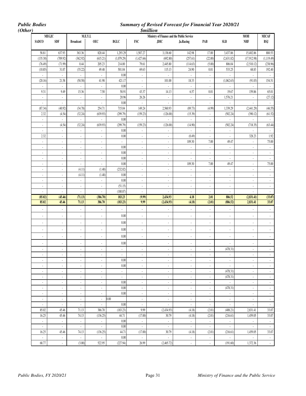*Public Bodies Summary of Revised Forecast for Financial Year 2020/21* 

| <b>MEGJC</b>             |                                |                             | M.E.Y.I.                    |                             |                             | Ministry of Finance and the Public Service |                                     |                                |                             | <b>MOH</b>                  | <b>MICAF</b> |
|--------------------------|--------------------------------|-----------------------------|-----------------------------|-----------------------------|-----------------------------|--------------------------------------------|-------------------------------------|--------------------------------|-----------------------------|-----------------------------|--------------|
| <b>SADCO</b>             | <b>SDF</b>                     | <b>Broadcast</b>            | <b>OEC</b>                  | BGLC                        | <b>FSC</b>                  | <b>JDIC</b>                                | Ja.Racing                           | PAB                            | <b>SLB</b>                  | <b>NHF</b>                  | BSJ          |
|                          |                                |                             |                             |                             |                             |                                            |                                     |                                |                             |                             |              |
| 58.81                    | 637.93                         | 363.36                      | 820.44                      | 1,293.29                    | 1,507.27                    | 3,138.60                                   | 142.98                              | 17.00                          | 3,437.86                    | 15,402.86                   |              |
| (135.30)                 | (709.92)                       | (362.92)                    | (615.21)                    | (1,079.29)                  | (1,427.66)                  | (692.80)                                   | (257.61)                            | (22.00)                        | (2,631.82)                  | (17,912.98)                 | (1, 119.49)  |
| (76.49)                  | (71.99)                        | 0.44                        | 205.23                      | 214.00                      | 79.61                       | 2,445.80                                   | (114.63)                            | (5.00)                         | 806.04                      | (2,510.12)                  |              |
| (10.85)                  | 31.07                          | (35.22)                     | 49.48                       | 501.04                      | 69.63                       | 115.13                                     | 24.90                               | 0.01                           | 533.25                      | 68.83                       |              |
| ÷.                       | $\mathcal{L}_{\mathcal{A}}$    | $\overline{\phantom{a}}$    | $\sim$                      | 0.00                        | ÷.                          | ÷.                                         | $\mathcal{L}_{\mathcal{A}}$         | $\mathcal{L}_{\mathcal{A}}$    | ÷.                          | $\Box$                      |              |
| (20.16)                  | 21.58                          | (50.58)                     | 41.98                       | 421.17                      | $\overline{\phantom{a}}$    | 101.00                                     | 18.33                               | $\overline{\phantom{a}}$       | (1,062.63)                  | (91.03)                     |              |
| ÷,                       | $\blacksquare$<br>9.49         | L.                          | $\overline{\phantom{a}}$    | 0.00<br>58.91               | $\overline{\phantom{a}}$    |                                            | $\Box$                              | $\overline{\phantom{a}}$       |                             | L.                          |              |
| 9.31<br>÷.               |                                | 15.36<br>$\mathbb{Z}^2$     | 7.50<br>$\sim$              | 20.96                       | 43.37<br>26.26              | 14.13<br>$\overline{\phantom{a}}$          | 6.57<br>$\mathcal{L}_{\mathcal{A}}$ | 0.01                           | 19.67<br>1,576.21           | 159.86                      |              |
| $\blacksquare$           | $\overline{\phantom{a}}$<br>ä, | $\Box$                      | ÷.                          | 0.00                        | $\Box$                      | $\overline{\phantom{a}}$                   | ÷,                                  | $\overline{\phantom{a}}$<br>÷, | i,                          | ÷.<br>ä,                    |              |
| (87.34)                  | (40.92)                        | (34.78)                     | 254.71                      | 715.04                      | 149.24                      | 2,560.93                                   | (89.73)                             | (4.99)                         | 1,339.29                    | (2,441.29)                  |              |
| 2.32                     | (4.54)                         | (32.24)                     | (639.93)                    | (299.79)                    | (159.23)                    | (126.00)                                   | (15.39)                             | $\mathcal{L}_{\mathcal{A}}$    | (502.24)                    | (390.12)                    |              |
| ÷.                       | $\blacksquare$                 | $\overline{\phantom{a}}$    | $\overline{\phantom{a}}$    | $0.00\,$                    | ÷,                          | ÷,                                         | ÷.                                  | $\overline{\phantom{a}}$       | ÷,                          | $\overline{\phantom{a}}$    |              |
| $\overline{\phantom{a}}$ | (4.54)                         | (32.24)                     | (639.93)                    | (299.79)                    | (159.23)                    | (126.00)                                   | (14.90)                             | $\blacksquare$                 | (502.24)                    | (718.35)                    |              |
| $\overline{\phantom{a}}$ | $\overline{\phantom{a}}$       | $\mathbb{Z}^2$              | $\sim$                      | 0.00                        | $\mathbb{Z}^2$              | $\overline{\phantom{a}}$                   | $\mathcal{L}$                       | $\overline{\phantom{a}}$       | $\Box$                      | $\blacksquare$              |              |
| 2.32                     | $\overline{\phantom{a}}$       | $\blacksquare$              | $\overline{\phantom{a}}$    | 0.00                        | $\overline{\phantom{a}}$    | $\overline{\phantom{a}}$                   | (0.49)                              | $\overline{\phantom{a}}$       | $\overline{\phantom{a}}$    | 328.23                      |              |
| ä,                       | $\mathcal{L}_{\mathcal{A}}$    | $\mathcal{L}$               | $\mathcal{L}$               | $\mathcal{L}^{\mathcal{A}}$ | ÷.                          | ÷,                                         | 109.30                              | 7.00                           | 49.47                       | $\mathbb{Z}^2$              |              |
| $\overline{\phantom{a}}$ | $\overline{\phantom{a}}$       | $\mathbb{Z}^2$              | $\sim$                      | 0.00                        | $\mathcal{L}_{\mathcal{A}}$ | $\overline{\phantom{a}}$                   | $\mathcal{L}_{\mathcal{A}}$         | $\overline{\phantom{a}}$       | ä,                          | $\blacksquare$              |              |
| $\overline{\phantom{a}}$ | $\overline{\phantom{a}}$       | $\blacksquare$              | $\sim$                      | $0.00\,$                    | $\overline{\phantom{a}}$    | $\overline{\phantom{a}}$                   | $\sim$                              | $\overline{\phantom{a}}$       | $\overline{\phantom{a}}$    | ÷                           |              |
| $\overline{\phantom{a}}$ | $\overline{\phantom{a}}$       | $\overline{\phantom{a}}$    | $\blacksquare$              | 0.00                        | $\blacksquare$              | $\overline{\phantom{a}}$                   | ÷.                                  | ÷,                             | $\overline{\phantom{a}}$    | $\overline{\phantom{a}}$    |              |
| ä,                       | $\overline{\phantom{a}}$       | $\overline{\phantom{a}}$    | $\overline{\phantom{a}}$    | 0.00                        | $\overline{\phantom{a}}$    | ÷,                                         | 109.30                              | 7.00                           | 49.47                       | $\overline{\phantom{a}}$    |              |
| ÷                        | $\overline{\phantom{a}}$       | (4.11)                      | (1.48)                      | (232.02)                    | ÷.                          | ÷,                                         | $\Box$                              | $\overline{\phantom{a}}$       | ä,                          | $\overline{\phantom{a}}$    |              |
| $\overline{\phantom{a}}$ | $\overline{\phantom{a}}$       | (4.11)                      | (1.48)                      | 0.00                        | $\overline{\phantom{a}}$    | ÷,                                         | $\overline{\phantom{a}}$            | ÷,                             | ÷,                          | $\overline{\phantom{a}}$    |              |
| $\overline{\phantom{a}}$ | $\overline{\phantom{a}}$       | $\mathbb{Z}^{\mathbb{Z}}$   | $\mathbb{Z}^2$              | $0.00\,$                    | $\blacksquare$              | ÷,                                         | $\mathcal{L}_{\mathcal{A}}$         | $\overline{\phantom{a}}$       | $\overline{\phantom{a}}$    | $\blacksquare$              |              |
| $\blacksquare$           | $\blacksquare$                 | $\mathbb{Z}^{\mathbb{Z}}$   | $\mathcal{L}_{\mathcal{A}}$ | (51.15)                     | $\blacksquare$              | $\overline{\phantom{a}}$                   | $\mathcal{L}_{\mathcal{A}}$         | $\overline{\phantom{a}}$       | ÷.                          | $\overline{\phantom{a}}$    |              |
| ä,                       | $\overline{\phantom{a}}$       | $\overline{\phantom{a}}$    | $\blacksquare$              | (180.87)                    | ä,                          | $\overline{\phantom{a}}$                   | $\overline{\phantom{a}}$            | $\overline{\phantom{a}}$       | ÷,                          | $\overline{a}$              |              |
| (85.02)                  | (45.46)                        | (71.13)                     | (386.70)                    | 183.23                      | (9.99)                      | 2,434.93                                   | 4.18                                | 2.01                           | 886.52                      | (2,831.41)                  |              |
| 85.02                    | 45.46                          | 71.13                       | 386.70                      | (183.23)                    | 9.99                        | (2,434.93)                                 | (4.18)                              | (2.01)                         | (886.52)                    | 2,831.41                    |              |
| ÷,                       | ÷,                             | $\overline{a}$              | $\overline{\phantom{a}}$    | $\overline{\phantom{a}}$    | ÷,                          | ×,                                         | ä,                                  | ÷,                             | $\overline{\phantom{a}}$    | ÷,                          |              |
| $\overline{\phantom{a}}$ | $\overline{\phantom{a}}$       | $\overline{\phantom{a}}$    | $\overline{\phantom{a}}$    | $0.00\,$                    | $\overline{\phantom{a}}$    | $\overline{\phantom{a}}$                   | $\overline{\phantom{a}}$            | $\overline{\phantom{a}}$       | ÷,                          | $\blacksquare$              |              |
| $\overline{\phantom{a}}$ | $\overline{\phantom{a}}$       | $\overline{\phantom{a}}$    | $\overline{\phantom{a}}$    | 0.00                        | $\blacksquare$              | $\overline{\phantom{a}}$                   | $\overline{\phantom{a}}$            | $\overline{\phantom{a}}$       | $\overline{\phantom{a}}$    | $\overline{\phantom{a}}$    |              |
|                          |                                |                             |                             |                             |                             |                                            |                                     |                                |                             |                             |              |
| ÷,                       | $\overline{\phantom{a}}$       | $\overline{\phantom{a}}$    | $\overline{\phantom{a}}$    | $0.00\,$                    | $\overline{\phantom{a}}$    | $\overline{\phantom{a}}$                   | $\blacksquare$                      | ÷,                             |                             | $\overline{\phantom{a}}$    |              |
| ÷,                       | $\overline{\phantom{a}}$       | $\overline{\phantom{a}}$    | $\overline{\phantom{a}}$    | $0.00\,$                    | $\blacksquare$              | $\overline{\phantom{a}}$                   | $\blacksquare$                      | $\overline{\phantom{a}}$       | $\blacksquare$              | $\overline{\phantom{a}}$    |              |
|                          | $\overline{a}$                 | $\overline{\phantom{a}}$    | $\blacksquare$              | 0.00                        | ÷,                          | ×,                                         | $\blacksquare$                      | ÷,                             | Ĭ.                          | $\blacksquare$              |              |
| $\overline{\phantom{a}}$ | $\overline{\phantom{a}}$       | $\blacksquare$              | $\overline{\phantom{a}}$    | $\blacksquare$              | $\overline{\phantom{a}}$    | $\overline{\phantom{a}}$                   | $\sim$                              | $\overline{\phantom{a}}$       | (478.31)                    | $\overline{\phantom{a}}$    |              |
| ٠                        | ٠                              | ٠                           | $\overline{\phantom{a}}$    | $\sim$                      | $\bullet$                   | ٠                                          | $\sim$                              | $\sim$                         | $\overline{\phantom{a}}$    | $\overline{\phantom{a}}$    |              |
| $\overline{\phantom{a}}$ | ÷.                             | $\blacksquare$              | $\overline{\phantom{a}}$    | 0.00                        | $\blacksquare$              | $\overline{\phantom{a}}$                   | ÷,                                  | $\overline{\phantom{a}}$       | $\blacksquare$              | $\overline{\phantom{a}}$    |              |
| $\overline{\phantom{a}}$ | $\blacksquare$                 | $\blacksquare$              | $\overline{\phantom{a}}$    | 0.00                        | $\overline{\phantom{a}}$    | $\overline{\phantom{a}}$                   | $\blacksquare$                      | $\overline{\phantom{a}}$       | $\sim$                      | $\blacksquare$              |              |
| $\sim$                   | $\overline{\phantom{a}}$       | $\mathcal{L}_{\mathcal{A}}$ | $\sim$                      | $\sim$                      | $\mathcal{L}_{\mathcal{A}}$ | $\mathcal{L}_{\mathcal{A}}$                | $\sim$                              | $\sim$                         | (478.31)                    | $\mathcal{L}_{\mathcal{A}}$ |              |
| $\overline{\phantom{a}}$ | $\overline{\phantom{a}}$       | $\blacksquare$              | $\sim$                      | $\epsilon$                  | ÷                           | $\overline{\phantom{a}}$                   | $\sim$                              | $\overline{\phantom{a}}$       | (478.31)                    | $\sim$                      |              |
| $\overline{\phantom{a}}$ | $\sim$                         | $\overline{\phantom{a}}$    | $\sim$                      | 0.00                        | $\blacksquare$              | $\overline{\phantom{a}}$                   | $\mathcal{L}_{\mathcal{A}}$         | $\overline{\phantom{a}}$       | $\bar{\mathcal{A}}$         | $\blacksquare$              |              |
| $\blacksquare$           | $\blacksquare$                 | $\blacksquare$              | $\sim$                      | 0.00                        | $\mathcal{L}_{\mathcal{A}}$ | $\overline{\phantom{a}}$                   | $\sim$                              | $\mathcal{L}_{\mathcal{A}}$    | (478.31)                    | $\mathbb{R}^2$              |              |
| $\blacksquare$           | $\blacksquare$                 | $\blacksquare$              | $\sim$                      | 0.00                        | $\blacksquare$              | $\overline{\phantom{a}}$                   | $\sim$                              | $\overline{\phantom{a}}$       | $\sim$                      | $\blacksquare$              |              |
| $\sim$                   | $\mathcal{L}_{\mathcal{A}}$    | $\blacksquare$              | $\sim$                      | 0.00                        | $\mathcal{L}_{\mathcal{A}}$ | $\blacksquare$                             | $\sim$                              | $\overline{\phantom{a}}$       | $\mathcal{L}_{\mathcal{A}}$ | $\mathcal{L}_{\mathcal{A}}$ |              |
| $\sim$                   | $\sim$                         | $\mathbb{Z}^2$              | $\epsilon$                  | 0.00                        | $\mathbb{Z}^2$              | $\mathbb{Z}^+$                             | $\epsilon$                          | $\mathcal{L}_{\mathcal{A}}$    | $\sim$                      | $\epsilon$                  |              |
| 85.02                    | 45.46                          | 71.13                       | 386.70                      | (183.23)                    | 9.99                        | (2,434.93)                                 | (4.18)                              | (2.01)                         | (408.21)                    | 2,831.41                    |              |
| 16.25                    | 45.46                          | 74.13                       | (136.25)                    | 44.71                       | (17.00)                     | 30.79                                      | (4.18)                              | (2.01)                         | (216.61)                    | 1,459.05                    |              |
| $\mathbb{Z}^2$           | $\epsilon$                     | $\mathbb{Z}^{\mathbb{Z}}$   | $\epsilon$                  | 0.00                        | $\mathbb{Z}^{\mathbb{Z}}$   | $\mathbb{Z}^+$                             | $\mathbb{Z}^2$                      | $\mathcal{L}_{\mathcal{A}}$    | $\mathbb{Z}^2$              | $\mathbb{Z}^2$              |              |
| $\sim$                   | $\bullet$                      | $\mathbb{Z}^{\times}$       | $\epsilon$                  | 0.00                        | $\sim$                      | $\bullet$                                  | $\sim$                              | $\sim$                         | $\bullet$                   | $\sim$                      |              |
| 16.25                    | 45.46                          | 74.13                       | (136.25)                    | 44.71                       | (17.00)                     | 30.79                                      | (4.18)                              | (2.01)                         | (216.61)                    | 1,459.05                    |              |
| $\mathbb{Z}^2$           | $\blacksquare$                 | ÷.                          | $\sim$                      | 0.00                        | $\sim$                      | $\mathbb{Z}^2$                             | $\epsilon$                          | $\sim$                         | $\mathcal{L}$               | $\mathcal{L}_{\mathcal{A}}$ |              |
| 68.77                    | $\blacksquare$                 | (3.00)                      | 522.95                      | (227.94)                    | 26.99                       | (2,465.72)                                 | $\sim$                              | $\bullet$                      | (191.60)                    | 1,372.36                    |              |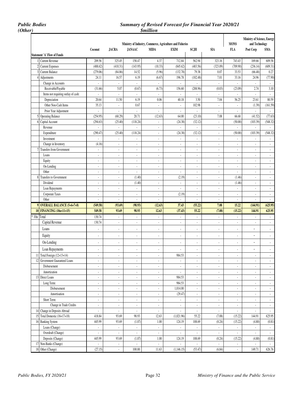### *Public Bodies Summary of Revised Forecast for Financial Year 2020/21 (Other) \$million*

|             |                                                   |                          |                             |                             |                             |                                                           |                             |                          |                           | Ministry of Science, Energy        |                             |
|-------------|---------------------------------------------------|--------------------------|-----------------------------|-----------------------------|-----------------------------|-----------------------------------------------------------|-----------------------------|--------------------------|---------------------------|------------------------------------|-----------------------------|
|             |                                                   |                          |                             |                             |                             | Ministry of Industry, Commerce, Agriculture and Fisheries |                             |                          | <b>MONS</b>               | and Technology                     |                             |
|             | <b>Statement 'A' Flow of Funds</b>                | Coconut                  | <b>JACRA</b>                | <b>JANAAC</b>               | <b>MIDA</b>                 | <b>EXIM</b>                                               | SCJH                        | SIA                      | FLA                       | Post Corp                          | SMA                         |
|             |                                                   |                          |                             |                             |                             |                                                           |                             |                          |                           |                                    |                             |
|             | Current Revenue                                   | 209.56                   | 325.45                      | 158.47                      | 4.37                        | 712.84                                                    | 562.94                      | 323.16                   | 743.43                    | 169.66                             | 609.58                      |
|             | <b>Current Expenses</b><br><b>Current Balance</b> | (488.62)<br>(279.06)     | (410.31)<br>(84.86)         | (143.95)<br>14.52           | (10.33)<br>(5.96)           | (845.62)<br>(132.78)                                      | (483.56)<br>79.38           | (323.09)<br>0.07         | (709.90)<br>33.53         | (236.14)<br>(66.48)                | (609.31)<br>0.27            |
|             | 4 Adjustments                                     | 24.11                    | 16.57                       | 6.19                        | (6.67)                      | 196.78                                                    | (102.48)                    | 7.01                     | 33.16                     | 24.96                              | (77.90)                     |
|             | Change in Accounts                                | ä,                       | ÷.                          | ÷.                          | ä,                          | $\overline{\phantom{a}}$                                  | ä,                          | $\overline{a}$           | $\mathbb{Z}^2$            | ÷.                                 | $\mathcal{L}_{\mathcal{A}}$ |
|             | Receivable/Payable                                | (31.66)                  | 5.07                        | (0.67)                      | (6.73)                      | 156.60                                                    | (208.96)                    | (0.03)                   | (23.09)                   | 2.74                               | 3.10                        |
|             | Items not requiring outlay of cash:               | $\blacksquare$           | $\overline{\phantom{a}}$    | ÷                           | ÷,                          | ä,                                                        | ÷,                          | $\overline{a}$           | $\blacksquare$            | ÷,                                 | $\Box$                      |
|             | Depreciation                                      | 20.64                    | 11.50                       | 6.19                        | 0.06                        | 40.18                                                     | 3.50                        | 7.04                     | 56.25                     | 23.61                              | 80.59                       |
|             | Other Non-Cash Items                              | 35.13                    | ÷                           | 0.67                        | $\Box$                      | $\sim$                                                    | 102.98                      | L.                       | $\mathbb{Z}^2$            | (1.39)                             | (161.59)                    |
|             | Prior Year Adjustment                             | $\blacksquare$           | ä,                          | $\overline{\phantom{a}}$    | $\blacksquare$              | $\overline{\phantom{a}}$                                  | ÷,                          | $\overline{\phantom{a}}$ | $\overline{\phantom{a}}$  |                                    |                             |
|             | 5 Operating Balance                               | (254.95)                 | (68.29)                     | 20.71                       | (12.63)                     | 64.00                                                     | (23.10)                     | 7.08                     | 66.68                     | (41.52)                            | (77.63)                     |
| 61          | Capital Account                                   | (294.63)                 | (25.40)                     | (118.24)                    | $\overline{\phantom{a}}$    | (24.38)                                                   | (32.12)                     | $\overline{\phantom{a}}$ | (50.00)                   | (103.39)                           | (548.32)                    |
|             | Revenue                                           |                          | ÷,                          | ÷,                          | $\overline{\phantom{a}}$    |                                                           | ÷,                          | $\overline{\phantom{a}}$ | ÷,                        | ÷,                                 | ÷,                          |
|             | Expenditure                                       | (290.47)                 | (25.40)                     | (118.24)                    | ÷,                          | (24.38)                                                   | (32.12)                     | ÷,                       | (50.00)                   | (103.39)                           | (548.32)                    |
|             | Investment                                        | ÷.                       | $\Box$                      | ä,                          | $\overline{\phantom{a}}$    | $\mathcal{L}_{\mathcal{A}}$                               | $\overline{\phantom{a}}$    | $\overline{\phantom{a}}$ | $\overline{\phantom{a}}$  | $\overline{\phantom{a}}$           | $\mathcal{L}_{\mathcal{A}}$ |
|             | Change in Inventory                               | (4.16)                   | ÷.                          | $\overline{\phantom{a}}$    | $\Box$                      | $\sim$                                                    | $\overline{\phantom{a}}$    | ä,                       | $\overline{\phantom{a}}$  | ÷,                                 | $\overline{\phantom{a}}$    |
|             | 7 Transfers from Government                       | ä,                       | ä,                          | ÷                           | ÷,                          | $\overline{\phantom{a}}$                                  | $\overline{\phantom{a}}$    | $\overline{a}$           | $\overline{\phantom{a}}$  | ÷,                                 | ÷.                          |
|             | Loans                                             | ä,                       | $\Box$                      | $\overline{\phantom{a}}$    | $\Box$                      | $\overline{\phantom{a}}$                                  | $\overline{\phantom{a}}$    | ÷,                       | $\overline{\phantom{a}}$  | ÷,                                 | $\mathcal{L}_{\mathcal{A}}$ |
|             | Equity                                            | $\overline{\phantom{a}}$ | $\overline{\phantom{a}}$    | $\overline{\phantom{a}}$    | $\sim$                      | $\sim$                                                    | $\overline{\phantom{a}}$    | ä,                       | $\overline{\phantom{a}}$  | $\overline{\phantom{a}}$           | $\blacksquare$              |
|             | On-Lending                                        | $\overline{\phantom{a}}$ | ä,                          | $\overline{\phantom{a}}$    | $\overline{\phantom{a}}$    | $\overline{\phantom{a}}$                                  | ÷,                          | $\overline{\phantom{a}}$ | $\overline{\phantom{a}}$  | ÷,                                 | $\overline{\phantom{a}}$    |
|             | Other                                             | $\overline{\phantom{a}}$ | ä,                          | ä,                          | ÷,                          | $\sim$                                                    | $\overline{\phantom{a}}$    | $\overline{a}$           | $\mathbf{r}$              | ÷,                                 | $\mathcal{L}_{\mathcal{A}}$ |
|             | 8 Transfers to Government                         | $\sim$                   | ÷.                          | (1.40)                      | $\Box$                      | (2.19)                                                    | $\mathcal{L}_{\mathcal{A}}$ | $\overline{\phantom{a}}$ | (1.46)                    | $\sim$                             | $\mathcal{L}$               |
|             | Dividend                                          | $\overline{\phantom{a}}$ | $\overline{\phantom{a}}$    | (1.40)                      | $\overline{\phantom{a}}$    | $\overline{\phantom{a}}$                                  | $\overline{\phantom{a}}$    | $\overline{a}$           | (1.46)                    | $\overline{\phantom{a}}$           | $\overline{\phantom{a}}$    |
|             | Loan Repayments                                   | ä,                       | ÷.                          | ÷.                          | $\Box$                      | $\overline{\phantom{a}}$                                  | $\mathcal{L}_{\mathcal{A}}$ | ÷.                       | $\Box$                    | ÷,                                 | $\mathcal{L}$               |
|             | Corporate Taxes                                   | $\overline{\phantom{a}}$ | $\overline{\phantom{a}}$    | $\overline{\phantom{a}}$    | $\sim$                      | (2.19)                                                    | $\overline{\phantom{a}}$    | ä,                       | $\blacksquare$            | $\overline{\phantom{a}}$           | $\mathbb{Z}^{\times}$       |
|             | Other                                             | ä,                       | $\overline{\phantom{a}}$    | $\overline{a}$              | $\overline{\phantom{a}}$    | $\overline{\phantom{a}}$                                  | $\overline{\phantom{a}}$    | $\overline{a}$           | $\overline{\phantom{a}}$  | ÷,                                 | $\blacksquare$              |
|             | 9 OVERALL BALANCE (5+6+7+8)                       | (549.58)                 | (93.69)                     | (98.93)                     | (12.63)                     | 37.43                                                     | (55.22)                     | 7.08                     | 15.22                     | (144.91)                           | (625.95)                    |
|             | 10 FINANCING (10a+11+15)                          | 549.58                   | 93.69                       | 98.93                       | 12.63                       | (37.43)                                                   | 55.22                       | (7.08)                   | (15.22)                   | 144.91                             | 625.95                      |
| * 10a Total |                                                   | 130.74                   | $\Box$                      | $\overline{\phantom{a}}$    | ÷,                          | $\overline{\phantom{a}}$                                  | ä,                          | $\overline{\phantom{a}}$ | $\overline{\phantom{a}}$  | ÷,                                 | $\mathbb{Z}^{\mathbb{Z}}$   |
|             | Capital Revenue                                   | 130.74                   | ÷.                          | $\mathcal{L}_{\mathcal{A}}$ | $\sim$                      | ÷                                                         | $\overline{\phantom{a}}$    | L.                       | $\mathbb{Z}^2$            | ÷,                                 | $\mathcal{L}$               |
|             | Loans                                             | ٠                        | ÷,                          | ٠                           | ä,                          | $\overline{\phantom{a}}$                                  | $\overline{a}$              | ä,                       | ÷,                        | ÷,                                 | $\mathcal{L}$               |
|             | Equity                                            | ٠                        | ÷,                          | ٠                           | $\overline{\phantom{a}}$    | $\overline{\phantom{a}}$                                  | ÷,                          | ä,                       | $\overline{\phantom{a}}$  | $\overline{\phantom{a}}$           | $\overline{\phantom{a}}$    |
|             | On-Lending                                        |                          |                             |                             |                             |                                                           |                             |                          |                           | $\frac{1}{2}$                      |                             |
|             |                                                   | $\blacksquare$           | $\blacksquare$              | $\overline{\phantom{a}}$    | $\overline{\phantom{a}}$    | $\overline{\phantom{a}}$                                  | $\overline{\phantom{a}}$    | $\overline{\phantom{a}}$ | $\blacksquare$            |                                    | $\overline{\phantom{a}}$    |
|             | Loan Repayments                                   | $\overline{\phantom{a}}$ | $\overline{\phantom{a}}$    | $\blacksquare$              | $\overline{\phantom{a}}$    |                                                           | $\overline{\phantom{a}}$    | $\blacksquare$           | $\overline{\phantom{a}}$  | $\overline{\phantom{a}}$           | $\mathcal{L}_{\mathcal{A}}$ |
|             | 11 Total Foreign (12+13+14)                       | ÷.                       | ÷.                          | ÷.                          | ÷,                          | 984.53                                                    | ÷.                          | ÷.                       | $\overline{\phantom{a}}$  | ÷,                                 | $\sim$                      |
|             | 12 Government Guaranteed Loans                    |                          |                             | $\overline{\phantom{a}}$    | $\overline{\phantom{a}}$    | ä,                                                        |                             | $\overline{\phantom{a}}$ | $\overline{\phantom{a}}$  | ÷,                                 |                             |
|             | Disbursement                                      | ä,                       | ÷,                          | $\overline{\phantom{a}}$    | $\Box$                      | ÷,                                                        | $\overline{\phantom{a}}$    | ÷,                       | ÷.                        | ÷,                                 | $\mathbb{Z}^{\times}$       |
|             | Amortization                                      | $\overline{\phantom{a}}$ | $\sim$                      | ÷.                          | $\overline{\phantom{a}}$    | $\overline{\phantom{a}}$                                  | $\overline{\phantom{a}}$    | $\overline{\phantom{a}}$ | ä,                        | $\overline{\phantom{a}}$           | ÷.                          |
|             | 13 Direct Loans                                   | $\overline{\phantom{a}}$ | $\blacksquare$              | ٠                           | $\blacksquare$              | 984.53                                                    | $\overline{\phantom{a}}$    | $\overline{\phantom{a}}$ | $\blacksquare$            | $\blacksquare$                     | $\sim$                      |
|             | Long Term:                                        | ä,                       | ÷,                          | $\overline{\phantom{a}}$    | ÷,                          | 984.53                                                    | ä,                          | ÷,                       | $\overline{\phantom{a}}$  | ÷,                                 | $\mathbb{Z}^2$              |
|             | Disbursement                                      | $\overline{\phantom{a}}$ | ä,                          | ÷                           | ÷.                          | 1,014.00                                                  | $\overline{\phantom{a}}$    | ÷                        | $\overline{\phantom{a}}$  | ä,                                 | $\mathcal{L}_{\mathcal{A}}$ |
|             | Amortisation                                      | ä,                       | ÷                           | ä,                          | $\overline{\phantom{a}}$    | (29.47)                                                   | $\overline{\phantom{a}}$    | ä,                       | $\overline{\phantom{a}}$  | ä,                                 | $\mathbb{Z}^{\times}$       |
|             | Short Term:                                       | $\overline{\phantom{a}}$ | ÷,                          | $\overline{a}$              | ÷,                          | ä,                                                        | $\blacksquare$              | l,                       | $\overline{\phantom{a}}$  | ÷,                                 | ÷.                          |
|             | Change in Trade Credits                           | ä,                       | ÷.                          | $\overline{\phantom{a}}$    | $\mathcal{L}_{\mathcal{A}}$ | $\overline{\phantom{a}}$                                  | ÷,                          | $\overline{\phantom{a}}$ | $\blacksquare$            | $\overline{\phantom{a}}$           | $\mathcal{L}_{\mathcal{A}}$ |
|             | 14 Change in Deposits Abroad                      | $\blacksquare$           | ÷.                          | ÷.                          | $\sim$                      | $\overline{\phantom{a}}$                                  | ÷,                          | ÷.                       | $\bullet$                 | $\blacksquare$                     | $\epsilon$                  |
|             | 15 Total Domestic (16+17+18)                      | 418.84                   | 93.69                       | 98.93                       | 12.63                       | (1,021.96)                                                | 55.22                       | (7.08)                   | (15.22)                   | 144.91                             | 625.95                      |
|             | 16 Banking System                                 | 445.99                   | 93.69                       | (1.07)                      | 1.00                        | 124.19                                                    | 108.69                      | (0.24)                   | (15.22)                   | (4.80)                             | (0.81)                      |
|             | Loans (Change)<br>Overdraft (Change)              | ä,                       | ÷.                          | ÷.<br>ä,                    | ä,                          | ÷,                                                        | ÷,                          | ÷.                       | ä,                        | $\overline{\phantom{a}}$           | ÷.                          |
|             |                                                   | $\blacksquare$<br>445.99 | ÷.<br>93.69                 | (1.07)                      | $\sim$<br>1.00              | $\overline{\phantom{a}}$<br>124.19                        | ÷,<br>108.69                | ٠<br>(0.24)              | $\blacksquare$            | $\overline{\phantom{a}}$           | $\sim$<br>(0.81)            |
|             | Deposits (Change)<br>17 Non-Banks (Change)        |                          |                             | ä,                          | $\sim$                      | ÷.                                                        | $\mathcal{L}_{\mathcal{A}}$ | ä,                       | (15.22)<br>$\mathbb{Z}^2$ | (4.80)                             | $\epsilon$                  |
|             | 18 Other (Change)                                 | $\overline{\phantom{a}}$ | $\mathcal{L}_{\mathcal{A}}$ | 100.00                      | 11.63                       |                                                           | (53.47)                     |                          |                           | $\overline{\phantom{a}}$<br>149.71 | 626.76                      |
|             |                                                   | (27.15)                  | $\sim$                      |                             |                             | (1,146.15)                                                |                             | (6.84)                   | $\blacksquare$            |                                    |                             |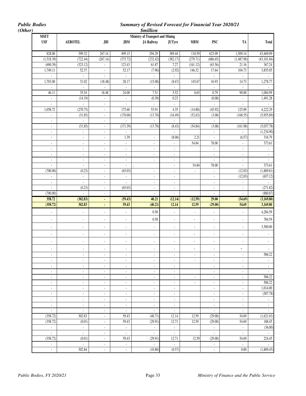*Public Bodies Summary of Revised Forecast for Financial Year 2020/21* 

|                                  |                                            |                                   |                                            | <i><b>\$million</b></i>                                      |                                               |                                |                                            |                            |                                 |
|----------------------------------|--------------------------------------------|-----------------------------------|--------------------------------------------|--------------------------------------------------------------|-----------------------------------------------|--------------------------------|--------------------------------------------|----------------------------|---------------------------------|
| <b>MSET</b><br><b>USF</b>        | <b>AEROTEL</b>                             | <b>JBI</b>                        | <b>JBM</b>                                 | <b>Ministry of Transport and Mining</b><br><b>JA Railway</b> | <b>JUTyre</b>                                 | <b>MBM</b>                     | <b>PSC</b>                                 | TA                         | <b>Total</b>                    |
| 828.00                           | 399.32                                     | 267.14                            | 499.15                                     | 294.29                                                       | 389.44                                        | 118.59                         | 623.09                                     | 1,509.14                   | 43,469.09                       |
| (1,518.39)                       | (722.44)                                   | (267.14)                          | (375.72)                                   | (232.42)                                                     | (382.17)                                      | (279.71)                       | (686.65)                                   | (1,487.98)                 | (43, 101.84)                    |
| (690.39)                         | (323.12)                                   | $\overline{\phantom{a}}$          | 123.43                                     | 61.87                                                        | 7.27                                          | (161.12)                       | (63.56)                                    | 21.16                      | 367.24                          |
| 1,749.11                         | 52.37                                      | ä,                                | 52.17                                      | (7.96)                                                       | (2.92)                                        | 146.32                         | 17.64                                      | 104.73                     | 3,855.05                        |
| $\omega$                         | $\omega$                                   | $\omega$                          | $\overline{\phantom{a}}$                   | $\omega$                                                     | $\omega$                                      |                                | $\omega$                                   | ä,                         |                                 |
| 1,703.00                         | 31.02                                      | (18.48)                           | 28.17                                      | (15.08)                                                      | (8.67)                                        | 145.67                         | 16.93                                      | 14.73                      | 1,278.77                        |
| 46.11                            | $\omega$<br>35.54                          | $\overline{\phantom{a}}$<br>18.48 | ÷.<br>24.00                                | $\mathbb{Z}^2$<br>7.51                                       | $\overline{\phantom{a}}$<br>5.52              | 0.65                           | $\omega$<br>0.79                           | ÷.<br>90.00                | 1,084.99                        |
| $\mathcal{L}_{\mathcal{A}}$      | (14.19)                                    | $\sim$                            | $\omega$                                   | (0.39)                                                       | 0.23                                          |                                | (0.08)                                     | $\omega$                   | 1,491.28                        |
| ÷,                               | ÷,                                         | $\overline{\phantom{a}}$          | $\blacksquare$                             |                                                              | $\overline{\phantom{a}}$                      |                                |                                            | $\blacksquare$             |                                 |
| 1,058.72                         | (270.75)                                   | ÷,                                | 175.60                                     | 53.91                                                        | 4.35                                          | (14.80)                        | (45.92)                                    | 125.89                     | 4,222.29                        |
| $\overline{\phantom{a}}$         | (31.85)                                    | $\blacksquare$                    | (170.00)                                   | (13.70)                                                      | (16.49)                                       | (52.63)                        | (3.08)                                     | (168.55)                   | (5,955.89)                      |
| $\omega$<br>÷,                   | ÷.<br>(31.85)                              | $\blacksquare$<br>ä,              | ÷,<br>(171.39)                             | (13.70)                                                      | L.<br>(8.43)                                  | (54.84)                        | (3.08)                                     | ä,<br>(161.98)             | (5,037.78)                      |
| $\omega$                         | ÷.                                         | $\sim$                            | $\mathbb{Z}^2$                             |                                                              | $\mathbb{Z}^2$                                |                                | ¥.                                         | ä,                         | (1,234.90)                      |
| $\overline{\phantom{a}}$         | $\blacksquare$                             | $\blacksquare$                    | 1.39                                       | $\omega$                                                     | (8.06)                                        | 2.21                           | $\omega$                                   | (6.57)                     | 316.79                          |
| $\overline{\phantom{a}}$         | $\overline{\phantom{a}}$                   | $\blacksquare$                    | $\overline{\phantom{a}}$                   | $\overline{\phantom{a}}$                                     | $\overline{\phantom{a}}$                      | 54.84                          | 78.00                                      | $\blacksquare$             | 373.61                          |
| ÷,                               | $\overline{\phantom{a}}$                   | ÷,                                | $\blacksquare$                             | $\Box$                                                       | $\blacksquare$                                |                                | $\blacksquare$                             | ÷.                         | $\overline{\phantom{a}}$        |
| $\omega$                         | $\blacksquare$                             | $\omega$                          | $\blacksquare$                             | $\blacksquare$                                               | ÷,                                            |                                | $\omega$                                   | $\blacksquare$             | $\blacksquare$                  |
| $\sim$                           | $\omega$                                   | $\bar{\mathbf{z}}$                | $\omega$                                   | $\sim$                                                       | $\blacksquare$                                |                                | $\omega$                                   | ä,                         | $\omega$                        |
|                                  | $\overline{\phantom{a}}$                   | $\blacksquare$                    |                                            |                                                              | ÷,                                            | 54.84                          | 78.00                                      | ÷                          | 373.61                          |
| (700.00)                         | (0.23)                                     | $\mathbf{r}$                      | (65.03)                                    | $\omega$                                                     | $\omega$                                      | $\mathbb{Z}^2$                 | $\omega$                                   | (12.03)                    | (1,809.81)                      |
| $\omega$                         | $\omega$                                   | $\blacksquare$                    | $\blacksquare$                             | $\blacksquare$                                               | $\blacksquare$                                |                                | $\blacksquare$                             | (12.03)                    | (657.12)                        |
| $\blacksquare$                   | $\overline{\phantom{a}}$                   | $\sim$                            | $\ddot{\phantom{0}}$                       | $\blacksquare$                                               | $\blacksquare$                                |                                | $\blacksquare$                             | $\blacksquare$             |                                 |
| ÷,                               | (0.23)                                     | $\blacksquare$                    | (65.03)                                    | $\overline{\phantom{a}}$                                     | $\overline{\phantom{a}}$                      |                                | $\overline{\phantom{a}}$                   | $\overline{\phantom{a}}$   | (271.82)                        |
| (700.00)                         |                                            | ä,                                | $\overline{a}$                             | $\omega$                                                     | ÷,                                            |                                | $\omega$                                   | ÷.                         | (880.87)                        |
| 358.72<br>(358.72)               | (302.83)<br>302.83                         | $\blacksquare$                    | (59.43)<br>59.43                           | 40.21<br>(40.21)                                             | (12.14)<br>12.14                              | (12.59)<br>12.59               | 29.00<br>(29.00)                           | (54.69)<br>54.69           | (3,169.80)<br>3,169.80          |
| $\sim$                           |                                            |                                   |                                            | 0.50                                                         |                                               | ÷,                             |                                            |                            | 4,284.59                        |
|                                  | $\blacksquare$                             | $\blacksquare$                    | $\overline{\phantom{a}}$                   | 0.50                                                         | $\blacksquare$                                |                                | $\blacksquare$                             | $\blacksquare$             | 784.59                          |
| $\overline{\phantom{a}}$         | $\overline{\phantom{a}}$                   | $\blacksquare$                    | $\blacksquare$                             |                                                              | $\blacksquare$                                | $\overline{\phantom{a}}$       | $\blacksquare$                             | $\blacksquare$             |                                 |
| $\overline{\phantom{a}}$         | $\overline{\phantom{a}}$                   | $\overline{\phantom{a}}$          | $\overline{\phantom{a}}$                   | $\blacksquare$                                               | $\blacksquare$                                | $\overline{\phantom{m}}$       | $\blacksquare$                             | $\blacksquare$             | 3,500.00                        |
| $\overline{\phantom{a}}$         | $\blacksquare$                             | $\overline{\phantom{a}}$          | $\overline{\phantom{a}}$                   | $\overline{\phantom{a}}$                                     | $\qquad \qquad \blacksquare$                  | $\overline{a}$                 | $\overline{\phantom{a}}$                   | $\blacksquare$             | $\qquad \qquad \blacksquare$    |
| $\sim$                           | ÷                                          | $\blacksquare$                    | $\ddot{\phantom{0}}$                       | $\blacksquare$                                               | $\blacksquare$                                | $\overline{a}$                 | $\blacksquare$                             | $\blacksquare$             | ÷.                              |
| ÷,                               | ä,                                         | ä,                                | ÷,                                         | ÷,                                                           | ÷,                                            | $\overline{a}$                 | $\omega$                                   | $\blacksquare$             | ä,                              |
| $\overline{\phantom{a}}$         | ÷,                                         | $\blacksquare$                    | $\overline{\phantom{a}}$                   | $\overline{\phantom{a}}$                                     | ÷.                                            | ÷.<br>$\overline{\phantom{a}}$ | $\blacksquare$                             | ÷.                         | 506.22                          |
| $\blacksquare$<br>$\blacksquare$ | $\blacksquare$                             | $\blacksquare$                    | $\blacksquare$                             | $\blacksquare$<br>$\blacksquare$                             | $\blacksquare$                                |                                | $\blacksquare$<br>$\overline{\phantom{a}}$ | $\blacksquare$             | $\mathbb{Z}^{\times}$           |
| $\omega$                         | $\overline{\phantom{a}}$<br>$\blacksquare$ | $\overline{\phantom{a}}$<br>ä,    | $\overline{\phantom{a}}$<br>$\blacksquare$ | $\omega$                                                     | $\blacksquare$<br>$\mathcal{L}_{\mathcal{A}}$ |                                | $\omega$                                   | $\blacksquare$<br>$\omega$ | $\sim$<br>$\omega$              |
| $\blacksquare$                   | $\blacksquare$                             | $\blacksquare$                    | $\blacksquare$                             | $\blacksquare$                                               | $\blacksquare$                                | $\overline{\phantom{a}}$       | $\blacksquare$                             | $\blacksquare$             | 506.22                          |
| $\blacksquare$                   | $\blacksquare$                             | $\sim$                            | $\blacksquare$                             | $\blacksquare$                                               | $\blacksquare$                                | ÷,                             | $\blacksquare$                             | $\blacksquare$             | 506.22                          |
| $\omega$                         | $\blacksquare$                             | $\omega$                          | $\blacksquare$                             | $\Box$                                                       | $\blacksquare$                                |                                | $\omega$                                   | $\blacksquare$             | 1,014.00                        |
| $\blacksquare$                   | $\blacksquare$                             | $\omega$                          | $\mathcal{L}_{\mathcal{A}}$                | $\blacksquare$                                               | $\mathcal{L}_{\mathcal{A}}$                   |                                | $\blacksquare$                             | $\omega$                   | (507.78)                        |
|                                  | $\omega$                                   | $\omega$                          | $\blacksquare$                             | $\omega$                                                     | $\overline{\phantom{a}}$                      |                                | $\blacksquare$                             | $\blacksquare$             | $\mathcal{L}_{\mathcal{A}}$     |
| $\blacksquare$                   |                                            | $\blacksquare$                    | $\blacksquare$                             | $\blacksquare$                                               | $\blacksquare$                                |                                | $\blacksquare$                             | $\blacksquare$             | $\sigma_{\rm c}$                |
| $\overline{\phantom{a}}$         | $\sim$                                     |                                   |                                            |                                                              |                                               |                                |                                            | $\overline{\phantom{a}}$   | $\omega$                        |
| ä,                               | $\mathbb{Z}^2$                             | ä,                                | ä,                                         | ÷.                                                           | $\overline{\phantom{a}}$                      |                                | ä,                                         |                            |                                 |
| (358.72)                         | 302.83                                     | $\sim$                            | 59.43                                      | (40.71)                                                      | 12.14                                         | 12.59                          | (29.00)                                    | 54.69                      |                                 |
| (358.72)                         | (0.01)                                     | $\blacksquare$                    | 59.43                                      | (29.91)                                                      | 12.71                                         | 12.59                          | (29.00)                                    | 54.69                      |                                 |
| $\blacksquare$                   | $\sim$                                     | $\blacksquare$                    | $\blacksquare$                             | $\omega$                                                     | $\mathbb{Z}$                                  |                                | $\omega_{\rm c}$                           | $\bar{\gamma}$             | (1,621.01)<br>188.45<br>(36.00) |
| ¥.                               | $\omega_{\rm c}$                           | $\sim$<br>$\omega$                | $\omega$                                   | ÷.                                                           | ä,                                            |                                | ä,                                         | $\omega$                   | $\sim$                          |
| (358.72)<br>$\blacksquare$       | (0.01)<br>$\blacksquare$                   | $\sim$                            | 59.43<br>$\blacksquare$                    | (29.91)<br>$\blacksquare$                                    | 12.71<br>$\blacksquare$                       | 12.59                          | (29.00)<br>$\blacksquare$                  | 54.69<br>$\blacksquare$    | 224.45<br>$\sim$                |